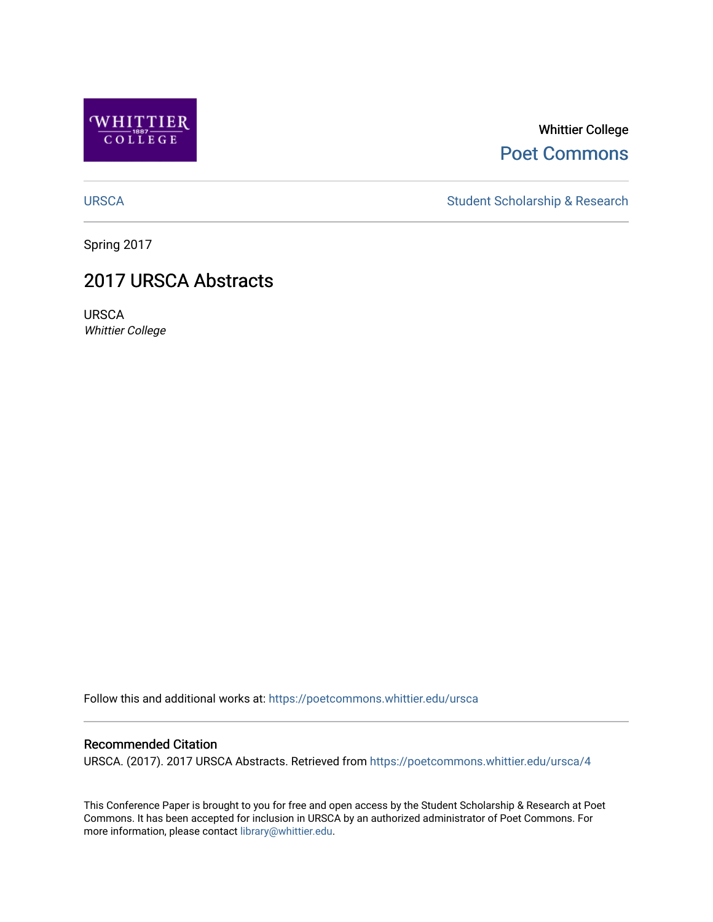

### Whittier College [Poet Commons](https://poetcommons.whittier.edu/)

[URSCA](https://poetcommons.whittier.edu/ursca) Student Scholarship & Research

Spring 2017

### 2017 URSCA Abstracts

URSCA Whittier College

Follow this and additional works at: [https://poetcommons.whittier.edu/ursca](https://poetcommons.whittier.edu/ursca?utm_source=poetcommons.whittier.edu%2Fursca%2F4&utm_medium=PDF&utm_campaign=PDFCoverPages) 

#### Recommended Citation

URSCA. (2017). 2017 URSCA Abstracts. Retrieved from [https://poetcommons.whittier.edu/ursca/4](https://poetcommons.whittier.edu/ursca/4?utm_source=poetcommons.whittier.edu%2Fursca%2F4&utm_medium=PDF&utm_campaign=PDFCoverPages) 

This Conference Paper is brought to you for free and open access by the Student Scholarship & Research at Poet Commons. It has been accepted for inclusion in URSCA by an authorized administrator of Poet Commons. For more information, please contact [library@whittier.edu.](mailto:library@whittier.edu)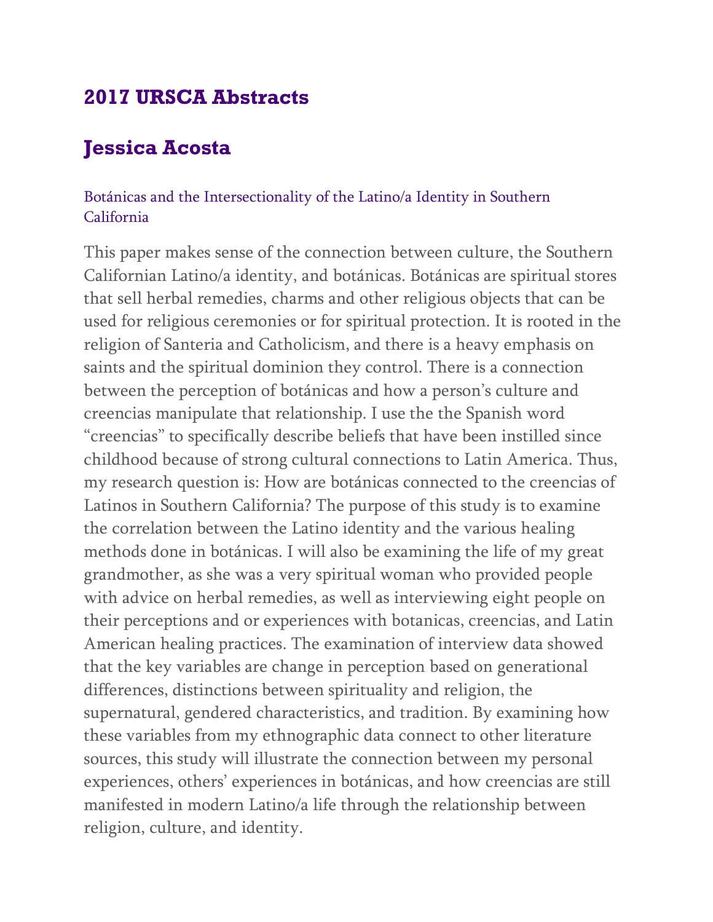# **2017 URSCA Abstracts**

# **Jessica Acosta**

### Botánicas and the Intersectionality of the Latino/a Identity in Southern California

This paper makes sense of the connection between culture, the Southern Californian Latino/a identity, and botánicas. Botánicas are spiritual stores that sell herbal remedies, charms and other religious objects that can be used for religious ceremonies or for spiritual protection. It is rooted in the religion of Santeria and Catholicism, and there is a heavy emphasis on saints and the spiritual dominion they control. There is a connection between the perception of botánicas and how a person's culture and creencias manipulate that relationship. I use the the Spanish word "creencias" to specifically describe beliefs that have been instilled since childhood because of strong cultural connections to Latin America. Thus, my research question is: How are botánicas connected to the creencias of Latinos in Southern California? The purpose of this study is to examine the correlation between the Latino identity and the various healing methods done in botánicas. I will also be examining the life of my great grandmother, as she was a very spiritual woman who provided people with advice on herbal remedies, as well as interviewing eight people on their perceptions and or experiences with botanicas, creencias, and Latin American healing practices. The examination of interview data showed that the key variables are change in perception based on generational differences, distinctions between spirituality and religion, the supernatural, gendered characteristics, and tradition. By examining how these variables from my ethnographic data connect to other literature sources, this study will illustrate the connection between my personal experiences, others' experiences in botánicas, and how creencias are still manifested in modern Latino/a life through the relationship between religion, culture, and identity.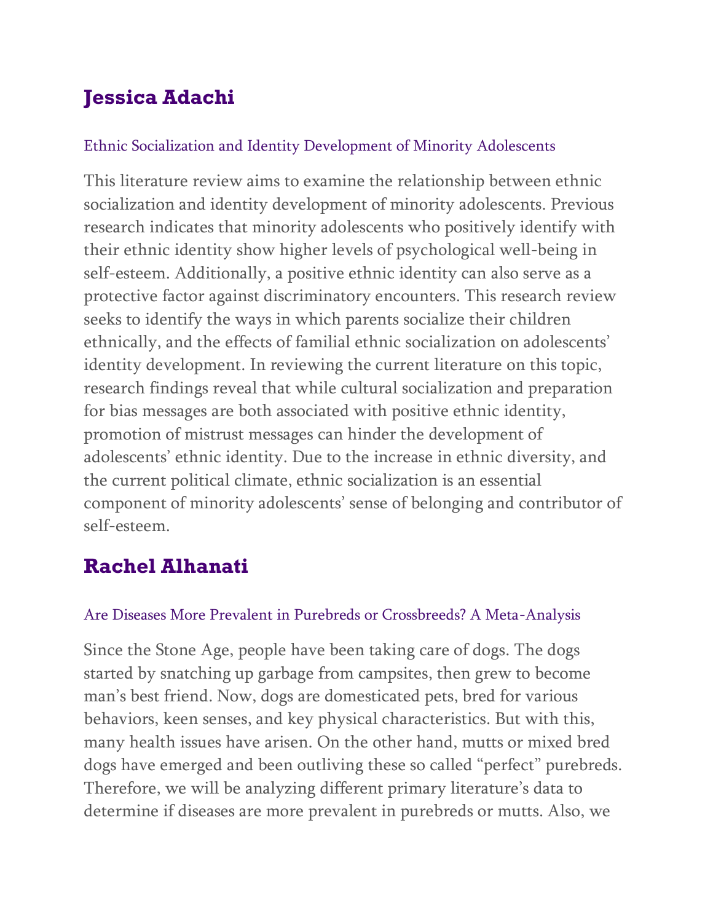# **Jessica Adachi**

### Ethnic Socialization and Identity Development of Minority Adolescents

This literature review aims to examine the relationship between ethnic socialization and identity development of minority adolescents. Previous research indicates that minority adolescents who positively identify with their ethnic identity show higher levels of psychological well-being in self-esteem. Additionally, a positive ethnic identity can also serve as a protective factor against discriminatory encounters. This research review seeks to identify the ways in which parents socialize their children ethnically, and the effects of familial ethnic socialization on adolescents' identity development. In reviewing the current literature on this topic, research findings reveal that while cultural socialization and preparation for bias messages are both associated with positive ethnic identity, promotion of mistrust messages can hinder the development of adolescents' ethnic identity. Due to the increase in ethnic diversity, and the current political climate, ethnic socialization is an essential component of minority adolescents' sense of belonging and contributor of self-esteem.

# **Rachel Alhanati**

### Are Diseases More Prevalent in Purebreds or Crossbreeds? A Meta-Analysis

Since the Stone Age, people have been taking care of dogs. The dogs started by snatching up garbage from campsites, then grew to become man's best friend. Now, dogs are domesticated pets, bred for various behaviors, keen senses, and key physical characteristics. But with this, many health issues have arisen. On the other hand, mutts or mixed bred dogs have emerged and been outliving these so called "perfect" purebreds. Therefore, we will be analyzing different primary literature's data to determine if diseases are more prevalent in purebreds or mutts. Also, we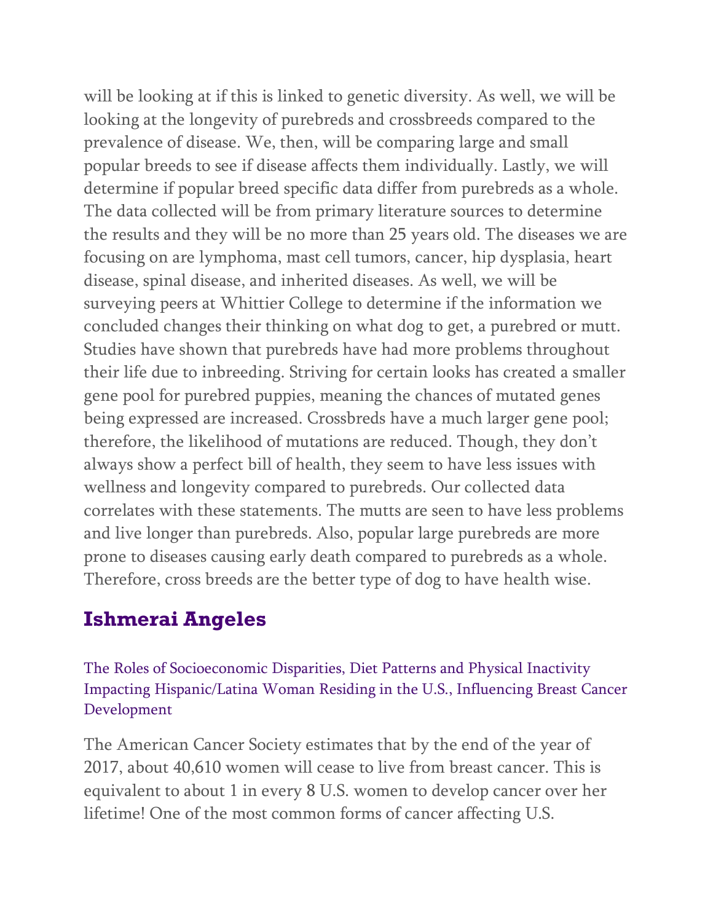will be looking at if this is linked to genetic diversity. As well, we will be looking at the longevity of purebreds and crossbreeds compared to the prevalence of disease. We, then, will be comparing large and small popular breeds to see if disease affects them individually. Lastly, we will determine if popular breed specific data differ from purebreds as a whole. The data collected will be from primary literature sources to determine the results and they will be no more than 25 years old. The diseases we are focusing on are lymphoma, mast cell tumors, cancer, hip dysplasia, heart disease, spinal disease, and inherited diseases. As well, we will be surveying peers at Whittier College to determine if the information we concluded changes their thinking on what dog to get, a purebred or mutt. Studies have shown that purebreds have had more problems throughout their life due to inbreeding. Striving for certain looks has created a smaller gene pool for purebred puppies, meaning the chances of mutated genes being expressed are increased. Crossbreds have a much larger gene pool; therefore, the likelihood of mutations are reduced. Though, they don't always show a perfect bill of health, they seem to have less issues with wellness and longevity compared to purebreds. Our collected data correlates with these statements. The mutts are seen to have less problems and live longer than purebreds. Also, popular large purebreds are more prone to diseases causing early death compared to purebreds as a whole. Therefore, cross breeds are the better type of dog to have health wise.

# **Ishmerai Angeles**

The Roles of Socioeconomic Disparities, Diet Patterns and Physical Inactivity Impacting Hispanic/Latina Woman Residing in the U.S., Influencing Breast Cancer Development

The American Cancer Society estimates that by the end of the year of 2017, about 40,610 women will cease to live from breast cancer. This is equivalent to about 1 in every 8 U.S. women to develop cancer over her lifetime! One of the most common forms of cancer affecting U.S.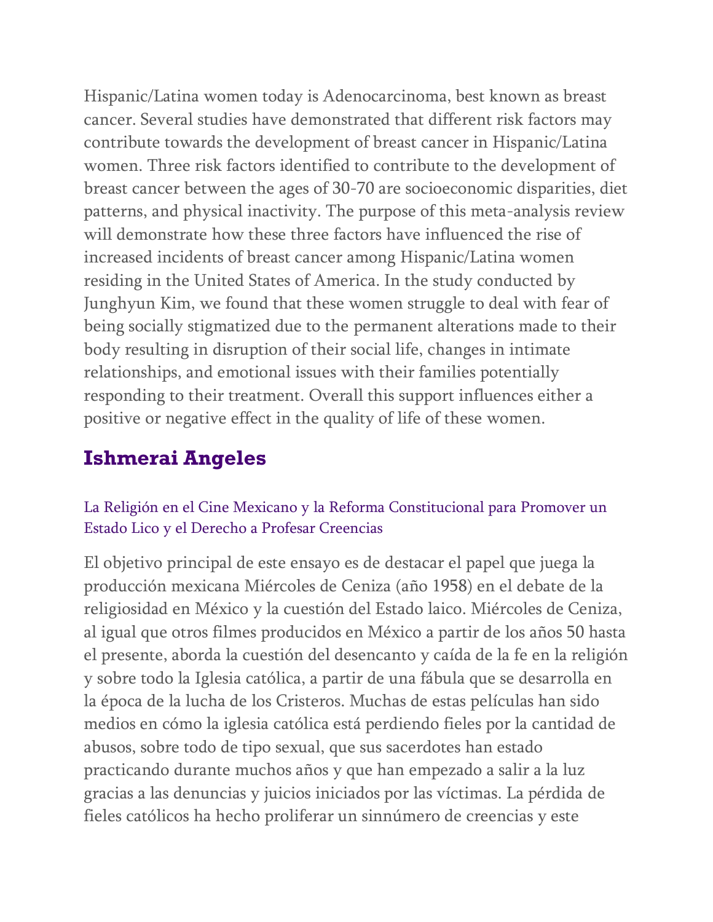Hispanic/Latina women today is Adenocarcinoma, best known as breast cancer. Several studies have demonstrated that different risk factors may contribute towards the development of breast cancer in Hispanic/Latina women. Three risk factors identified to contribute to the development of breast cancer between the ages of 30-70 are socioeconomic disparities, diet patterns, and physical inactivity. The purpose of this meta-analysis review will demonstrate how these three factors have influenced the rise of increased incidents of breast cancer among Hispanic/Latina women residing in the United States of America. In the study conducted by Junghyun Kim, we found that these women struggle to deal with fear of being socially stigmatized due to the permanent alterations made to their body resulting in disruption of their social life, changes in intimate relationships, and emotional issues with their families potentially responding to their treatment. Overall this support influences either a positive or negative effect in the quality of life of these women.

# **Ishmerai Angeles**

### La Religión en el Cine Mexicano y la Reforma Constitucional para Promover un Estado Lico y el Derecho a Profesar Creencias

El objetivo principal de este ensayo es de destacar el papel que juega la producción mexicana Miércoles de Ceniza (año 1958) en el debate de la religiosidad en México y la cuestión del Estado laico. Miércoles de Ceniza, al igual que otros filmes producidos en México a partir de los años 50 hasta el presente, aborda la cuestión del desencanto y caída de la fe en la religión y sobre todo la Iglesia católica, a partir de una fábula que se desarrolla en la época de la lucha de los Cristeros. Muchas de estas películas han sido medios en cómo la iglesia católica está perdiendo fieles por la cantidad de abusos, sobre todo de tipo sexual, que sus sacerdotes han estado practicando durante muchos años y que han empezado a salir a la luz gracias a las denuncias y juicios iniciados por las víctimas. La pérdida de fieles católicos ha hecho proliferar un sinnúmero de creencias y este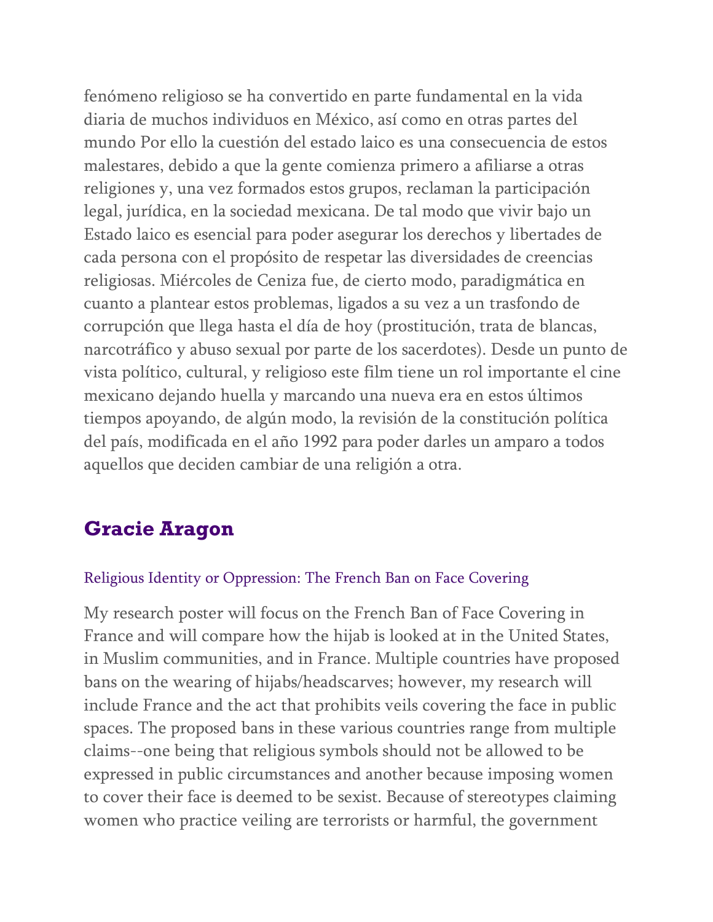fenómeno religioso se ha convertido en parte fundamental en la vida diaria de muchos individuos en México, así como en otras partes del mundo Por ello la cuestión del estado laico es una consecuencia de estos malestares, debido a que la gente comienza primero a afiliarse a otras religiones y, una vez formados estos grupos, reclaman la participación legal, jurídica, en la sociedad mexicana. De tal modo que vivir bajo un Estado laico es esencial para poder asegurar los derechos y libertades de cada persona con el propósito de respetar las diversidades de creencias religiosas. Miércoles de Ceniza fue, de cierto modo, paradigmática en cuanto a plantear estos problemas, ligados a su vez a un trasfondo de corrupción que llega hasta el día de hoy (prostitución, trata de blancas, narcotráfico y abuso sexual por parte de los sacerdotes). Desde un punto de vista político, cultural, y religioso este film tiene un rol importante el cine mexicano dejando huella y marcando una nueva era en estos últimos tiempos apoyando, de algún modo, la revisión de la constitución política del país, modificada en el año 1992 para poder darles un amparo a todos aquellos que deciden cambiar de una religión a otra.

# **Gracie Aragon**

#### Religious Identity or Oppression: The French Ban on Face Covering

My research poster will focus on the French Ban of Face Covering in France and will compare how the hijab is looked at in the United States, in Muslim communities, and in France. Multiple countries have proposed bans on the wearing of hijabs/headscarves; however, my research will include France and the act that prohibits veils covering the face in public spaces. The proposed bans in these various countries range from multiple claims--one being that religious symbols should not be allowed to be expressed in public circumstances and another because imposing women to cover their face is deemed to be sexist. Because of stereotypes claiming women who practice veiling are terrorists or harmful, the government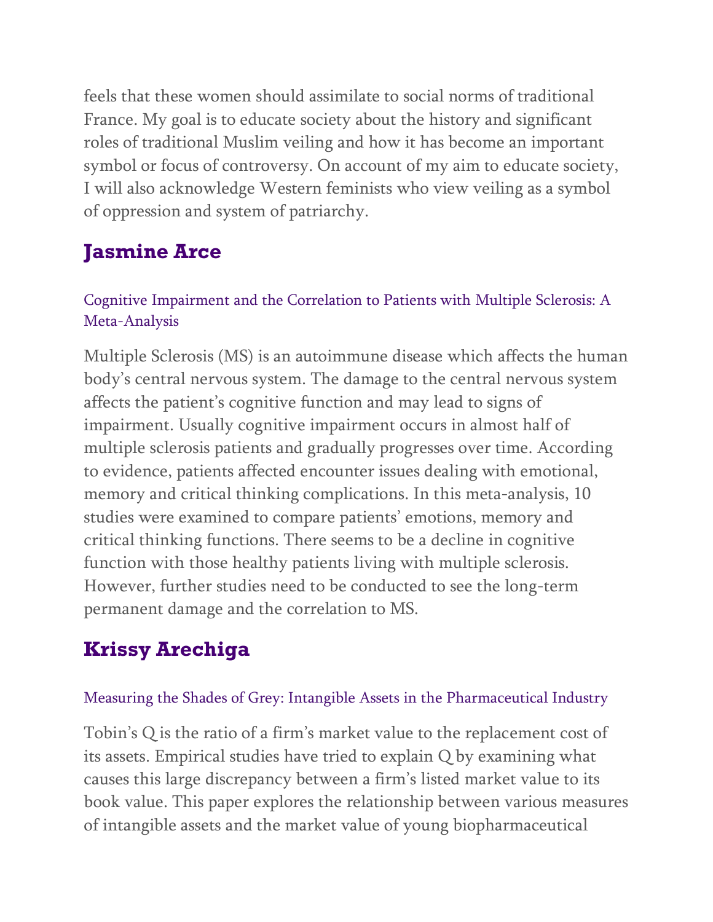feels that these women should assimilate to social norms of traditional France. My goal is to educate society about the history and significant roles of traditional Muslim veiling and how it has become an important symbol or focus of controversy. On account of my aim to educate society, I will also acknowledge Western feminists who view veiling as a symbol of oppression and system of patriarchy.

# **Jasmine Arce**

### Cognitive Impairment and the Correlation to Patients with Multiple Sclerosis: A Meta-Analysis

Multiple Sclerosis (MS) is an autoimmune disease which affects the human body's central nervous system. The damage to the central nervous system affects the patient's cognitive function and may lead to signs of impairment. Usually cognitive impairment occurs in almost half of multiple sclerosis patients and gradually progresses over time. According to evidence, patients affected encounter issues dealing with emotional, memory and critical thinking complications. In this meta-analysis, 10 studies were examined to compare patients' emotions, memory and critical thinking functions. There seems to be a decline in cognitive function with those healthy patients living with multiple sclerosis. However, further studies need to be conducted to see the long-term permanent damage and the correlation to MS.

# **Krissy Arechiga**

### Measuring the Shades of Grey: Intangible Assets in the Pharmaceutical Industry

Tobin's Q is the ratio of a firm's market value to the replacement cost of its assets. Empirical studies have tried to explain Q by examining what causes this large discrepancy between a firm's listed market value to its book value. This paper explores the relationship between various measures of intangible assets and the market value of young biopharmaceutical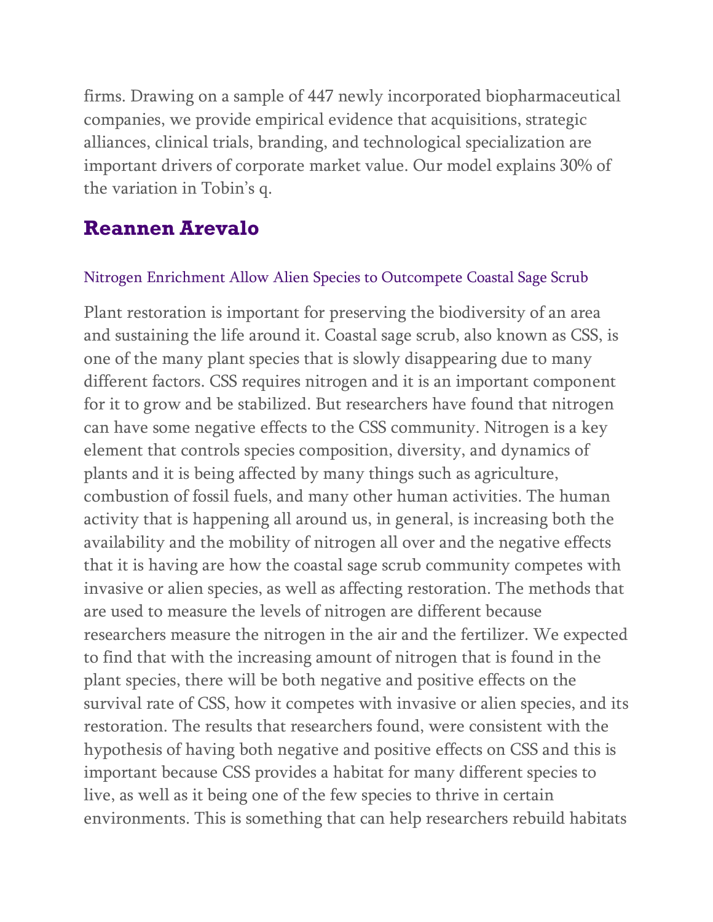firms. Drawing on a sample of 447 newly incorporated biopharmaceutical companies, we provide empirical evidence that acquisitions, strategic alliances, clinical trials, branding, and technological specialization are important drivers of corporate market value. Our model explains 30% of the variation in Tobin's q.

### **Reannen Arevalo**

#### Nitrogen Enrichment Allow Alien Species to Outcompete Coastal Sage Scrub

Plant restoration is important for preserving the biodiversity of an area and sustaining the life around it. Coastal sage scrub, also known as CSS, is one of the many plant species that is slowly disappearing due to many different factors. CSS requires nitrogen and it is an important component for it to grow and be stabilized. But researchers have found that nitrogen can have some negative effects to the CSS community. Nitrogen is a key element that controls species composition, diversity, and dynamics of plants and it is being affected by many things such as agriculture, combustion of fossil fuels, and many other human activities. The human activity that is happening all around us, in general, is increasing both the availability and the mobility of nitrogen all over and the negative effects that it is having are how the coastal sage scrub community competes with invasive or alien species, as well as affecting restoration. The methods that are used to measure the levels of nitrogen are different because researchers measure the nitrogen in the air and the fertilizer. We expected to find that with the increasing amount of nitrogen that is found in the plant species, there will be both negative and positive effects on the survival rate of CSS, how it competes with invasive or alien species, and its restoration. The results that researchers found, were consistent with the hypothesis of having both negative and positive effects on CSS and this is important because CSS provides a habitat for many different species to live, as well as it being one of the few species to thrive in certain environments. This is something that can help researchers rebuild habitats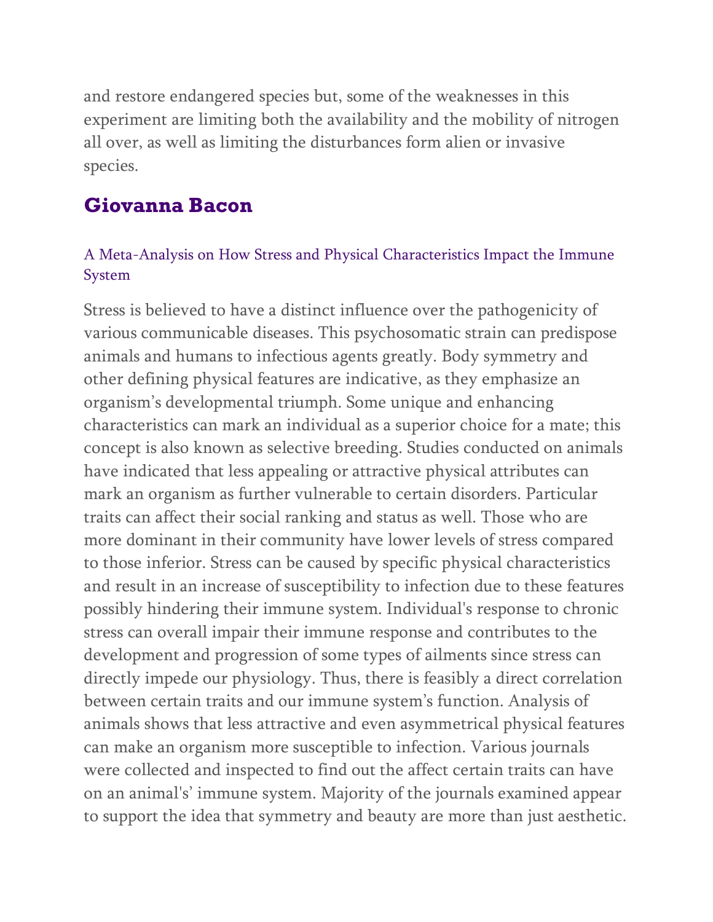and restore endangered species but, some of the weaknesses in this experiment are limiting both the availability and the mobility of nitrogen all over, as well as limiting the disturbances form alien or invasive species.

# **Giovanna Bacon**

### A Meta-Analysis on How Stress and Physical Characteristics Impact the Immune System

Stress is believed to have a distinct influence over the pathogenicity of various communicable diseases. This psychosomatic strain can predispose animals and humans to infectious agents greatly. Body symmetry and other defining physical features are indicative, as they emphasize an organism's developmental triumph. Some unique and enhancing characteristics can mark an individual as a superior choice for a mate; this concept is also known as selective breeding. Studies conducted on animals have indicated that less appealing or attractive physical attributes can mark an organism as further vulnerable to certain disorders. Particular traits can affect their social ranking and status as well. Those who are more dominant in their community have lower levels of stress compared to those inferior. Stress can be caused by specific physical characteristics and result in an increase of susceptibility to infection due to these features possibly hindering their immune system. Individual's response to chronic stress can overall impair their immune response and contributes to the development and progression of some types of ailments since stress can directly impede our physiology. Thus, there is feasibly a direct correlation between certain traits and our immune system's function. Analysis of animals shows that less attractive and even asymmetrical physical features can make an organism more susceptible to infection. Various journals were collected and inspected to find out the affect certain traits can have on an animal's' immune system. Majority of the journals examined appear to support the idea that symmetry and beauty are more than just aesthetic.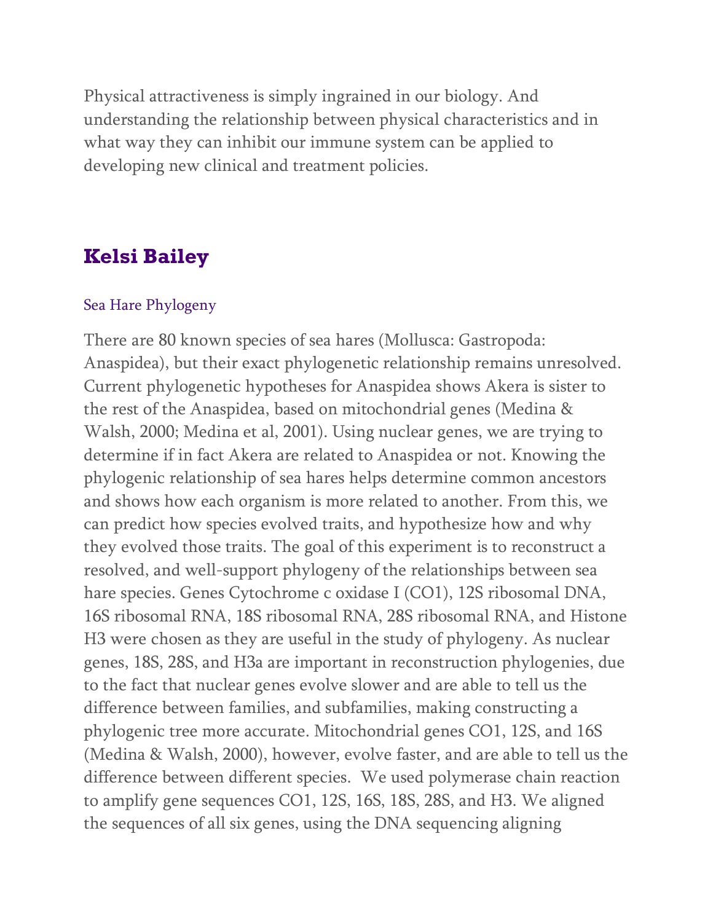Physical attractiveness is simply ingrained in our biology. And understanding the relationship between physical characteristics and in what way they can inhibit our immune system can be applied to developing new clinical and treatment policies.

### **Kelsi Bailey**

#### Sea Hare Phylogeny

There are 80 known species of sea hares (Mollusca: Gastropoda: Anaspidea), but their exact phylogenetic relationship remains unresolved. Current phylogenetic hypotheses for Anaspidea shows Akera is sister to the rest of the Anaspidea, based on mitochondrial genes (Medina & Walsh, 2000; Medina et al, 2001). Using nuclear genes, we are trying to determine if in fact Akera are related to Anaspidea or not. Knowing the phylogenic relationship of sea hares helps determine common ancestors and shows how each organism is more related to another. From this, we can predict how species evolved traits, and hypothesize how and why they evolved those traits. The goal of this experiment is to reconstruct a resolved, and well-support phylogeny of the relationships between sea hare species. Genes Cytochrome c oxidase I (CO1), 12S ribosomal DNA, 16S ribosomal RNA, 18S ribosomal RNA, 28S ribosomal RNA, and Histone H3 were chosen as they are useful in the study of phylogeny. As nuclear genes, 18S, 28S, and H3a are important in reconstruction phylogenies, due to the fact that nuclear genes evolve slower and are able to tell us the difference between families, and subfamilies, making constructing a phylogenic tree more accurate. Mitochondrial genes CO1, 12S, and 16S (Medina & Walsh, 2000), however, evolve faster, and are able to tell us the difference between different species. We used polymerase chain reaction to amplify gene sequences CO1, 12S, 16S, 18S, 28S, and H3. We aligned the sequences of all six genes, using the DNA sequencing aligning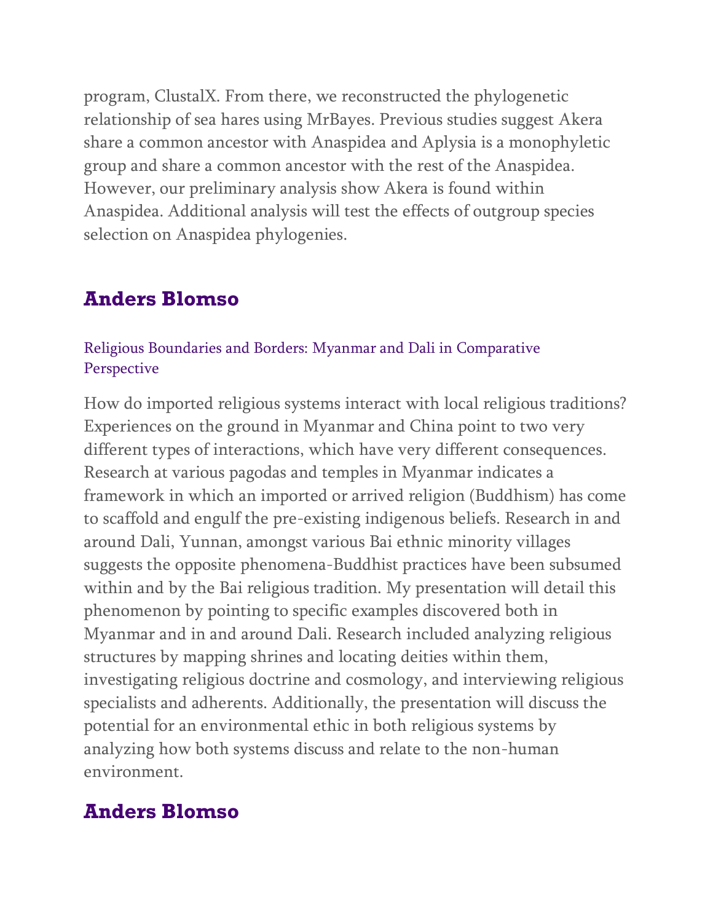program, ClustalX. From there, we reconstructed the phylogenetic relationship of sea hares using MrBayes. Previous studies suggest Akera share a common ancestor with Anaspidea and Aplysia is a monophyletic group and share a common ancestor with the rest of the Anaspidea. However, our preliminary analysis show Akera is found within Anaspidea. Additional analysis will test the effects of outgroup species selection on Anaspidea phylogenies.

### **Anders Blomso**

### Religious Boundaries and Borders: Myanmar and Dali in Comparative **Perspective**

How do imported religious systems interact with local religious traditions? Experiences on the ground in Myanmar and China point to two very different types of interactions, which have very different consequences. Research at various pagodas and temples in Myanmar indicates a framework in which an imported or arrived religion (Buddhism) has come to scaffold and engulf the pre-existing indigenous beliefs. Research in and around Dali, Yunnan, amongst various Bai ethnic minority villages suggests the opposite phenomena-Buddhist practices have been subsumed within and by the Bai religious tradition. My presentation will detail this phenomenon by pointing to specific examples discovered both in Myanmar and in and around Dali. Research included analyzing religious structures by mapping shrines and locating deities within them, investigating religious doctrine and cosmology, and interviewing religious specialists and adherents. Additionally, the presentation will discuss the potential for an environmental ethic in both religious systems by analyzing how both systems discuss and relate to the non-human environment.

### **Anders Blomso**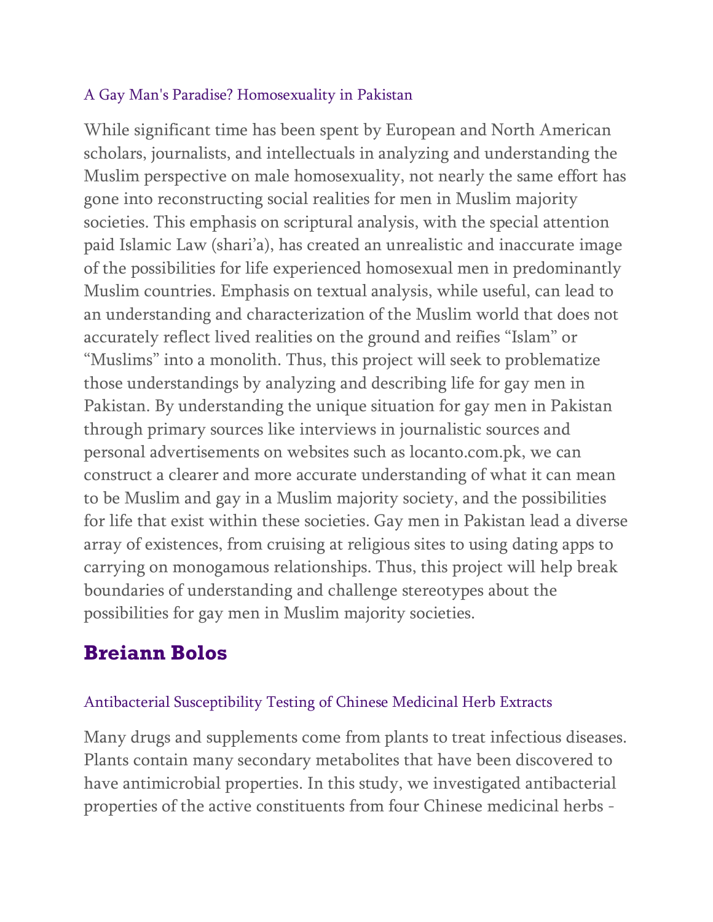### A Gay Man's Paradise? Homosexuality in Pakistan

While significant time has been spent by European and North American scholars, journalists, and intellectuals in analyzing and understanding the Muslim perspective on male homosexuality, not nearly the same effort has gone into reconstructing social realities for men in Muslim majority societies. This emphasis on scriptural analysis, with the special attention paid Islamic Law (shari'a), has created an unrealistic and inaccurate image of the possibilities for life experienced homosexual men in predominantly Muslim countries. Emphasis on textual analysis, while useful, can lead to an understanding and characterization of the Muslim world that does not accurately reflect lived realities on the ground and reifies "Islam" or "Muslims" into a monolith. Thus, this project will seek to problematize those understandings by analyzing and describing life for gay men in Pakistan. By understanding the unique situation for gay men in Pakistan through primary sources like interviews in journalistic sources and personal advertisements on websites such as locanto.com.pk, we can construct a clearer and more accurate understanding of what it can mean to be Muslim and gay in a Muslim majority society, and the possibilities for life that exist within these societies. Gay men in Pakistan lead a diverse array of existences, from cruising at religious sites to using dating apps to carrying on monogamous relationships. Thus, this project will help break boundaries of understanding and challenge stereotypes about the possibilities for gay men in Muslim majority societies.

# **Breiann Bolos**

### Antibacterial Susceptibility Testing of Chinese Medicinal Herb Extracts

Many drugs and supplements come from plants to treat infectious diseases. Plants contain many secondary metabolites that have been discovered to have antimicrobial properties. In this study, we investigated antibacterial properties of the active constituents from four Chinese medicinal herbs -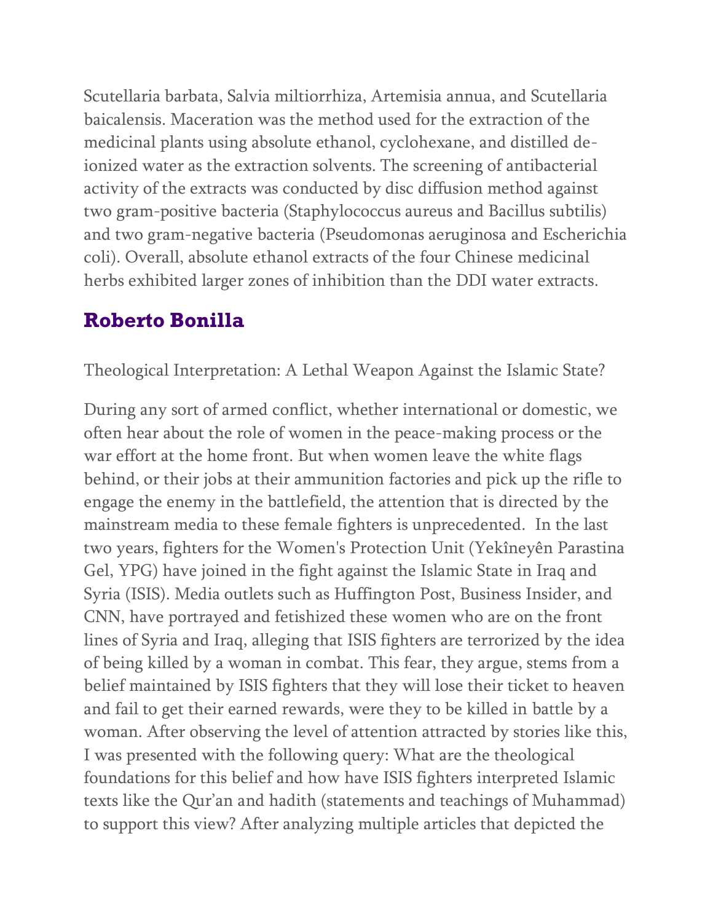Scutellaria barbata, Salvia miltiorrhiza, Artemisia annua, and Scutellaria baicalensis. Maceration was the method used for the extraction of the medicinal plants using absolute ethanol, cyclohexane, and distilled deionized water as the extraction solvents. The screening of antibacterial activity of the extracts was conducted by disc diffusion method against two gram-positive bacteria (Staphylococcus aureus and Bacillus subtilis) and two gram-negative bacteria (Pseudomonas aeruginosa and Escherichia coli). Overall, absolute ethanol extracts of the four Chinese medicinal herbs exhibited larger zones of inhibition than the DDI water extracts.

# **Roberto Bonilla**

Theological Interpretation: A Lethal Weapon Against the Islamic State?

During any sort of armed conflict, whether international or domestic, we often hear about the role of women in the peace-making process or the war effort at the home front. But when women leave the white flags behind, or their jobs at their ammunition factories and pick up the rifle to engage the enemy in the battlefield, the attention that is directed by the mainstream media to these female fighters is unprecedented. In the last two years, fighters for the Women's Protection Unit (Yekîneyên Parastina Gel, YPG) have joined in the fight against the Islamic State in Iraq and Syria (ISIS). Media outlets such as Huffington Post, Business Insider, and CNN, have portrayed and fetishized these women who are on the front lines of Syria and Iraq, alleging that ISIS fighters are terrorized by the idea of being killed by a woman in combat. This fear, they argue, stems from a belief maintained by ISIS fighters that they will lose their ticket to heaven and fail to get their earned rewards, were they to be killed in battle by a woman. After observing the level of attention attracted by stories like this, I was presented with the following query: What are the theological foundations for this belief and how have ISIS fighters interpreted Islamic texts like the Qur'an and hadith (statements and teachings of Muhammad) to support this view? After analyzing multiple articles that depicted the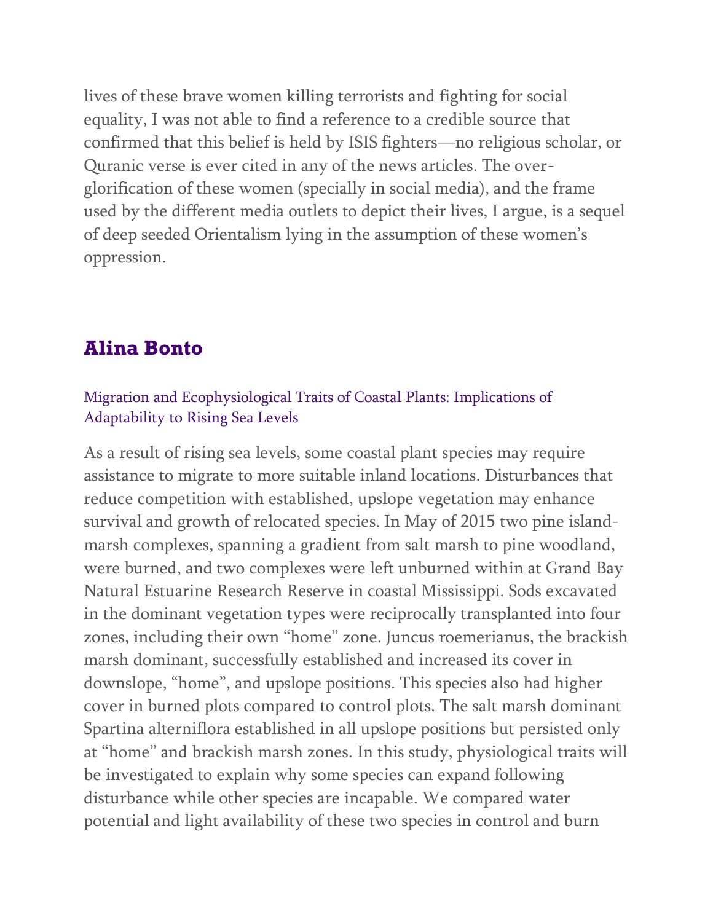lives of these brave women killing terrorists and fighting for social equality, I was not able to find a reference to a credible source that confirmed that this belief is held by ISIS fighters—no religious scholar, or Quranic verse is ever cited in any of the news articles. The overglorification of these women (specially in social media), and the frame used by the different media outlets to depict their lives, I argue, is a sequel of deep seeded Orientalism lying in the assumption of these women's oppression.

### **Alina Bonto**

#### Migration and Ecophysiological Traits of Coastal Plants: Implications of Adaptability to Rising Sea Levels

As a result of rising sea levels, some coastal plant species may require assistance to migrate to more suitable inland locations. Disturbances that reduce competition with established, upslope vegetation may enhance survival and growth of relocated species. In May of 2015 two pine islandmarsh complexes, spanning a gradient from salt marsh to pine woodland, were burned, and two complexes were left unburned within at Grand Bay Natural Estuarine Research Reserve in coastal Mississippi. Sods excavated in the dominant vegetation types were reciprocally transplanted into four zones, including their own "home" zone. Juncus roemerianus, the brackish marsh dominant, successfully established and increased its cover in downslope, "home", and upslope positions. This species also had higher cover in burned plots compared to control plots. The salt marsh dominant Spartina alterniflora established in all upslope positions but persisted only at "home" and brackish marsh zones. In this study, physiological traits will be investigated to explain why some species can expand following disturbance while other species are incapable. We compared water potential and light availability of these two species in control and burn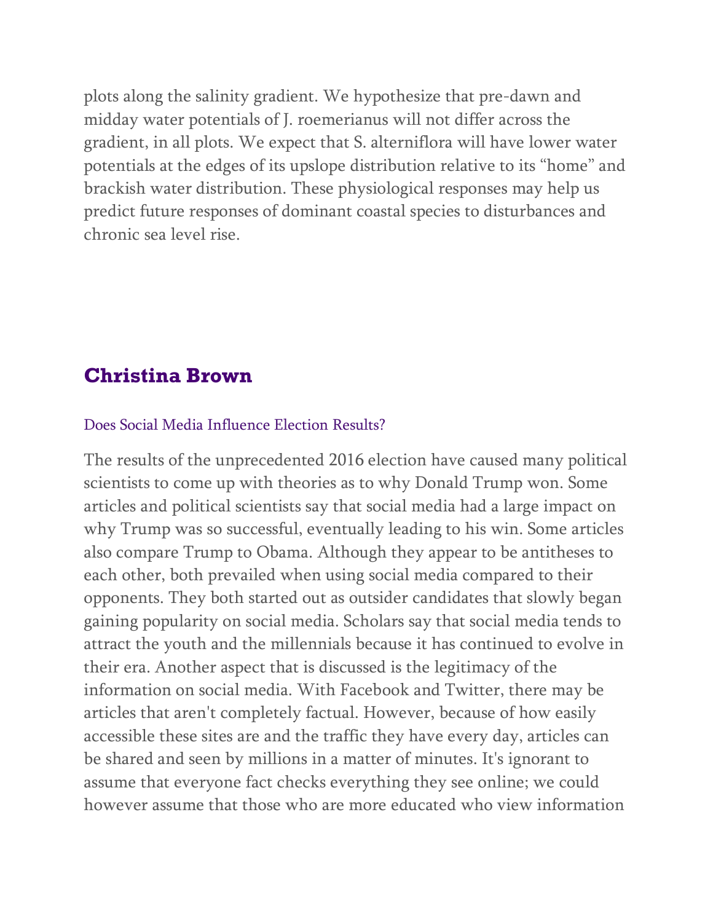plots along the salinity gradient. We hypothesize that pre-dawn and midday water potentials of J. roemerianus will not differ across the gradient, in all plots. We expect that S. alterniflora will have lower water potentials at the edges of its upslope distribution relative to its "home" and brackish water distribution. These physiological responses may help us predict future responses of dominant coastal species to disturbances and chronic sea level rise.

### **Christina Brown**

#### Does Social Media Influence Election Results?

The results of the unprecedented 2016 election have caused many political scientists to come up with theories as to why Donald Trump won. Some articles and political scientists say that social media had a large impact on why Trump was so successful, eventually leading to his win. Some articles also compare Trump to Obama. Although they appear to be antitheses to each other, both prevailed when using social media compared to their opponents. They both started out as outsider candidates that slowly began gaining popularity on social media. Scholars say that social media tends to attract the youth and the millennials because it has continued to evolve in their era. Another aspect that is discussed is the legitimacy of the information on social media. With Facebook and Twitter, there may be articles that aren't completely factual. However, because of how easily accessible these sites are and the traffic they have every day, articles can be shared and seen by millions in a matter of minutes. It's ignorant to assume that everyone fact checks everything they see online; we could however assume that those who are more educated who view information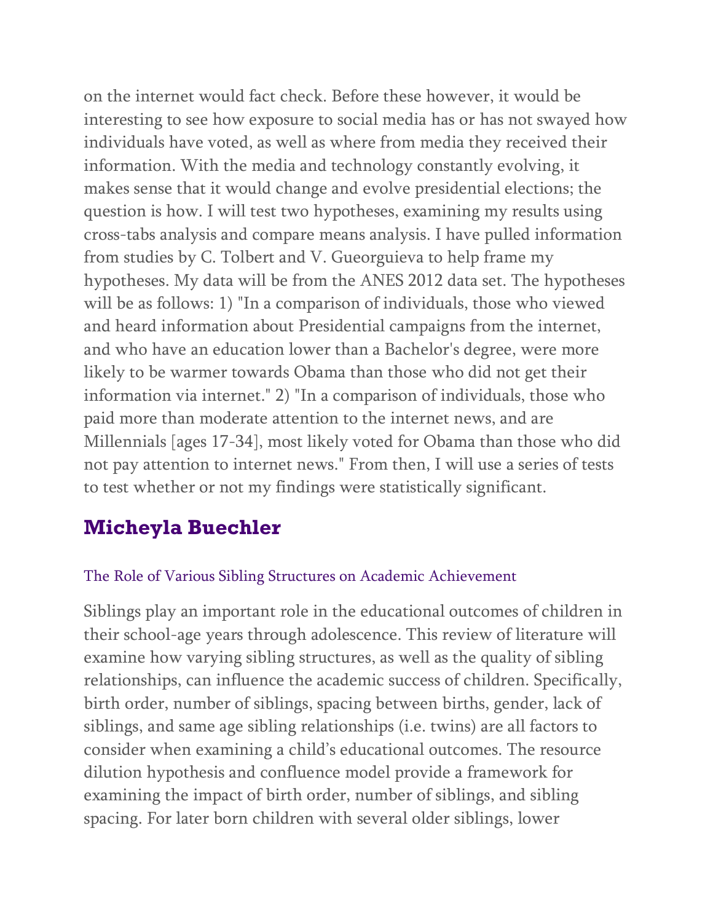on the internet would fact check. Before these however, it would be interesting to see how exposure to social media has or has not swayed how individuals have voted, as well as where from media they received their information. With the media and technology constantly evolving, it makes sense that it would change and evolve presidential elections; the question is how. I will test two hypotheses, examining my results using cross-tabs analysis and compare means analysis. I have pulled information from studies by C. Tolbert and V. Gueorguieva to help frame my hypotheses. My data will be from the ANES 2012 data set. The hypotheses will be as follows: 1) "In a comparison of individuals, those who viewed and heard information about Presidential campaigns from the internet, and who have an education lower than a Bachelor's degree, were more likely to be warmer towards Obama than those who did not get their information via internet." 2) "In a comparison of individuals, those who paid more than moderate attention to the internet news, and are Millennials [ages 17-34], most likely voted for Obama than those who did not pay attention to internet news." From then, I will use a series of tests to test whether or not my findings were statistically significant.

# **Micheyla Buechler**

#### The Role of Various Sibling Structures on Academic Achievement

Siblings play an important role in the educational outcomes of children in their school-age years through adolescence. This review of literature will examine how varying sibling structures, as well as the quality of sibling relationships, can influence the academic success of children. Specifically, birth order, number of siblings, spacing between births, gender, lack of siblings, and same age sibling relationships (i.e. twins) are all factors to consider when examining a child's educational outcomes. The resource dilution hypothesis and confluence model provide a framework for examining the impact of birth order, number of siblings, and sibling spacing. For later born children with several older siblings, lower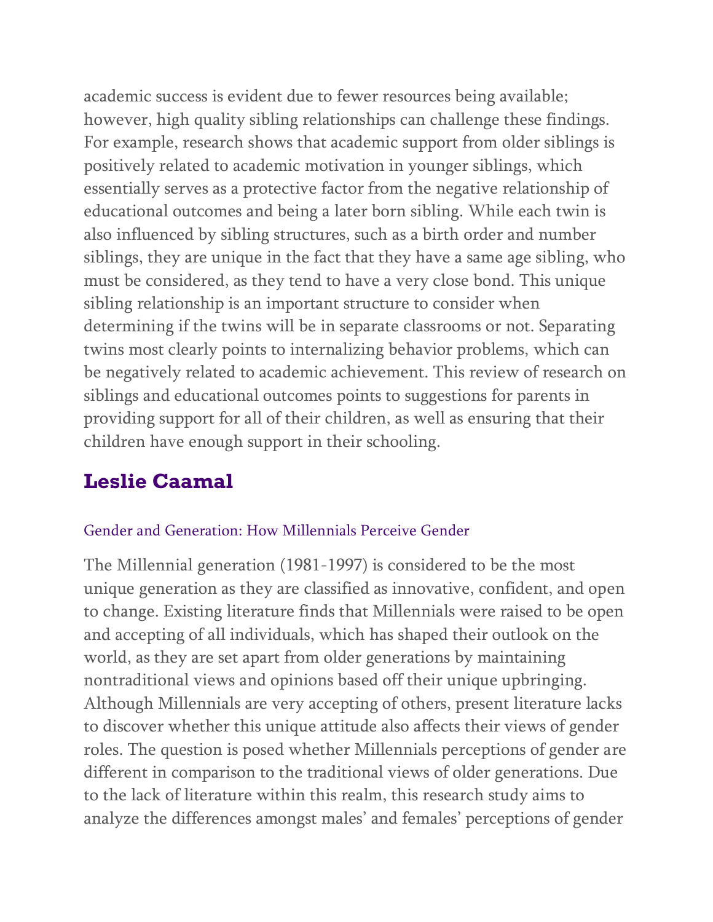academic success is evident due to fewer resources being available; however, high quality sibling relationships can challenge these findings. For example, research shows that academic support from older siblings is positively related to academic motivation in younger siblings, which essentially serves as a protective factor from the negative relationship of educational outcomes and being a later born sibling. While each twin is also influenced by sibling structures, such as a birth order and number siblings, they are unique in the fact that they have a same age sibling, who must be considered, as they tend to have a very close bond. This unique sibling relationship is an important structure to consider when determining if the twins will be in separate classrooms or not. Separating twins most clearly points to internalizing behavior problems, which can be negatively related to academic achievement. This review of research on siblings and educational outcomes points to suggestions for parents in providing support for all of their children, as well as ensuring that their children have enough support in their schooling.

# **Leslie Caamal**

### Gender and Generation: How Millennials Perceive Gender

The Millennial generation (1981-1997) is considered to be the most unique generation as they are classified as innovative, confident, and open to change. Existing literature finds that Millennials were raised to be open and accepting of all individuals, which has shaped their outlook on the world, as they are set apart from older generations by maintaining nontraditional views and opinions based off their unique upbringing. Although Millennials are very accepting of others, present literature lacks to discover whether this unique attitude also affects their views of gender roles. The question is posed whether Millennials perceptions of gender are different in comparison to the traditional views of older generations. Due to the lack of literature within this realm, this research study aims to analyze the differences amongst males' and females' perceptions of gender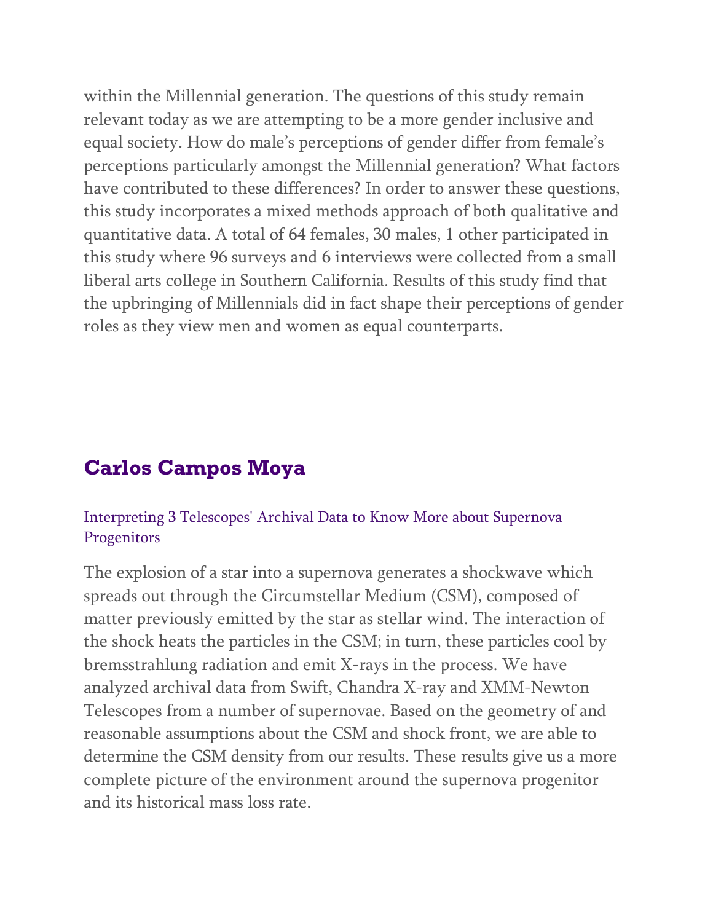within the Millennial generation. The questions of this study remain relevant today as we are attempting to be a more gender inclusive and equal society. How do male's perceptions of gender differ from female's perceptions particularly amongst the Millennial generation? What factors have contributed to these differences? In order to answer these questions, this study incorporates a mixed methods approach of both qualitative and quantitative data. A total of 64 females, 30 males, 1 other participated in this study where 96 surveys and 6 interviews were collected from a small liberal arts college in Southern California. Results of this study find that the upbringing of Millennials did in fact shape their perceptions of gender roles as they view men and women as equal counterparts.

# **Carlos Campos Moya**

### Interpreting 3 Telescopes' Archival Data to Know More about Supernova **Progenitors**

The explosion of a star into a supernova generates a shockwave which spreads out through the Circumstellar Medium (CSM), composed of matter previously emitted by the star as stellar wind. The interaction of the shock heats the particles in the CSM; in turn, these particles cool by bremsstrahlung radiation and emit X-rays in the process. We have analyzed archival data from Swift, Chandra X-ray and XMM-Newton Telescopes from a number of supernovae. Based on the geometry of and reasonable assumptions about the CSM and shock front, we are able to determine the CSM density from our results. These results give us a more complete picture of the environment around the supernova progenitor and its historical mass loss rate.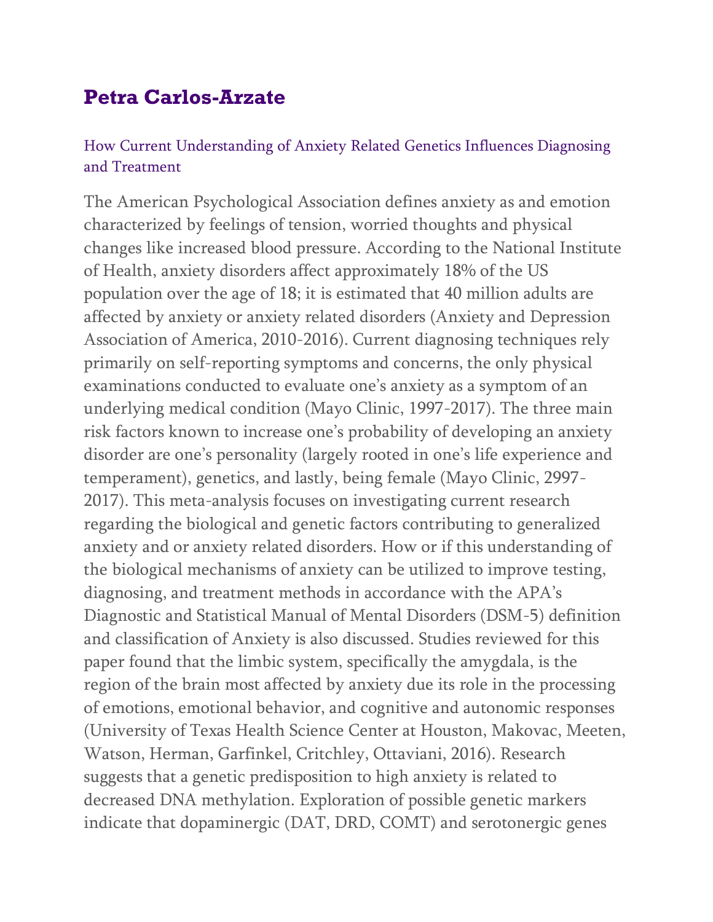# **Petra Carlos-Arzate**

### How Current Understanding of Anxiety Related Genetics Influences Diagnosing and Treatment

The American Psychological Association defines anxiety as and emotion characterized by feelings of tension, worried thoughts and physical changes like increased blood pressure. According to the National Institute of Health, anxiety disorders affect approximately 18% of the US population over the age of 18; it is estimated that 40 million adults are affected by anxiety or anxiety related disorders (Anxiety and Depression Association of America, 2010-2016). Current diagnosing techniques rely primarily on self-reporting symptoms and concerns, the only physical examinations conducted to evaluate one's anxiety as a symptom of an underlying medical condition (Mayo Clinic, 1997-2017). The three main risk factors known to increase one's probability of developing an anxiety disorder are one's personality (largely rooted in one's life experience and temperament), genetics, and lastly, being female (Mayo Clinic, 2997- 2017). This meta-analysis focuses on investigating current research regarding the biological and genetic factors contributing to generalized anxiety and or anxiety related disorders. How or if this understanding of the biological mechanisms of anxiety can be utilized to improve testing, diagnosing, and treatment methods in accordance with the APA's Diagnostic and Statistical Manual of Mental Disorders (DSM-5) definition and classification of Anxiety is also discussed. Studies reviewed for this paper found that the limbic system, specifically the amygdala, is the region of the brain most affected by anxiety due its role in the processing of emotions, emotional behavior, and cognitive and autonomic responses (University of Texas Health Science Center at Houston, Makovac, Meeten, Watson, Herman, Garfinkel, Critchley, Ottaviani, 2016). Research suggests that a genetic predisposition to high anxiety is related to decreased DNA methylation. Exploration of possible genetic markers indicate that dopaminergic (DAT, DRD, COMT) and serotonergic genes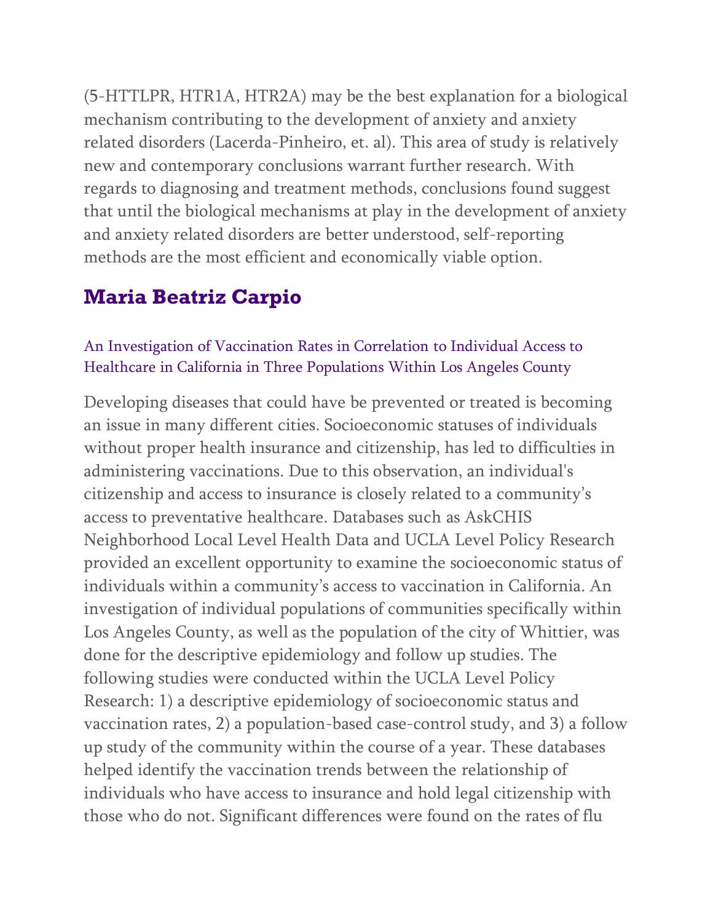(5-HTTLPR, HTR1A, HTR2A) may be the best explanation for a biological mechanism contributing to the development of anxiety and anxiety related disorders (Lacerda-Pinheiro, et. al). This area of study is relatively new and contemporary conclusions warrant further research. With regards to diagnosing and treatment methods, conclusions found suggest that until the biological mechanisms at play in the development of anxiety and anxiety related disorders are better understood, self-reporting methods are the most efficient and economically viable option.

# **Maria Beatriz Carpio**

### An Investigation of Vaccination Rates in Correlation to Individual Access to Healthcare in California in Three Populations Within Los Angeles County

Developing diseases that could have be prevented or treated is becoming an issue in many different cities. Socioeconomic statuses of individuals without proper health insurance and citizenship, has led to difficulties in administering vaccinations. Due to this observation, an individual's citizenship and access to insurance is closely related to a community's access to preventative healthcare. Databases such as AskCHIS Neighborhood Local Level Health Data and UCLA Level Policy Research provided an excellent opportunity to examine the socioeconomic status of individuals within a community's access to vaccination in California. An investigation of individual populations of communities specifically within Los Angeles County, as well as the population of the city of Whittier, was done for the descriptive epidemiology and follow up studies. The following studies were conducted within the UCLA Level Policy Research: 1) a descriptive epidemiology of socioeconomic status and vaccination rates, 2) a population-based case-control study, and 3) a follow up study of the community within the course of a year. These databases helped identify the vaccination trends between the relationship of individuals who have access to insurance and hold legal citizenship with those who do not. Significant differences were found on the rates of flu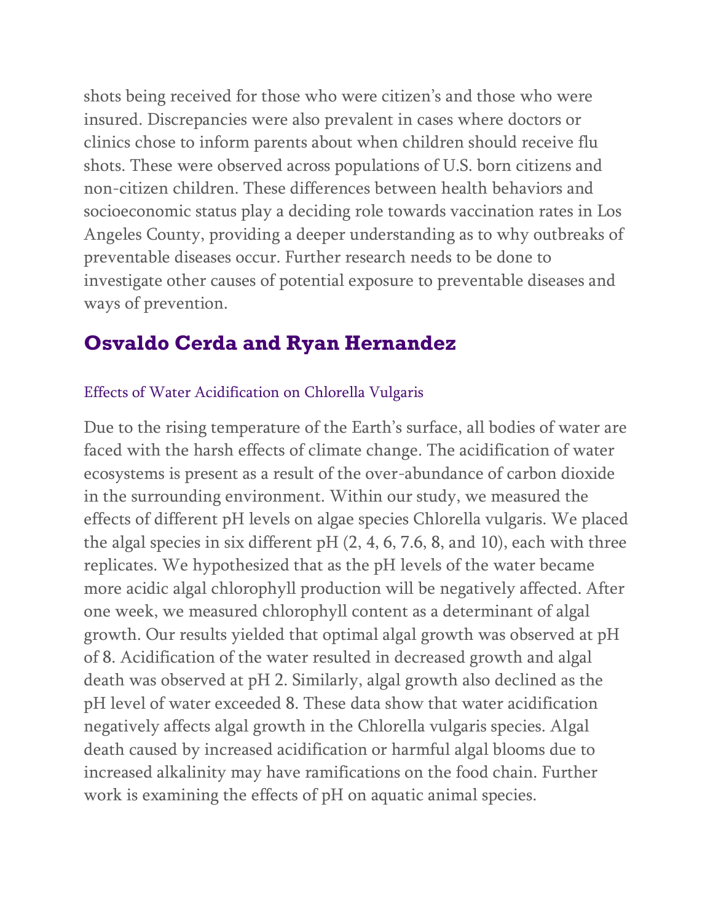shots being received for those who were citizen's and those who were insured. Discrepancies were also prevalent in cases where doctors or clinics chose to inform parents about when children should receive flu shots. These were observed across populations of U.S. born citizens and non-citizen children. These differences between health behaviors and socioeconomic status play a deciding role towards vaccination rates in Los Angeles County, providing a deeper understanding as to why outbreaks of preventable diseases occur. Further research needs to be done to investigate other causes of potential exposure to preventable diseases and ways of prevention.

# **Osvaldo Cerda and Ryan Hernandez**

### Effects of Water Acidification on Chlorella Vulgaris

Due to the rising temperature of the Earth's surface, all bodies of water are faced with the harsh effects of climate change. The acidification of water ecosystems is present as a result of the over-abundance of carbon dioxide in the surrounding environment. Within our study, we measured the effects of different pH levels on algae species Chlorella vulgaris. We placed the algal species in six different pH (2, 4, 6, 7.6, 8, and 10), each with three replicates. We hypothesized that as the pH levels of the water became more acidic algal chlorophyll production will be negatively affected. After one week, we measured chlorophyll content as a determinant of algal growth. Our results yielded that optimal algal growth was observed at pH of 8. Acidification of the water resulted in decreased growth and algal death was observed at pH 2. Similarly, algal growth also declined as the pH level of water exceeded 8. These data show that water acidification negatively affects algal growth in the Chlorella vulgaris species. Algal death caused by increased acidification or harmful algal blooms due to increased alkalinity may have ramifications on the food chain. Further work is examining the effects of pH on aquatic animal species.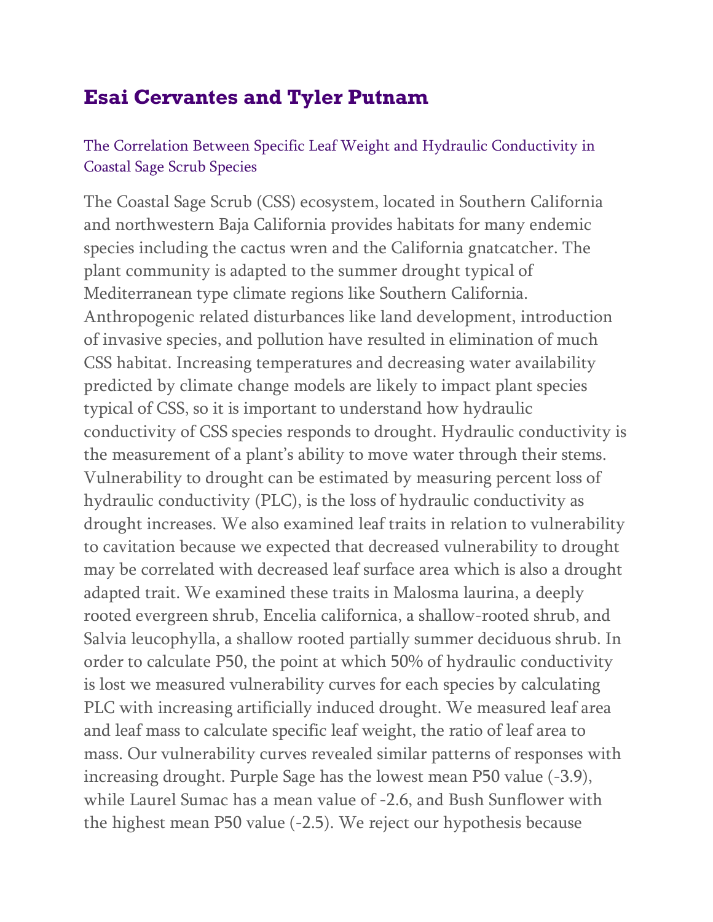# **Esai Cervantes and Tyler Putnam**

### The Correlation Between Specific Leaf Weight and Hydraulic Conductivity in Coastal Sage Scrub Species

The Coastal Sage Scrub (CSS) ecosystem, located in Southern California and northwestern Baja California provides habitats for many endemic species including the cactus wren and the California gnatcatcher. The plant community is adapted to the summer drought typical of Mediterranean type climate regions like Southern California. Anthropogenic related disturbances like land development, introduction of invasive species, and pollution have resulted in elimination of much CSS habitat. Increasing temperatures and decreasing water availability predicted by climate change models are likely to impact plant species typical of CSS, so it is important to understand how hydraulic conductivity of CSS species responds to drought. Hydraulic conductivity is the measurement of a plant's ability to move water through their stems. Vulnerability to drought can be estimated by measuring percent loss of hydraulic conductivity (PLC), is the loss of hydraulic conductivity as drought increases. We also examined leaf traits in relation to vulnerability to cavitation because we expected that decreased vulnerability to drought may be correlated with decreased leaf surface area which is also a drought adapted trait. We examined these traits in Malosma laurina, a deeply rooted evergreen shrub, Encelia californica, a shallow-rooted shrub, and Salvia leucophylla, a shallow rooted partially summer deciduous shrub. In order to calculate P50, the point at which 50% of hydraulic conductivity is lost we measured vulnerability curves for each species by calculating PLC with increasing artificially induced drought. We measured leaf area and leaf mass to calculate specific leaf weight, the ratio of leaf area to mass. Our vulnerability curves revealed similar patterns of responses with increasing drought. Purple Sage has the lowest mean P50 value (-3.9), while Laurel Sumac has a mean value of -2.6, and Bush Sunflower with the highest mean P50 value (-2.5). We reject our hypothesis because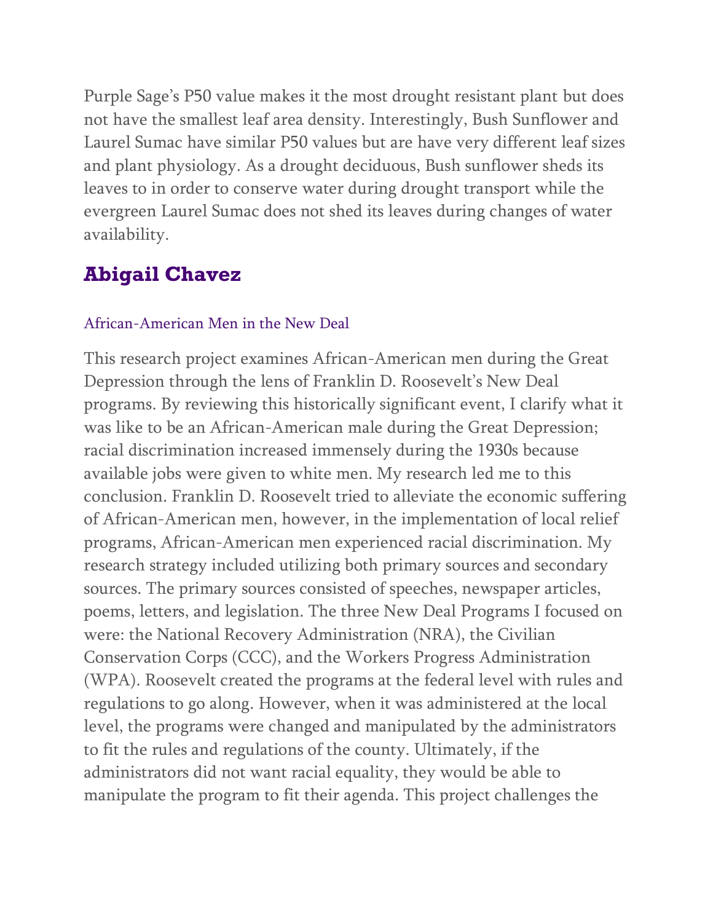Purple Sage's P50 value makes it the most drought resistant plant but does not have the smallest leaf area density. Interestingly, Bush Sunflower and Laurel Sumac have similar P50 values but are have very different leaf sizes and plant physiology. As a drought deciduous, Bush sunflower sheds its leaves to in order to conserve water during drought transport while the evergreen Laurel Sumac does not shed its leaves during changes of water availability.

### **Abigail Chavez**

#### African-American Men in the New Deal

This research project examines African-American men during the Great Depression through the lens of Franklin D. Roosevelt's New Deal programs. By reviewing this historically significant event, I clarify what it was like to be an African-American male during the Great Depression; racial discrimination increased immensely during the 1930s because available jobs were given to white men. My research led me to this conclusion. Franklin D. Roosevelt tried to alleviate the economic suffering of African-American men, however, in the implementation of local relief programs, African-American men experienced racial discrimination. My research strategy included utilizing both primary sources and secondary sources. The primary sources consisted of speeches, newspaper articles, poems, letters, and legislation. The three New Deal Programs I focused on were: the National Recovery Administration (NRA), the Civilian Conservation Corps (CCC), and the Workers Progress Administration (WPA). Roosevelt created the programs at the federal level with rules and regulations to go along. However, when it was administered at the local level, the programs were changed and manipulated by the administrators to fit the rules and regulations of the county. Ultimately, if the administrators did not want racial equality, they would be able to manipulate the program to fit their agenda. This project challenges the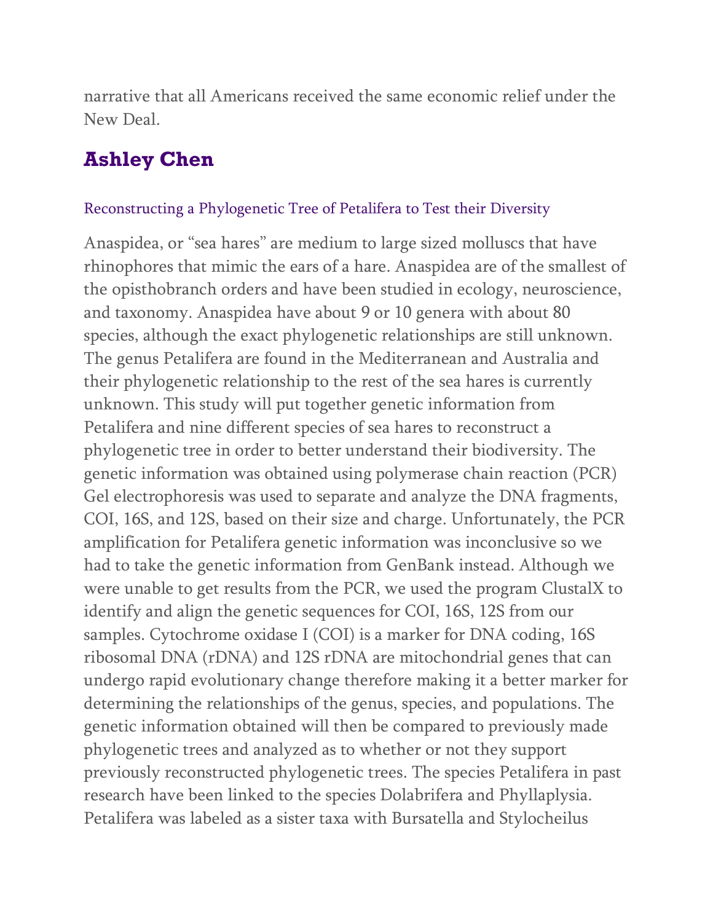narrative that all Americans received the same economic relief under the New Deal.

# **Ashley Chen**

#### Reconstructing a Phylogenetic Tree of Petalifera to Test their Diversity

Anaspidea, or "sea hares" are medium to large sized molluscs that have rhinophores that mimic the ears of a hare. Anaspidea are of the smallest of the opisthobranch orders and have been studied in ecology, neuroscience, and taxonomy. Anaspidea have about 9 or 10 genera with about 80 species, although the exact phylogenetic relationships are still unknown. The genus Petalifera are found in the Mediterranean and Australia and their phylogenetic relationship to the rest of the sea hares is currently unknown. This study will put together genetic information from Petalifera and nine different species of sea hares to reconstruct a phylogenetic tree in order to better understand their biodiversity. The genetic information was obtained using polymerase chain reaction (PCR) Gel electrophoresis was used to separate and analyze the DNA fragments, COI, 16S, and 12S, based on their size and charge. Unfortunately, the PCR amplification for Petalifera genetic information was inconclusive so we had to take the genetic information from GenBank instead. Although we were unable to get results from the PCR, we used the program ClustalX to identify and align the genetic sequences for COI, 16S, 12S from our samples. Cytochrome oxidase I (COI) is a marker for DNA coding, 16S ribosomal DNA (rDNA) and 12S rDNA are mitochondrial genes that can undergo rapid evolutionary change therefore making it a better marker for determining the relationships of the genus, species, and populations. The genetic information obtained will then be compared to previously made phylogenetic trees and analyzed as to whether or not they support previously reconstructed phylogenetic trees. The species Petalifera in past research have been linked to the species Dolabrifera and Phyllaplysia. Petalifera was labeled as a sister taxa with Bursatella and Stylocheilus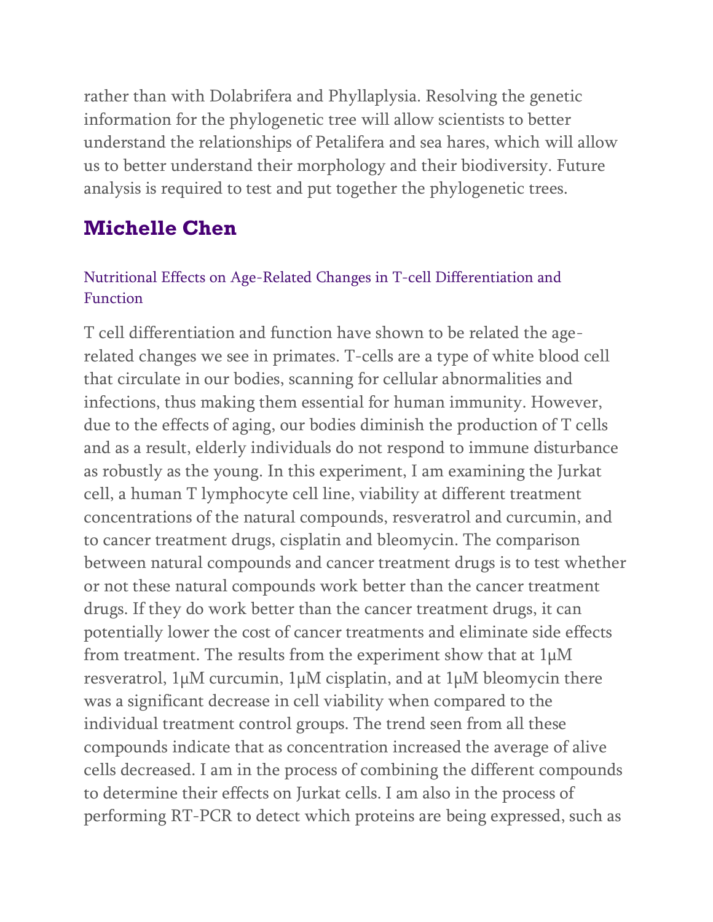rather than with Dolabrifera and Phyllaplysia. Resolving the genetic information for the phylogenetic tree will allow scientists to better understand the relationships of Petalifera and sea hares, which will allow us to better understand their morphology and their biodiversity. Future analysis is required to test and put together the phylogenetic trees.

# **Michelle Chen**

### Nutritional Effects on Age-Related Changes in T-cell Differentiation and Function

T cell differentiation and function have shown to be related the agerelated changes we see in primates. T-cells are a type of white blood cell that circulate in our bodies, scanning for cellular abnormalities and infections, thus making them essential for human immunity. However, due to the effects of aging, our bodies diminish the production of T cells and as a result, elderly individuals do not respond to immune disturbance as robustly as the young. In this experiment, I am examining the Jurkat cell, a human T lymphocyte cell line, viability at different treatment concentrations of the natural compounds, resveratrol and curcumin, and to cancer treatment drugs, cisplatin and bleomycin. The comparison between natural compounds and cancer treatment drugs is to test whether or not these natural compounds work better than the cancer treatment drugs. If they do work better than the cancer treatment drugs, it can potentially lower the cost of cancer treatments and eliminate side effects from treatment. The results from the experiment show that at 1µM resveratrol, 1µM curcumin, 1µM cisplatin, and at 1µM bleomycin there was a significant decrease in cell viability when compared to the individual treatment control groups. The trend seen from all these compounds indicate that as concentration increased the average of alive cells decreased. I am in the process of combining the different compounds to determine their effects on Jurkat cells. I am also in the process of performing RT-PCR to detect which proteins are being expressed, such as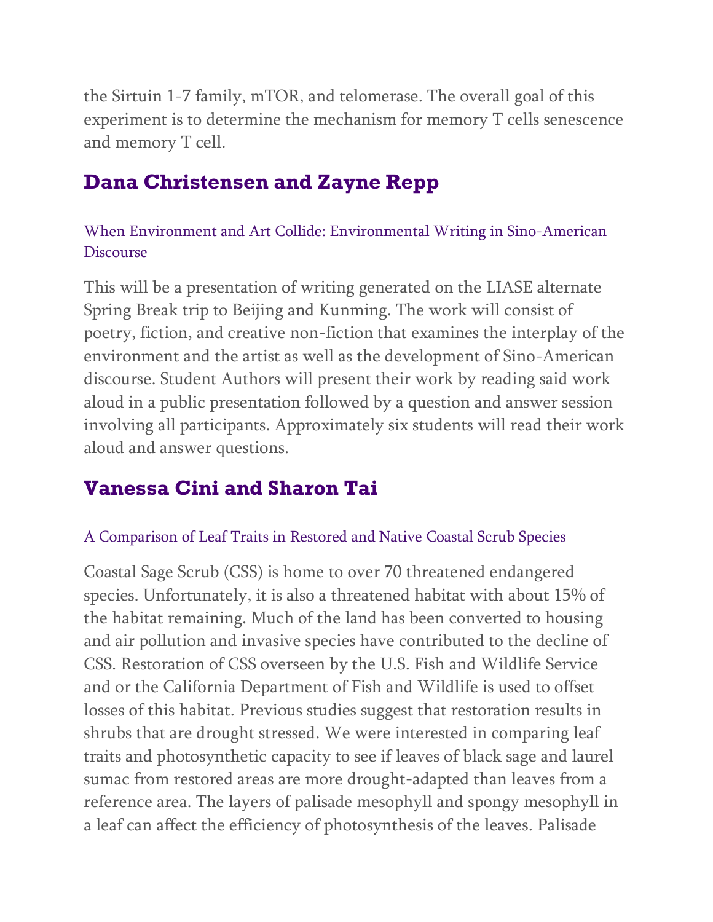the Sirtuin 1-7 family, mTOR, and telomerase. The overall goal of this experiment is to determine the mechanism for memory T cells senescence and memory T cell.

# **Dana Christensen and Zayne Repp**

### When Environment and Art Collide: Environmental Writing in Sino-American Discourse

This will be a presentation of writing generated on the LIASE alternate Spring Break trip to Beijing and Kunming. The work will consist of poetry, fiction, and creative non-fiction that examines the interplay of the environment and the artist as well as the development of Sino-American discourse. Student Authors will present their work by reading said work aloud in a public presentation followed by a question and answer session involving all participants. Approximately six students will read their work aloud and answer questions.

# **Vanessa Cini and Sharon Tai**

#### A Comparison of Leaf Traits in Restored and Native Coastal Scrub Species

Coastal Sage Scrub (CSS) is home to over 70 threatened endangered species. Unfortunately, it is also a threatened habitat with about 15% of the habitat remaining. Much of the land has been converted to housing and air pollution and invasive species have contributed to the decline of CSS. Restoration of CSS overseen by the U.S. Fish and Wildlife Service and or the California Department of Fish and Wildlife is used to offset losses of this habitat. Previous studies suggest that restoration results in shrubs that are drought stressed. We were interested in comparing leaf traits and photosynthetic capacity to see if leaves of black sage and laurel sumac from restored areas are more drought-adapted than leaves from a reference area. The layers of palisade mesophyll and spongy mesophyll in a leaf can affect the efficiency of photosynthesis of the leaves. Palisade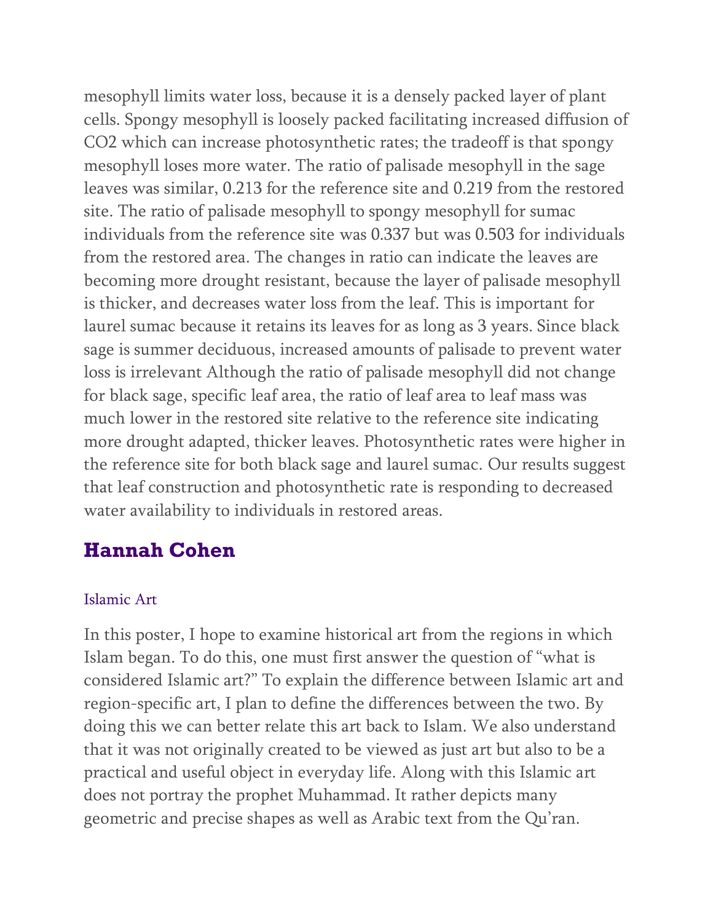mesophyll limits water loss, because it is a densely packed layer of plant cells. Spongy mesophyll is loosely packed facilitating increased diffusion of CO2 which can increase photosynthetic rates; the tradeoff is that spongy mesophyll loses more water. The ratio of palisade mesophyll in the sage leaves was similar, 0.213 for the reference site and 0.219 from the restored site. The ratio of palisade mesophyll to spongy mesophyll for sumac individuals from the reference site was 0.337 but was 0.503 for individuals from the restored area. The changes in ratio can indicate the leaves are becoming more drought resistant, because the layer of palisade mesophyll is thicker, and decreases water loss from the leaf. This is important for laurel sumac because it retains its leaves for as long as 3 years. Since black sage is summer deciduous, increased amounts of palisade to prevent water loss is irrelevant Although the ratio of palisade mesophyll did not change for black sage, specific leaf area, the ratio of leaf area to leaf mass was much lower in the restored site relative to the reference site indicating more drought adapted, thicker leaves. Photosynthetic rates were higher in the reference site for both black sage and laurel sumac. Our results suggest that leaf construction and photosynthetic rate is responding to decreased water availability to individuals in restored areas.

# **Hannah Cohen**

#### Islamic Art

In this poster, I hope to examine historical art from the regions in which Islam began. To do this, one must first answer the question of "what is considered Islamic art?" To explain the difference between Islamic art and region-specific art, I plan to define the differences between the two. By doing this we can better relate this art back to Islam. We also understand that it was not originally created to be viewed as just art but also to be a practical and useful object in everyday life. Along with this Islamic art does not portray the prophet Muhammad. It rather depicts many geometric and precise shapes as well as Arabic text from the Qu'ran.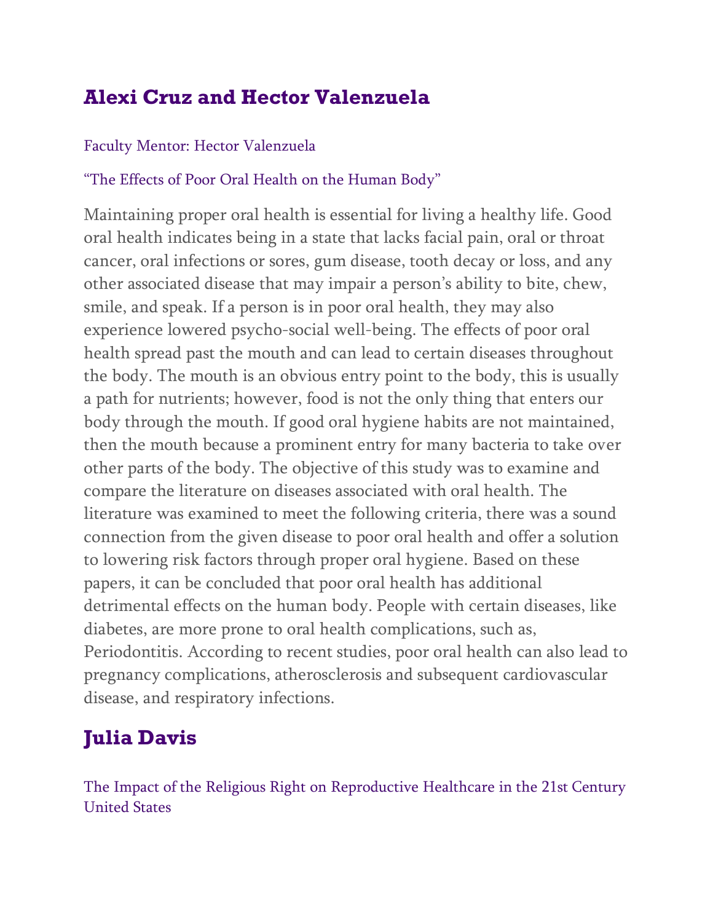# **Alexi Cruz and Hector Valenzuela**

### Faculty Mentor: Hector Valenzuela

### "The Effects of Poor Oral Health on the Human Body"

Maintaining proper oral health is essential for living a healthy life. Good oral health indicates being in a state that lacks facial pain, oral or throat cancer, oral infections or sores, gum disease, tooth decay or loss, and any other associated disease that may impair a person's ability to bite, chew, smile, and speak. If a person is in poor oral health, they may also experience lowered psycho-social well-being. The effects of poor oral health spread past the mouth and can lead to certain diseases throughout the body. The mouth is an obvious entry point to the body, this is usually a path for nutrients; however, food is not the only thing that enters our body through the mouth. If good oral hygiene habits are not maintained, then the mouth because a prominent entry for many bacteria to take over other parts of the body. The objective of this study was to examine and compare the literature on diseases associated with oral health. The literature was examined to meet the following criteria, there was a sound connection from the given disease to poor oral health and offer a solution to lowering risk factors through proper oral hygiene. Based on these papers, it can be concluded that poor oral health has additional detrimental effects on the human body. People with certain diseases, like diabetes, are more prone to oral health complications, such as, Periodontitis. According to recent studies, poor oral health can also lead to pregnancy complications, atherosclerosis and subsequent cardiovascular disease, and respiratory infections.

# **Julia Davis**

The Impact of the Religious Right on Reproductive Healthcare in the 21st Century United States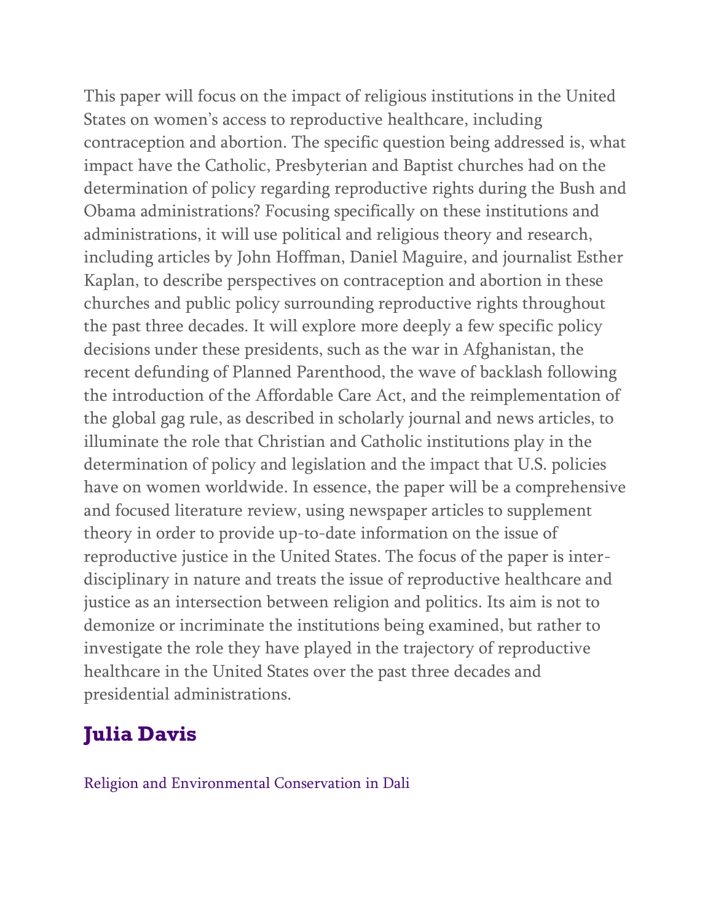This paper will focus on the impact of religious institutions in the United States on women's access to reproductive healthcare, including contraception and abortion. The specific question being addressed is, what impact have the Catholic, Presbyterian and Baptist churches had on the determination of policy regarding reproductive rights during the Bush and Obama administrations? Focusing specifically on these institutions and administrations, it will use political and religious theory and research, including articles by John Hoffman, Daniel Maguire, and journalist Esther Kaplan, to describe perspectives on contraception and abortion in these churches and public policy surrounding reproductive rights throughout the past three decades. It will explore more deeply a few specific policy decisions under these presidents, such as the war in Afghanistan, the recent defunding of Planned Parenthood, the wave of backlash following the introduction of the Affordable Care Act, and the reimplementation of the global gag rule, as described in scholarly journal and news articles, to illuminate the role that Christian and Catholic institutions play in the determination of policy and legislation and the impact that U.S. policies have on women worldwide. In essence, the paper will be a comprehensive and focused literature review, using newspaper articles to supplement theory in order to provide up-to-date information on the issue of reproductive justice in the United States. The focus of the paper is interdisciplinary in nature and treats the issue of reproductive healthcare and justice as an intersection between religion and politics. Its aim is not to demonize or incriminate the institutions being examined, but rather to investigate the role they have played in the trajectory of reproductive healthcare in the United States over the past three decades and presidential administrations.

# **Julia Davis**

Religion and Environmental Conservation in Dali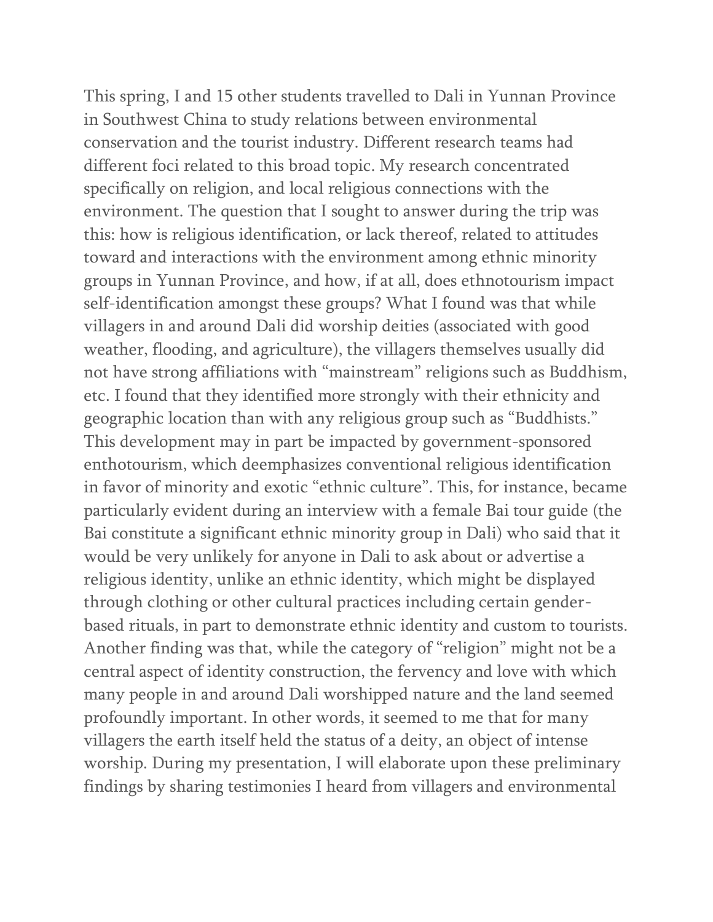This spring, I and 15 other students travelled to Dali in Yunnan Province in Southwest China to study relations between environmental conservation and the tourist industry. Different research teams had different foci related to this broad topic. My research concentrated specifically on religion, and local religious connections with the environment. The question that I sought to answer during the trip was this: how is religious identification, or lack thereof, related to attitudes toward and interactions with the environment among ethnic minority groups in Yunnan Province, and how, if at all, does ethnotourism impact self-identification amongst these groups? What I found was that while villagers in and around Dali did worship deities (associated with good weather, flooding, and agriculture), the villagers themselves usually did not have strong affiliations with "mainstream" religions such as Buddhism, etc. I found that they identified more strongly with their ethnicity and geographic location than with any religious group such as "Buddhists." This development may in part be impacted by government-sponsored enthotourism, which deemphasizes conventional religious identification in favor of minority and exotic "ethnic culture". This, for instance, became particularly evident during an interview with a female Bai tour guide (the Bai constitute a significant ethnic minority group in Dali) who said that it would be very unlikely for anyone in Dali to ask about or advertise a religious identity, unlike an ethnic identity, which might be displayed through clothing or other cultural practices including certain genderbased rituals, in part to demonstrate ethnic identity and custom to tourists. Another finding was that, while the category of "religion" might not be a central aspect of identity construction, the fervency and love with which many people in and around Dali worshipped nature and the land seemed profoundly important. In other words, it seemed to me that for many villagers the earth itself held the status of a deity, an object of intense worship. During my presentation, I will elaborate upon these preliminary findings by sharing testimonies I heard from villagers and environmental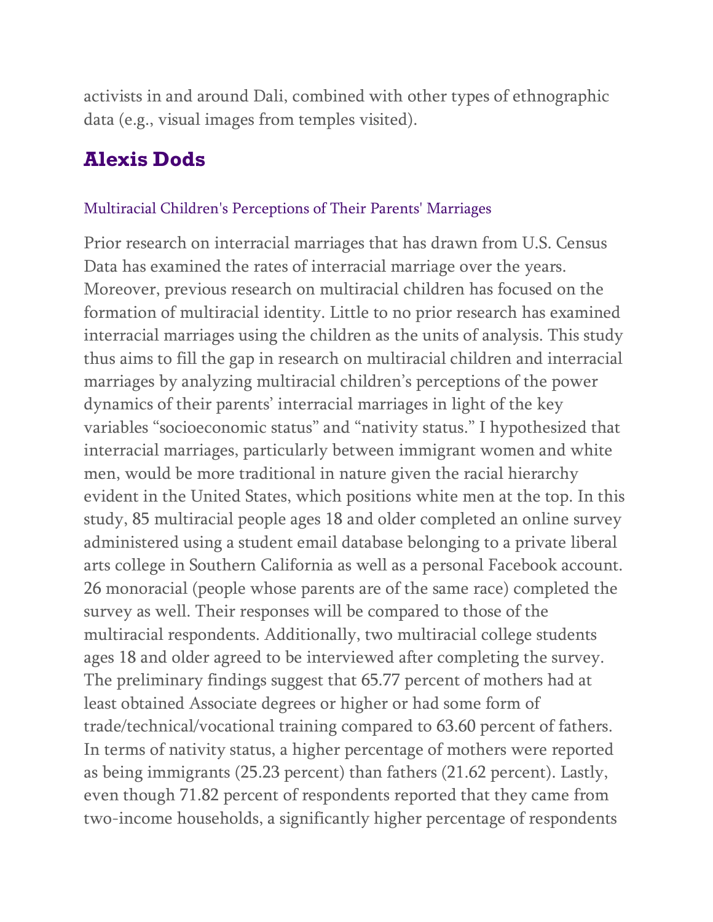activists in and around Dali, combined with other types of ethnographic data (e.g., visual images from temples visited).

### **Alexis Dods**

#### Multiracial Children's Perceptions of Their Parents' Marriages

Prior research on interracial marriages that has drawn from U.S. Census Data has examined the rates of interracial marriage over the years. Moreover, previous research on multiracial children has focused on the formation of multiracial identity. Little to no prior research has examined interracial marriages using the children as the units of analysis. This study thus aims to fill the gap in research on multiracial children and interracial marriages by analyzing multiracial children's perceptions of the power dynamics of their parents' interracial marriages in light of the key variables "socioeconomic status" and "nativity status." I hypothesized that interracial marriages, particularly between immigrant women and white men, would be more traditional in nature given the racial hierarchy evident in the United States, which positions white men at the top. In this study, 85 multiracial people ages 18 and older completed an online survey administered using a student email database belonging to a private liberal arts college in Southern California as well as a personal Facebook account. 26 monoracial (people whose parents are of the same race) completed the survey as well. Their responses will be compared to those of the multiracial respondents. Additionally, two multiracial college students ages 18 and older agreed to be interviewed after completing the survey. The preliminary findings suggest that 65.77 percent of mothers had at least obtained Associate degrees or higher or had some form of trade/technical/vocational training compared to 63.60 percent of fathers. In terms of nativity status, a higher percentage of mothers were reported as being immigrants (25.23 percent) than fathers (21.62 percent). Lastly, even though 71.82 percent of respondents reported that they came from two-income households, a significantly higher percentage of respondents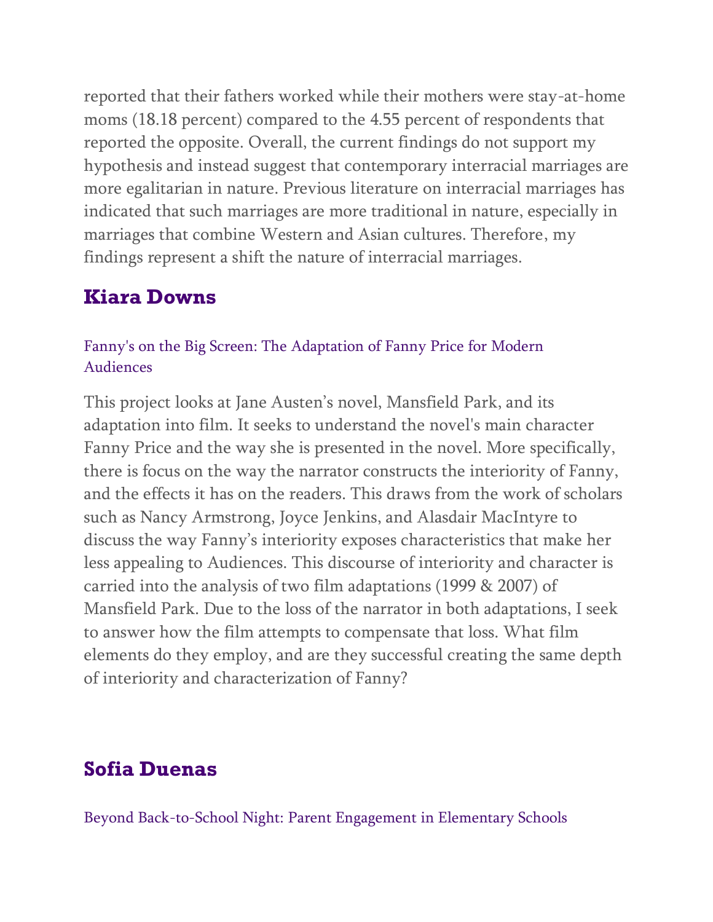reported that their fathers worked while their mothers were stay-at-home moms (18.18 percent) compared to the 4.55 percent of respondents that reported the opposite. Overall, the current findings do not support my hypothesis and instead suggest that contemporary interracial marriages are more egalitarian in nature. Previous literature on interracial marriages has indicated that such marriages are more traditional in nature, especially in marriages that combine Western and Asian cultures. Therefore, my findings represent a shift the nature of interracial marriages.

# **Kiara Downs**

### Fanny's on the Big Screen: The Adaptation of Fanny Price for Modern Audiences

This project looks at Jane Austen's novel, Mansfield Park, and its adaptation into film. It seeks to understand the novel's main character Fanny Price and the way she is presented in the novel. More specifically, there is focus on the way the narrator constructs the interiority of Fanny, and the effects it has on the readers. This draws from the work of scholars such as Nancy Armstrong, Joyce Jenkins, and Alasdair MacIntyre to discuss the way Fanny's interiority exposes characteristics that make her less appealing to Audiences. This discourse of interiority and character is carried into the analysis of two film adaptations (1999 & 2007) of Mansfield Park. Due to the loss of the narrator in both adaptations, I seek to answer how the film attempts to compensate that loss. What film elements do they employ, and are they successful creating the same depth of interiority and characterization of Fanny?

# **Sofia Duenas**

Beyond Back-to-School Night: Parent Engagement in Elementary Schools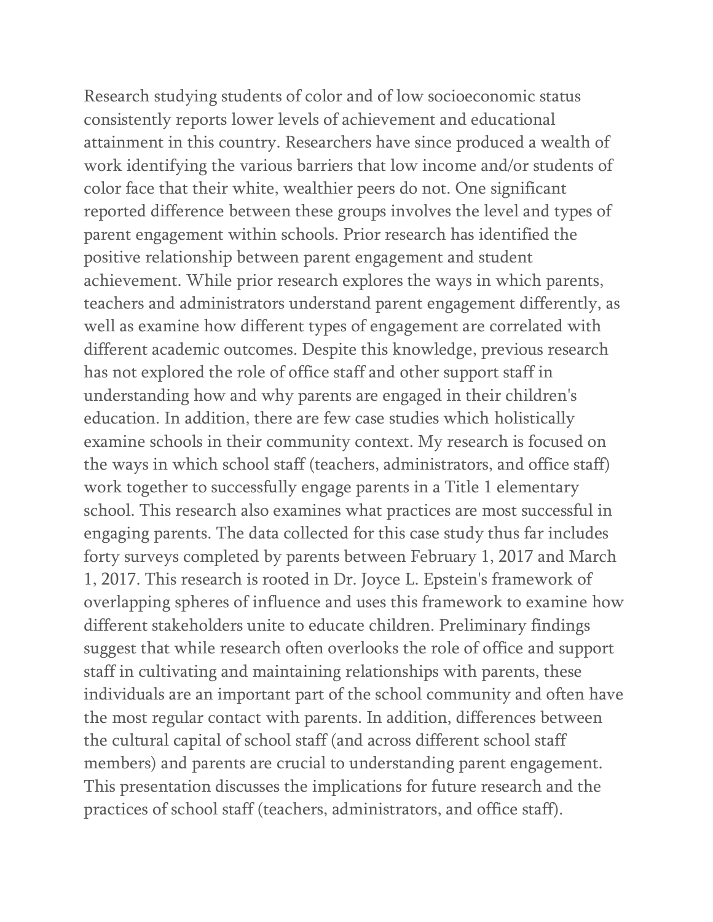Research studying students of color and of low socioeconomic status consistently reports lower levels of achievement and educational attainment in this country. Researchers have since produced a wealth of work identifying the various barriers that low income and/or students of color face that their white, wealthier peers do not. One significant reported difference between these groups involves the level and types of parent engagement within schools. Prior research has identified the positive relationship between parent engagement and student achievement. While prior research explores the ways in which parents, teachers and administrators understand parent engagement differently, as well as examine how different types of engagement are correlated with different academic outcomes. Despite this knowledge, previous research has not explored the role of office staff and other support staff in understanding how and why parents are engaged in their children's education. In addition, there are few case studies which holistically examine schools in their community context. My research is focused on the ways in which school staff (teachers, administrators, and office staff) work together to successfully engage parents in a Title 1 elementary school. This research also examines what practices are most successful in engaging parents. The data collected for this case study thus far includes forty surveys completed by parents between February 1, 2017 and March 1, 2017. This research is rooted in Dr. Joyce L. Epstein's framework of overlapping spheres of influence and uses this framework to examine how different stakeholders unite to educate children. Preliminary findings suggest that while research often overlooks the role of office and support staff in cultivating and maintaining relationships with parents, these individuals are an important part of the school community and often have the most regular contact with parents. In addition, differences between the cultural capital of school staff (and across different school staff members) and parents are crucial to understanding parent engagement. This presentation discusses the implications for future research and the practices of school staff (teachers, administrators, and office staff).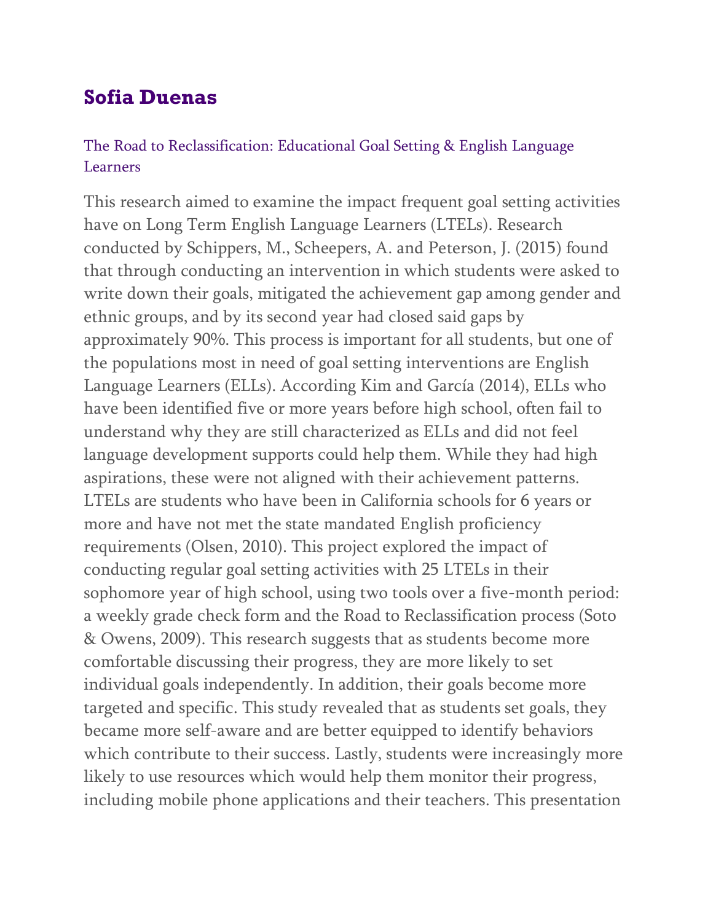# **Sofia Duenas**

### The Road to Reclassification: Educational Goal Setting & English Language Learners

This research aimed to examine the impact frequent goal setting activities have on Long Term English Language Learners (LTELs). Research conducted by Schippers, M., Scheepers, A. and Peterson, J. (2015) found that through conducting an intervention in which students were asked to write down their goals, mitigated the achievement gap among gender and ethnic groups, and by its second year had closed said gaps by approximately 90%. This process is important for all students, but one of the populations most in need of goal setting interventions are English Language Learners (ELLs). According Kim and García (2014), ELLs who have been identified five or more years before high school, often fail to understand why they are still characterized as ELLs and did not feel language development supports could help them. While they had high aspirations, these were not aligned with their achievement patterns. LTELs are students who have been in California schools for 6 years or more and have not met the state mandated English proficiency requirements (Olsen, 2010). This project explored the impact of conducting regular goal setting activities with 25 LTELs in their sophomore year of high school, using two tools over a five-month period: a weekly grade check form and the Road to Reclassification process (Soto & Owens, 2009). This research suggests that as students become more comfortable discussing their progress, they are more likely to set individual goals independently. In addition, their goals become more targeted and specific. This study revealed that as students set goals, they became more self-aware and are better equipped to identify behaviors which contribute to their success. Lastly, students were increasingly more likely to use resources which would help them monitor their progress, including mobile phone applications and their teachers. This presentation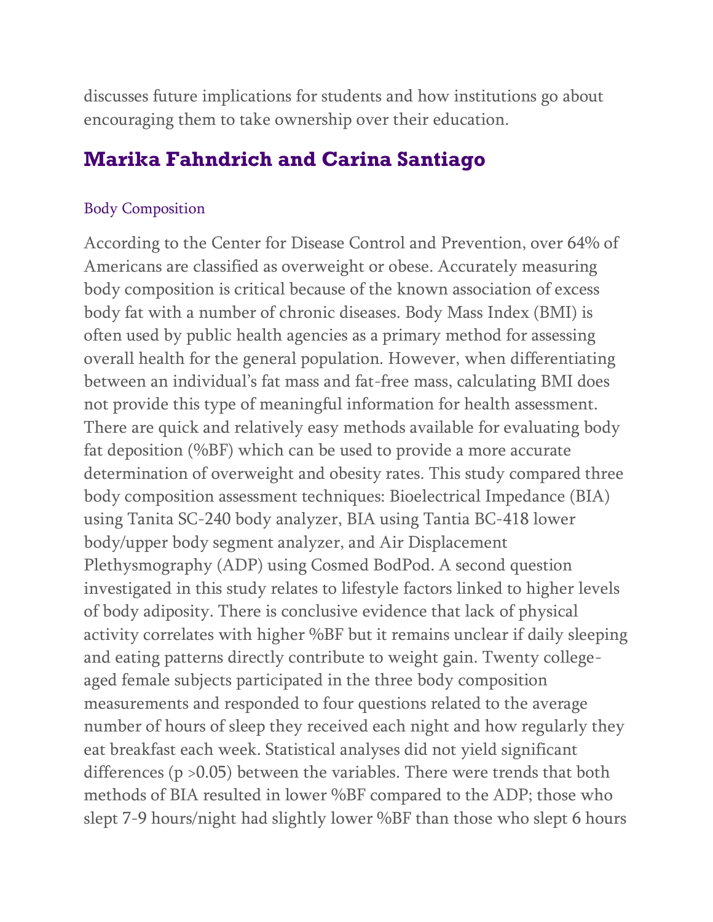discusses future implications for students and how institutions go about encouraging them to take ownership over their education.

### **Marika Fahndrich and Carina Santiago**

#### Body Composition

According to the Center for Disease Control and Prevention, over 64% of Americans are classified as overweight or obese. Accurately measuring body composition is critical because of the known association of excess body fat with a number of chronic diseases. Body Mass Index (BMI) is often used by public health agencies as a primary method for assessing overall health for the general population. However, when differentiating between an individual's fat mass and fat-free mass, calculating BMI does not provide this type of meaningful information for health assessment. There are quick and relatively easy methods available for evaluating body fat deposition (%BF) which can be used to provide a more accurate determination of overweight and obesity rates. This study compared three body composition assessment techniques: Bioelectrical Impedance (BIA) using Tanita SC-240 body analyzer, BIA using Tantia BC-418 lower body/upper body segment analyzer, and Air Displacement Plethysmography (ADP) using Cosmed BodPod. A second question investigated in this study relates to lifestyle factors linked to higher levels of body adiposity. There is conclusive evidence that lack of physical activity correlates with higher %BF but it remains unclear if daily sleeping and eating patterns directly contribute to weight gain. Twenty collegeaged female subjects participated in the three body composition measurements and responded to four questions related to the average number of hours of sleep they received each night and how regularly they eat breakfast each week. Statistical analyses did not yield significant differences (p >0.05) between the variables. There were trends that both methods of BIA resulted in lower %BF compared to the ADP; those who slept 7-9 hours/night had slightly lower %BF than those who slept 6 hours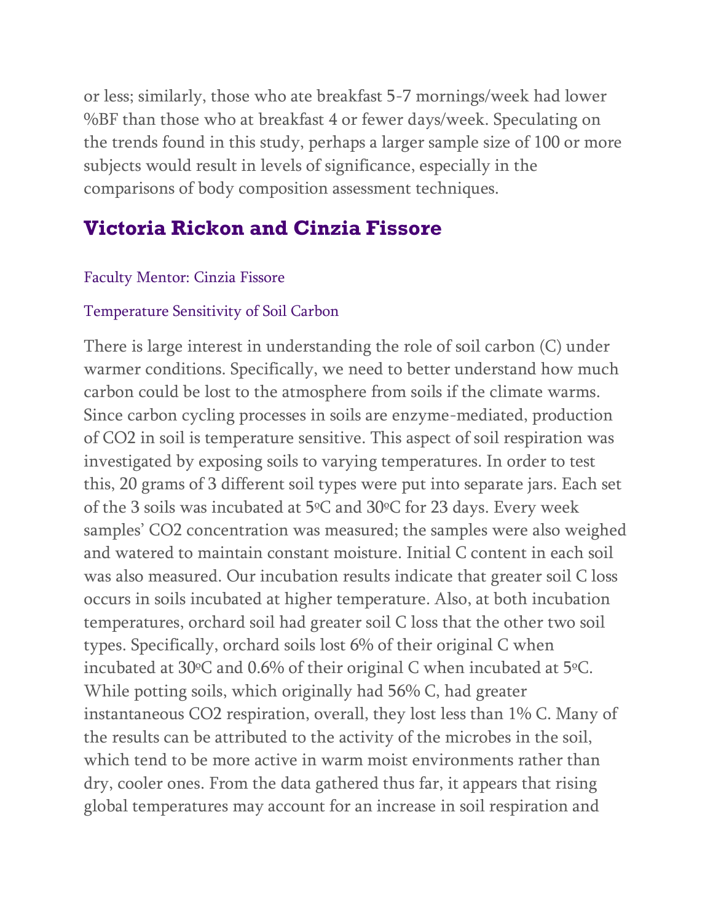or less; similarly, those who ate breakfast 5-7 mornings/week had lower %BF than those who at breakfast 4 or fewer days/week. Speculating on the trends found in this study, perhaps a larger sample size of 100 or more subjects would result in levels of significance, especially in the comparisons of body composition assessment techniques.

# **Victoria Rickon and Cinzia Fissore**

#### Faculty Mentor: Cinzia Fissore

#### Temperature Sensitivity of Soil Carbon

There is large interest in understanding the role of soil carbon (C) under warmer conditions. Specifically, we need to better understand how much carbon could be lost to the atmosphere from soils if the climate warms. Since carbon cycling processes in soils are enzyme-mediated, production of CO2 in soil is temperature sensitive. This aspect of soil respiration was investigated by exposing soils to varying temperatures. In order to test this, 20 grams of 3 different soil types were put into separate jars. Each set of the 3 soils was incubated at 5ºC and 30ºC for 23 days. Every week samples' CO2 concentration was measured; the samples were also weighed and watered to maintain constant moisture. Initial C content in each soil was also measured. Our incubation results indicate that greater soil C loss occurs in soils incubated at higher temperature. Also, at both incubation temperatures, orchard soil had greater soil C loss that the other two soil types. Specifically, orchard soils lost 6% of their original C when incubated at 30ºC and 0.6% of their original C when incubated at 5ºC. While potting soils, which originally had 56% C, had greater instantaneous CO2 respiration, overall, they lost less than 1% C. Many of the results can be attributed to the activity of the microbes in the soil, which tend to be more active in warm moist environments rather than dry, cooler ones. From the data gathered thus far, it appears that rising global temperatures may account for an increase in soil respiration and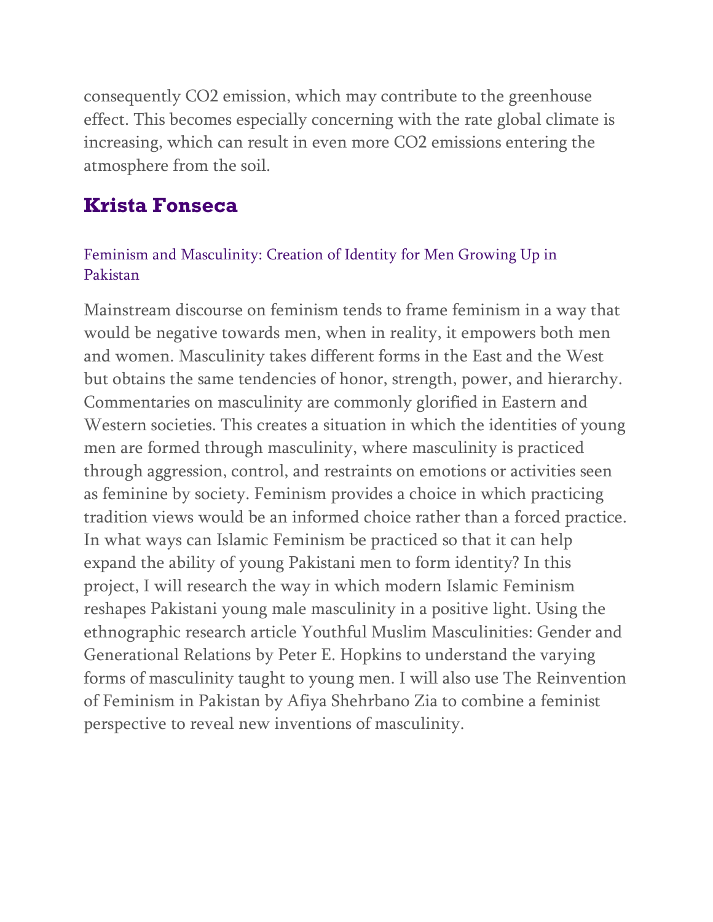consequently CO2 emission, which may contribute to the greenhouse effect. This becomes especially concerning with the rate global climate is increasing, which can result in even more CO2 emissions entering the atmosphere from the soil.

### **Krista Fonseca**

#### Feminism and Masculinity: Creation of Identity for Men Growing Up in Pakistan

Mainstream discourse on feminism tends to frame feminism in a way that would be negative towards men, when in reality, it empowers both men and women. Masculinity takes different forms in the East and the West but obtains the same tendencies of honor, strength, power, and hierarchy. Commentaries on masculinity are commonly glorified in Eastern and Western societies. This creates a situation in which the identities of young men are formed through masculinity, where masculinity is practiced through aggression, control, and restraints on emotions or activities seen as feminine by society. Feminism provides a choice in which practicing tradition views would be an informed choice rather than a forced practice. In what ways can Islamic Feminism be practiced so that it can help expand the ability of young Pakistani men to form identity? In this project, I will research the way in which modern Islamic Feminism reshapes Pakistani young male masculinity in a positive light. Using the ethnographic research article Youthful Muslim Masculinities: Gender and Generational Relations by Peter E. Hopkins to understand the varying forms of masculinity taught to young men. I will also use The Reinvention of Feminism in Pakistan by Afiya Shehrbano Zia to combine a feminist perspective to reveal new inventions of masculinity.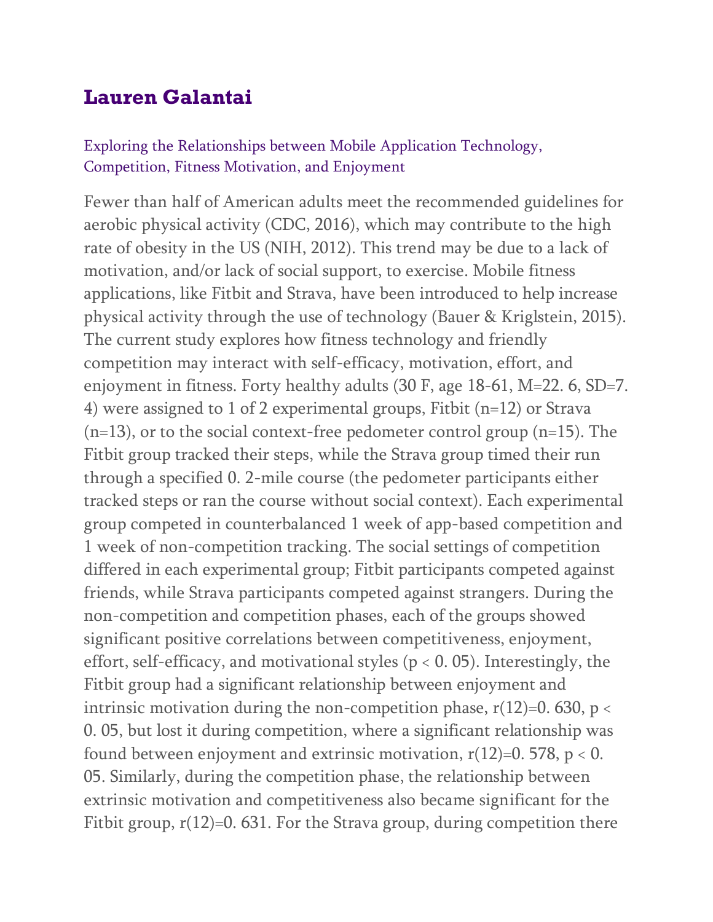## **Lauren Galantai**

#### Exploring the Relationships between Mobile Application Technology, Competition, Fitness Motivation, and Enjoyment

Fewer than half of American adults meet the recommended guidelines for aerobic physical activity (CDC, 2016), which may contribute to the high rate of obesity in the US (NIH, 2012). This trend may be due to a lack of motivation, and/or lack of social support, to exercise. Mobile fitness applications, like Fitbit and Strava, have been introduced to help increase physical activity through the use of technology (Bauer & Kriglstein, 2015). The current study explores how fitness technology and friendly competition may interact with self-efficacy, motivation, effort, and enjoyment in fitness. Forty healthy adults (30 F, age 18-61, M=22. 6, SD=7. 4) were assigned to 1 of 2 experimental groups, Fitbit (n=12) or Strava  $(n=13)$ , or to the social context-free pedometer control group  $(n=15)$ . The Fitbit group tracked their steps, while the Strava group timed their run through a specified 0. 2-mile course (the pedometer participants either tracked steps or ran the course without social context). Each experimental group competed in counterbalanced 1 week of app-based competition and 1 week of non-competition tracking. The social settings of competition differed in each experimental group; Fitbit participants competed against friends, while Strava participants competed against strangers. During the non-competition and competition phases, each of the groups showed significant positive correlations between competitiveness, enjoyment, effort, self-efficacy, and motivational styles ( $p < 0$ . 05). Interestingly, the Fitbit group had a significant relationship between enjoyment and intrinsic motivation during the non-competition phase,  $r(12)=0.630$ ,  $p <$ 0. 05, but lost it during competition, where a significant relationship was found between enjoyment and extrinsic motivation,  $r(12)=0.578$ ,  $p < 0$ . 05. Similarly, during the competition phase, the relationship between extrinsic motivation and competitiveness also became significant for the Fitbit group,  $r(12)=0.631$ . For the Strava group, during competition there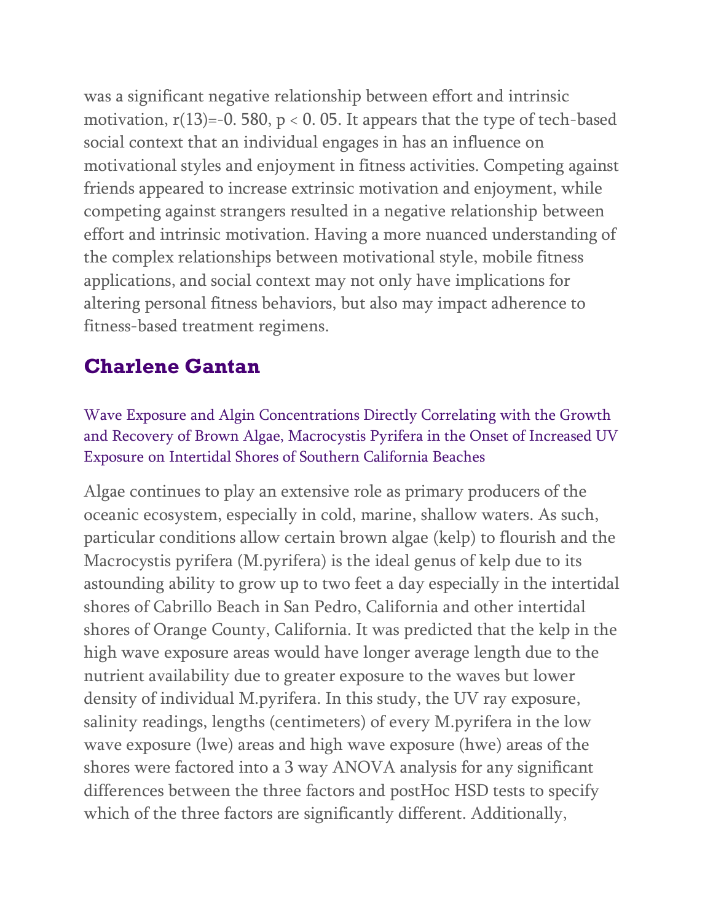was a significant negative relationship between effort and intrinsic motivation,  $r(13)=-0.580$ ,  $p < 0.05$ . It appears that the type of tech-based social context that an individual engages in has an influence on motivational styles and enjoyment in fitness activities. Competing against friends appeared to increase extrinsic motivation and enjoyment, while competing against strangers resulted in a negative relationship between effort and intrinsic motivation. Having a more nuanced understanding of the complex relationships between motivational style, mobile fitness applications, and social context may not only have implications for altering personal fitness behaviors, but also may impact adherence to fitness-based treatment regimens.

## **Charlene Gantan**

Wave Exposure and Algin Concentrations Directly Correlating with the Growth and Recovery of Brown Algae, Macrocystis Pyrifera in the Onset of Increased UV Exposure on Intertidal Shores of Southern California Beaches

Algae continues to play an extensive role as primary producers of the oceanic ecosystem, especially in cold, marine, shallow waters. As such, particular conditions allow certain brown algae (kelp) to flourish and the Macrocystis pyrifera (M.pyrifera) is the ideal genus of kelp due to its astounding ability to grow up to two feet a day especially in the intertidal shores of Cabrillo Beach in San Pedro, California and other intertidal shores of Orange County, California. It was predicted that the kelp in the high wave exposure areas would have longer average length due to the nutrient availability due to greater exposure to the waves but lower density of individual M.pyrifera. In this study, the UV ray exposure, salinity readings, lengths (centimeters) of every M.pyrifera in the low wave exposure (lwe) areas and high wave exposure (hwe) areas of the shores were factored into a 3 way ANOVA analysis for any significant differences between the three factors and postHoc HSD tests to specify which of the three factors are significantly different. Additionally,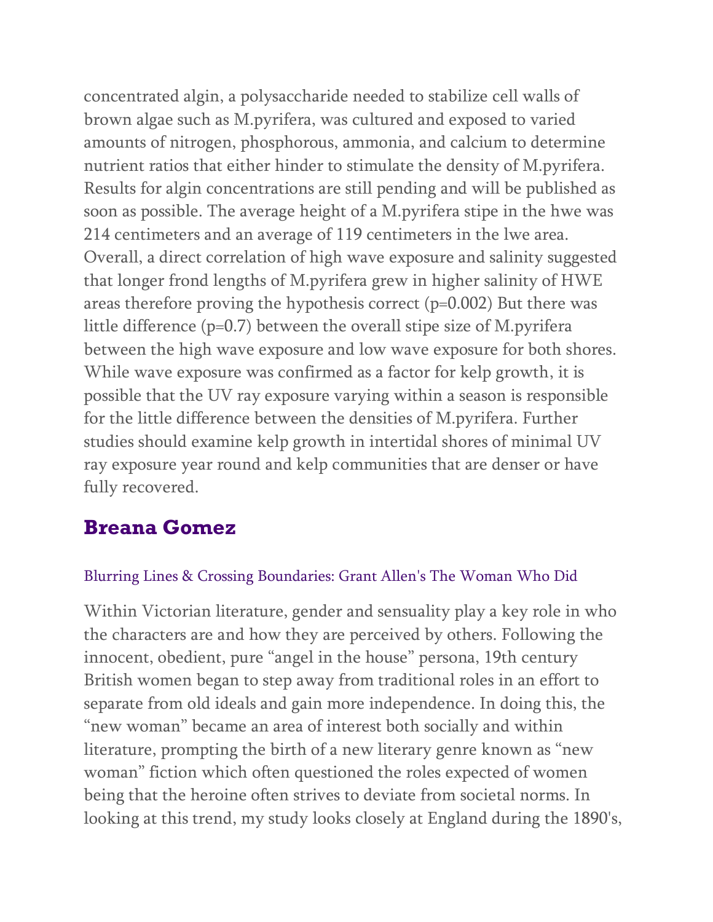concentrated algin, a polysaccharide needed to stabilize cell walls of brown algae such as M.pyrifera, was cultured and exposed to varied amounts of nitrogen, phosphorous, ammonia, and calcium to determine nutrient ratios that either hinder to stimulate the density of M.pyrifera. Results for algin concentrations are still pending and will be published as soon as possible. The average height of a M.pyrifera stipe in the hwe was 214 centimeters and an average of 119 centimeters in the lwe area. Overall, a direct correlation of high wave exposure and salinity suggested that longer frond lengths of M.pyrifera grew in higher salinity of HWE areas therefore proving the hypothesis correct (p=0.002) But there was little difference (p=0.7) between the overall stipe size of M.pyrifera between the high wave exposure and low wave exposure for both shores. While wave exposure was confirmed as a factor for kelp growth, it is possible that the UV ray exposure varying within a season is responsible for the little difference between the densities of M.pyrifera. Further studies should examine kelp growth in intertidal shores of minimal UV ray exposure year round and kelp communities that are denser or have fully recovered.

### **Breana Gomez**

#### Blurring Lines & Crossing Boundaries: Grant Allen's The Woman Who Did

Within Victorian literature, gender and sensuality play a key role in who the characters are and how they are perceived by others. Following the innocent, obedient, pure "angel in the house" persona, 19th century British women began to step away from traditional roles in an effort to separate from old ideals and gain more independence. In doing this, the "new woman" became an area of interest both socially and within literature, prompting the birth of a new literary genre known as "new woman" fiction which often questioned the roles expected of women being that the heroine often strives to deviate from societal norms. In looking at this trend, my study looks closely at England during the 1890's,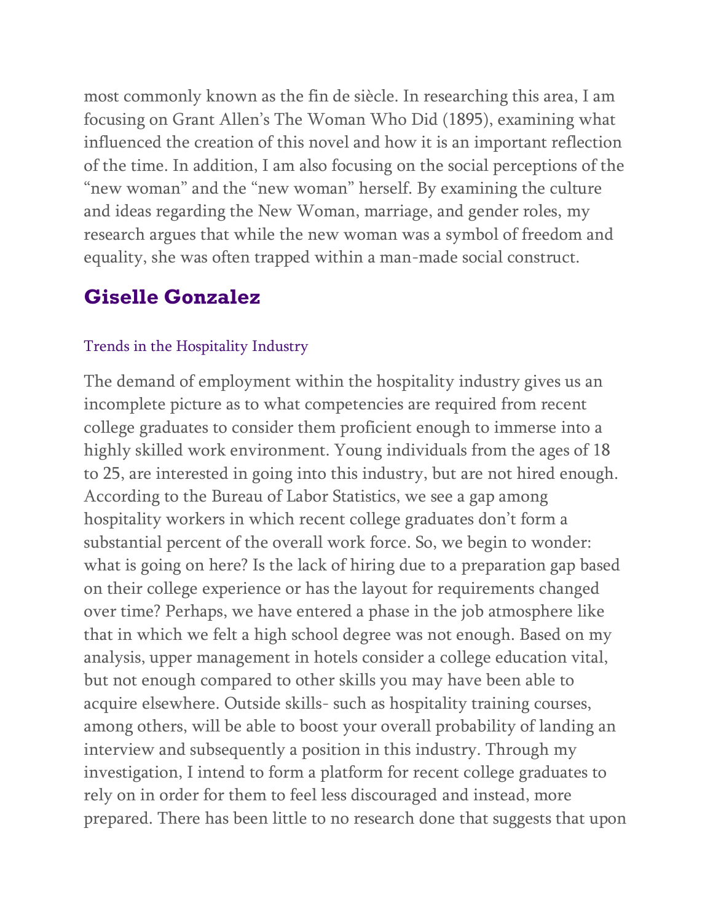most commonly known as the fin de siècle. In researching this area, I am focusing on Grant Allen's The Woman Who Did (1895), examining what influenced the creation of this novel and how it is an important reflection of the time. In addition, I am also focusing on the social perceptions of the "new woman" and the "new woman" herself. By examining the culture and ideas regarding the New Woman, marriage, and gender roles, my research argues that while the new woman was a symbol of freedom and equality, she was often trapped within a man-made social construct.

### **Giselle Gonzalez**

#### Trends in the Hospitality Industry

The demand of employment within the hospitality industry gives us an incomplete picture as to what competencies are required from recent college graduates to consider them proficient enough to immerse into a highly skilled work environment. Young individuals from the ages of 18 to 25, are interested in going into this industry, but are not hired enough. According to the Bureau of Labor Statistics, we see a gap among hospitality workers in which recent college graduates don't form a substantial percent of the overall work force. So, we begin to wonder: what is going on here? Is the lack of hiring due to a preparation gap based on their college experience or has the layout for requirements changed over time? Perhaps, we have entered a phase in the job atmosphere like that in which we felt a high school degree was not enough. Based on my analysis, upper management in hotels consider a college education vital, but not enough compared to other skills you may have been able to acquire elsewhere. Outside skills- such as hospitality training courses, among others, will be able to boost your overall probability of landing an interview and subsequently a position in this industry. Through my investigation, I intend to form a platform for recent college graduates to rely on in order for them to feel less discouraged and instead, more prepared. There has been little to no research done that suggests that upon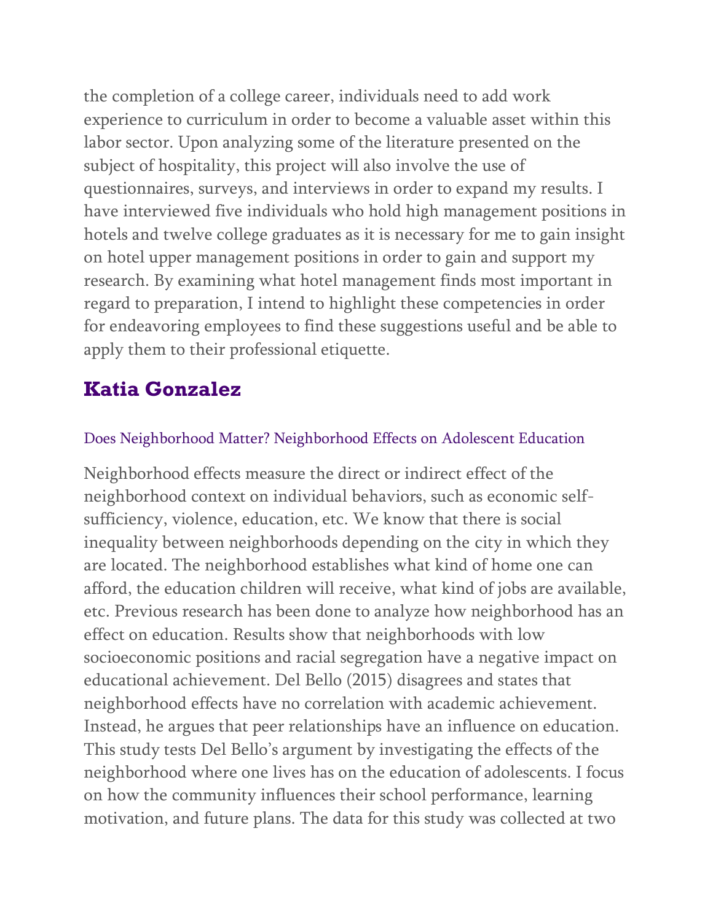the completion of a college career, individuals need to add work experience to curriculum in order to become a valuable asset within this labor sector. Upon analyzing some of the literature presented on the subject of hospitality, this project will also involve the use of questionnaires, surveys, and interviews in order to expand my results. I have interviewed five individuals who hold high management positions in hotels and twelve college graduates as it is necessary for me to gain insight on hotel upper management positions in order to gain and support my research. By examining what hotel management finds most important in regard to preparation, I intend to highlight these competencies in order for endeavoring employees to find these suggestions useful and be able to apply them to their professional etiquette.

### **Katia Gonzalez**

#### Does Neighborhood Matter? Neighborhood Effects on Adolescent Education

Neighborhood effects measure the direct or indirect effect of the neighborhood context on individual behaviors, such as economic selfsufficiency, violence, education, etc. We know that there is social inequality between neighborhoods depending on the city in which they are located. The neighborhood establishes what kind of home one can afford, the education children will receive, what kind of jobs are available, etc. Previous research has been done to analyze how neighborhood has an effect on education. Results show that neighborhoods with low socioeconomic positions and racial segregation have a negative impact on educational achievement. Del Bello (2015) disagrees and states that neighborhood effects have no correlation with academic achievement. Instead, he argues that peer relationships have an influence on education. This study tests Del Bello's argument by investigating the effects of the neighborhood where one lives has on the education of adolescents. I focus on how the community influences their school performance, learning motivation, and future plans. The data for this study was collected at two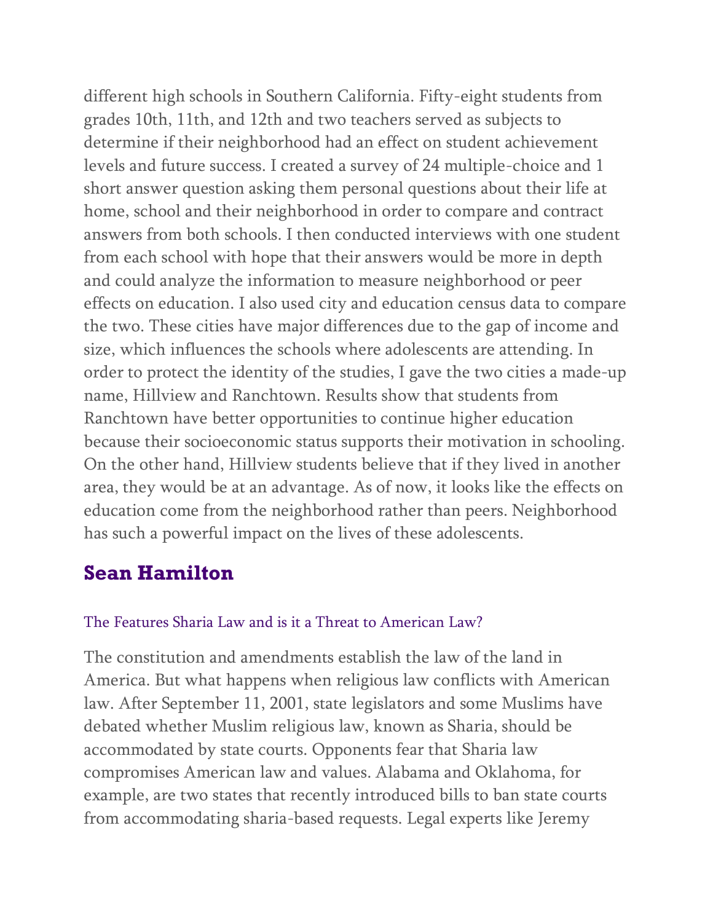different high schools in Southern California. Fifty-eight students from grades 10th, 11th, and 12th and two teachers served as subjects to determine if their neighborhood had an effect on student achievement levels and future success. I created a survey of 24 multiple-choice and 1 short answer question asking them personal questions about their life at home, school and their neighborhood in order to compare and contract answers from both schools. I then conducted interviews with one student from each school with hope that their answers would be more in depth and could analyze the information to measure neighborhood or peer effects on education. I also used city and education census data to compare the two. These cities have major differences due to the gap of income and size, which influences the schools where adolescents are attending. In order to protect the identity of the studies, I gave the two cities a made-up name, Hillview and Ranchtown. Results show that students from Ranchtown have better opportunities to continue higher education because their socioeconomic status supports their motivation in schooling. On the other hand, Hillview students believe that if they lived in another area, they would be at an advantage. As of now, it looks like the effects on education come from the neighborhood rather than peers. Neighborhood has such a powerful impact on the lives of these adolescents.

## **Sean Hamilton**

#### The Features Sharia Law and is it a Threat to American Law?

The constitution and amendments establish the law of the land in America. But what happens when religious law conflicts with American law. After September 11, 2001, state legislators and some Muslims have debated whether Muslim religious law, known as Sharia, should be accommodated by state courts. Opponents fear that Sharia law compromises American law and values. Alabama and Oklahoma, for example, are two states that recently introduced bills to ban state courts from accommodating sharia-based requests. Legal experts like Jeremy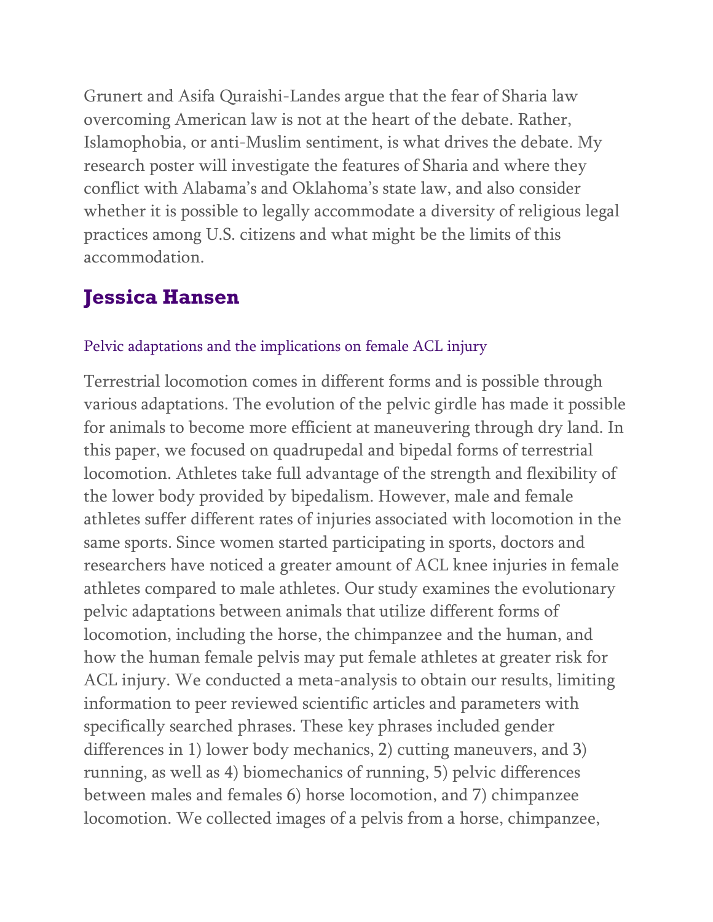Grunert and Asifa Quraishi-Landes argue that the fear of Sharia law overcoming American law is not at the heart of the debate. Rather, Islamophobia, or anti-Muslim sentiment, is what drives the debate. My research poster will investigate the features of Sharia and where they conflict with Alabama's and Oklahoma's state law, and also consider whether it is possible to legally accommodate a diversity of religious legal practices among U.S. citizens and what might be the limits of this accommodation.

## **Jessica Hansen**

#### Pelvic adaptations and the implications on female ACL injury

Terrestrial locomotion comes in different forms and is possible through various adaptations. The evolution of the pelvic girdle has made it possible for animals to become more efficient at maneuvering through dry land. In this paper, we focused on quadrupedal and bipedal forms of terrestrial locomotion. Athletes take full advantage of the strength and flexibility of the lower body provided by bipedalism. However, male and female athletes suffer different rates of injuries associated with locomotion in the same sports. Since women started participating in sports, doctors and researchers have noticed a greater amount of ACL knee injuries in female athletes compared to male athletes. Our study examines the evolutionary pelvic adaptations between animals that utilize different forms of locomotion, including the horse, the chimpanzee and the human, and how the human female pelvis may put female athletes at greater risk for ACL injury. We conducted a meta-analysis to obtain our results, limiting information to peer reviewed scientific articles and parameters with specifically searched phrases. These key phrases included gender differences in 1) lower body mechanics, 2) cutting maneuvers, and 3) running, as well as 4) biomechanics of running, 5) pelvic differences between males and females 6) horse locomotion, and 7) chimpanzee locomotion. We collected images of a pelvis from a horse, chimpanzee,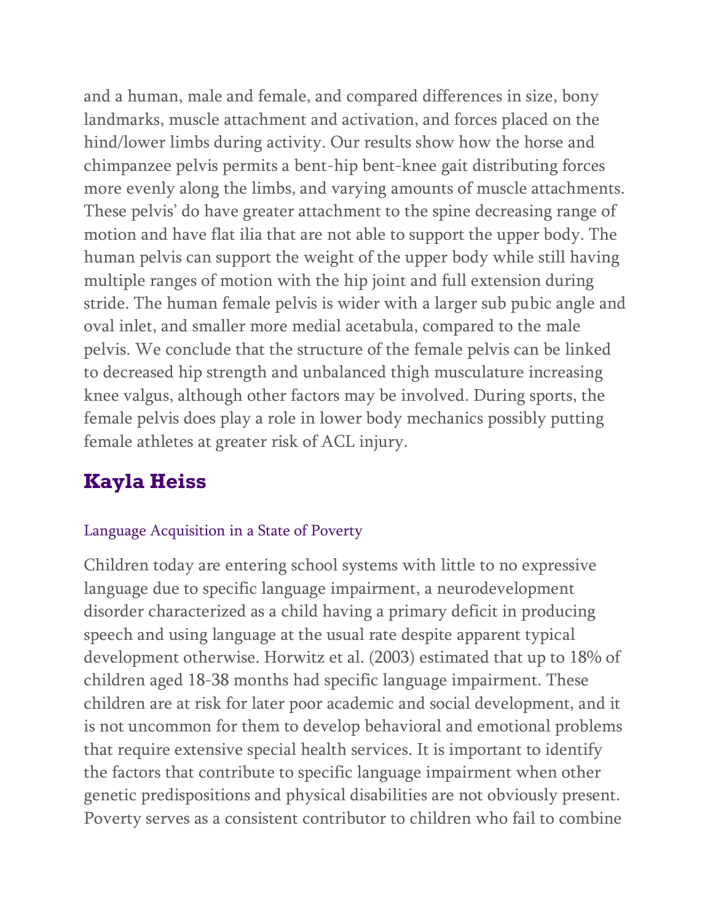and a human, male and female, and compared differences in size, bony landmarks, muscle attachment and activation, and forces placed on the hind/lower limbs during activity. Our results show how the horse and chimpanzee pelvis permits a bent-hip bent-knee gait distributing forces more evenly along the limbs, and varying amounts of muscle attachments. These pelvis' do have greater attachment to the spine decreasing range of motion and have flat ilia that are not able to support the upper body. The human pelvis can support the weight of the upper body while still having multiple ranges of motion with the hip joint and full extension during stride. The human female pelvis is wider with a larger sub pubic angle and oval inlet, and smaller more medial acetabula, compared to the male pelvis. We conclude that the structure of the female pelvis can be linked to decreased hip strength and unbalanced thigh musculature increasing knee valgus, although other factors may be involved. During sports, the female pelvis does play a role in lower body mechanics possibly putting female athletes at greater risk of ACL injury.

## **Kayla Heiss**

#### Language Acquisition in a State of Poverty

Children today are entering school systems with little to no expressive language due to specific language impairment, a neurodevelopment disorder characterized as a child having a primary deficit in producing speech and using language at the usual rate despite apparent typical development otherwise. Horwitz et al. (2003) estimated that up to 18% of children aged 18-38 months had specific language impairment. These children are at risk for later poor academic and social development, and it is not uncommon for them to develop behavioral and emotional problems that require extensive special health services. It is important to identify the factors that contribute to specific language impairment when other genetic predispositions and physical disabilities are not obviously present. Poverty serves as a consistent contributor to children who fail to combine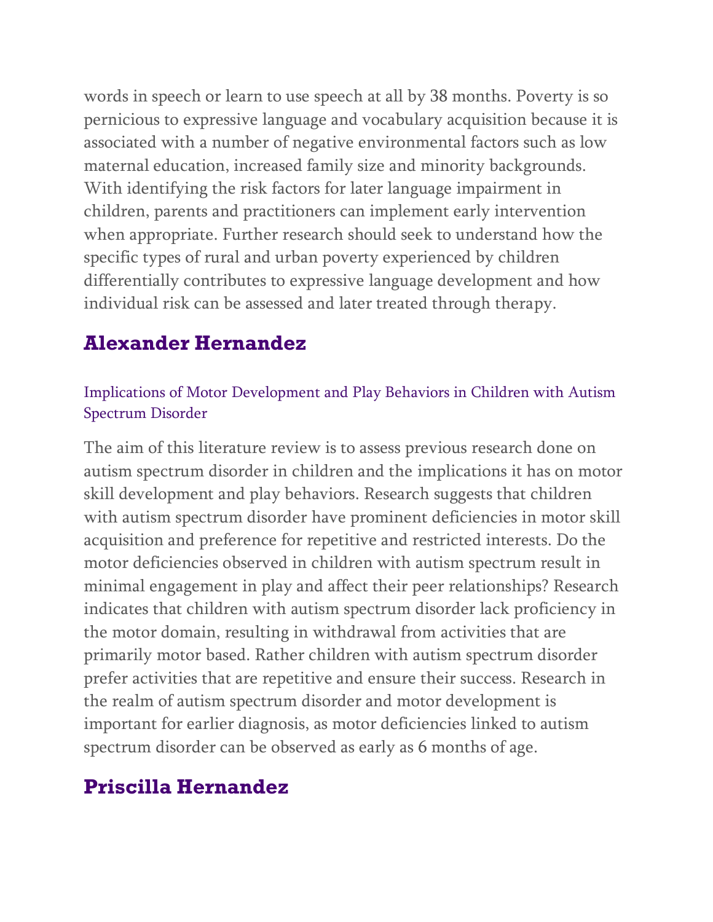words in speech or learn to use speech at all by 38 months. Poverty is so pernicious to expressive language and vocabulary acquisition because it is associated with a number of negative environmental factors such as low maternal education, increased family size and minority backgrounds. With identifying the risk factors for later language impairment in children, parents and practitioners can implement early intervention when appropriate. Further research should seek to understand how the specific types of rural and urban poverty experienced by children differentially contributes to expressive language development and how individual risk can be assessed and later treated through therapy.

## **Alexander Hernandez**

### Implications of Motor Development and Play Behaviors in Children with Autism Spectrum Disorder

The aim of this literature review is to assess previous research done on autism spectrum disorder in children and the implications it has on motor skill development and play behaviors. Research suggests that children with autism spectrum disorder have prominent deficiencies in motor skill acquisition and preference for repetitive and restricted interests. Do the motor deficiencies observed in children with autism spectrum result in minimal engagement in play and affect their peer relationships? Research indicates that children with autism spectrum disorder lack proficiency in the motor domain, resulting in withdrawal from activities that are primarily motor based. Rather children with autism spectrum disorder prefer activities that are repetitive and ensure their success. Research in the realm of autism spectrum disorder and motor development is important for earlier diagnosis, as motor deficiencies linked to autism spectrum disorder can be observed as early as 6 months of age.

## **Priscilla Hernandez**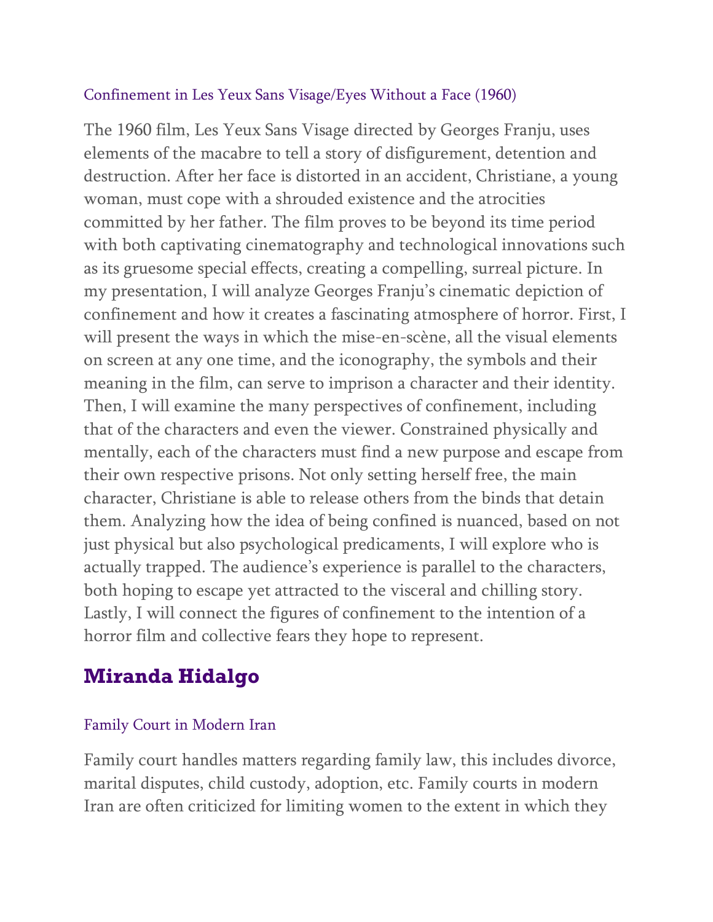#### Confinement in Les Yeux Sans Visage/Eyes Without a Face (1960)

The 1960 film, Les Yeux Sans Visage directed by Georges Franju, uses elements of the macabre to tell a story of disfigurement, detention and destruction. After her face is distorted in an accident, Christiane, a young woman, must cope with a shrouded existence and the atrocities committed by her father. The film proves to be beyond its time period with both captivating cinematography and technological innovations such as its gruesome special effects, creating a compelling, surreal picture. In my presentation, I will analyze Georges Franju's cinematic depiction of confinement and how it creates a fascinating atmosphere of horror. First, I will present the ways in which the mise-en-scène, all the visual elements on screen at any one time, and the iconography, the symbols and their meaning in the film, can serve to imprison a character and their identity. Then, I will examine the many perspectives of confinement, including that of the characters and even the viewer. Constrained physically and mentally, each of the characters must find a new purpose and escape from their own respective prisons. Not only setting herself free, the main character, Christiane is able to release others from the binds that detain them. Analyzing how the idea of being confined is nuanced, based on not just physical but also psychological predicaments, I will explore who is actually trapped. The audience's experience is parallel to the characters, both hoping to escape yet attracted to the visceral and chilling story. Lastly, I will connect the figures of confinement to the intention of a horror film and collective fears they hope to represent.

# **Miranda Hidalgo**

#### Family Court in Modern Iran

Family court handles matters regarding family law, this includes divorce, marital disputes, child custody, adoption, etc. Family courts in modern Iran are often criticized for limiting women to the extent in which they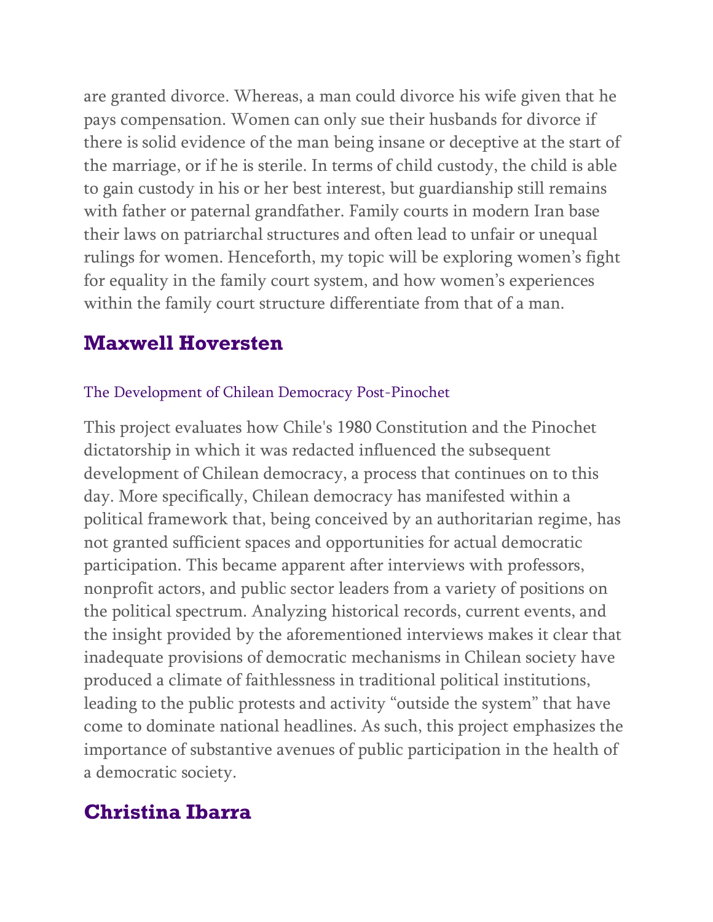are granted divorce. Whereas, a man could divorce his wife given that he pays compensation. Women can only sue their husbands for divorce if there is solid evidence of the man being insane or deceptive at the start of the marriage, or if he is sterile. In terms of child custody, the child is able to gain custody in his or her best interest, but guardianship still remains with father or paternal grandfather. Family courts in modern Iran base their laws on patriarchal structures and often lead to unfair or unequal rulings for women. Henceforth, my topic will be exploring women's fight for equality in the family court system, and how women's experiences within the family court structure differentiate from that of a man.

### **Maxwell Hoversten**

#### The Development of Chilean Democracy Post-Pinochet

This project evaluates how Chile's 1980 Constitution and the Pinochet dictatorship in which it was redacted influenced the subsequent development of Chilean democracy, a process that continues on to this day. More specifically, Chilean democracy has manifested within a political framework that, being conceived by an authoritarian regime, has not granted sufficient spaces and opportunities for actual democratic participation. This became apparent after interviews with professors, nonprofit actors, and public sector leaders from a variety of positions on the political spectrum. Analyzing historical records, current events, and the insight provided by the aforementioned interviews makes it clear that inadequate provisions of democratic mechanisms in Chilean society have produced a climate of faithlessness in traditional political institutions, leading to the public protests and activity "outside the system" that have come to dominate national headlines. As such, this project emphasizes the importance of substantive avenues of public participation in the health of a democratic society.

### **Christina Ibarra**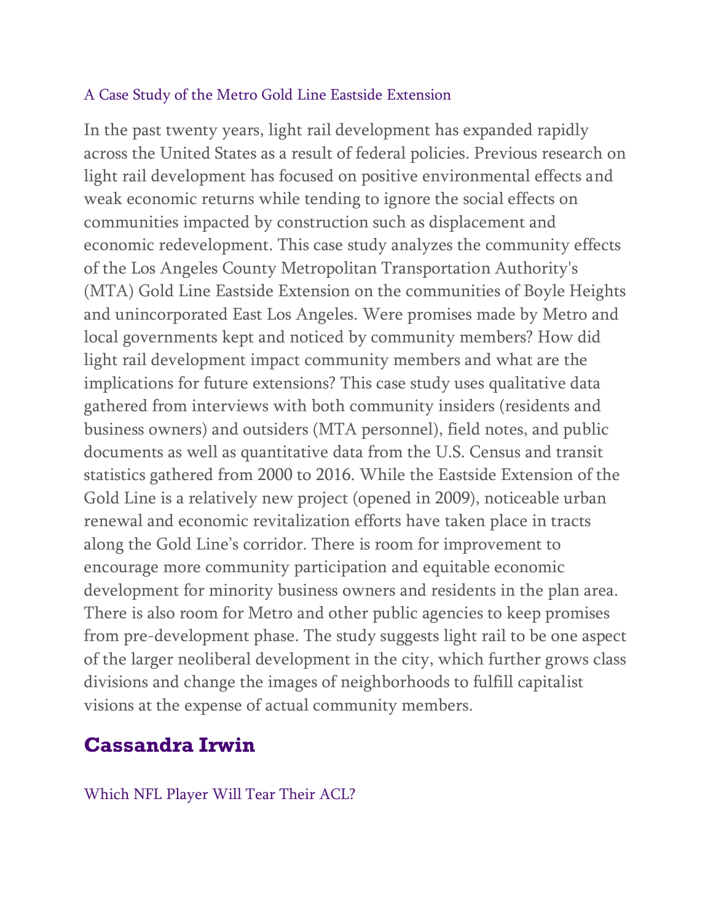#### A Case Study of the Metro Gold Line Eastside Extension

In the past twenty years, light rail development has expanded rapidly across the United States as a result of federal policies. Previous research on light rail development has focused on positive environmental effects and weak economic returns while tending to ignore the social effects on communities impacted by construction such as displacement and economic redevelopment. This case study analyzes the community effects of the Los Angeles County Metropolitan Transportation Authority's (MTA) Gold Line Eastside Extension on the communities of Boyle Heights and unincorporated East Los Angeles. Were promises made by Metro and local governments kept and noticed by community members? How did light rail development impact community members and what are the implications for future extensions? This case study uses qualitative data gathered from interviews with both community insiders (residents and business owners) and outsiders (MTA personnel), field notes, and public documents as well as quantitative data from the U.S. Census and transit statistics gathered from 2000 to 2016. While the Eastside Extension of the Gold Line is a relatively new project (opened in 2009), noticeable urban renewal and economic revitalization efforts have taken place in tracts along the Gold Line's corridor. There is room for improvement to encourage more community participation and equitable economic development for minority business owners and residents in the plan area. There is also room for Metro and other public agencies to keep promises from pre-development phase. The study suggests light rail to be one aspect of the larger neoliberal development in the city, which further grows class divisions and change the images of neighborhoods to fulfill capitalist visions at the expense of actual community members.

### **Cassandra Irwin**

Which NFL Player Will Tear Their ACL?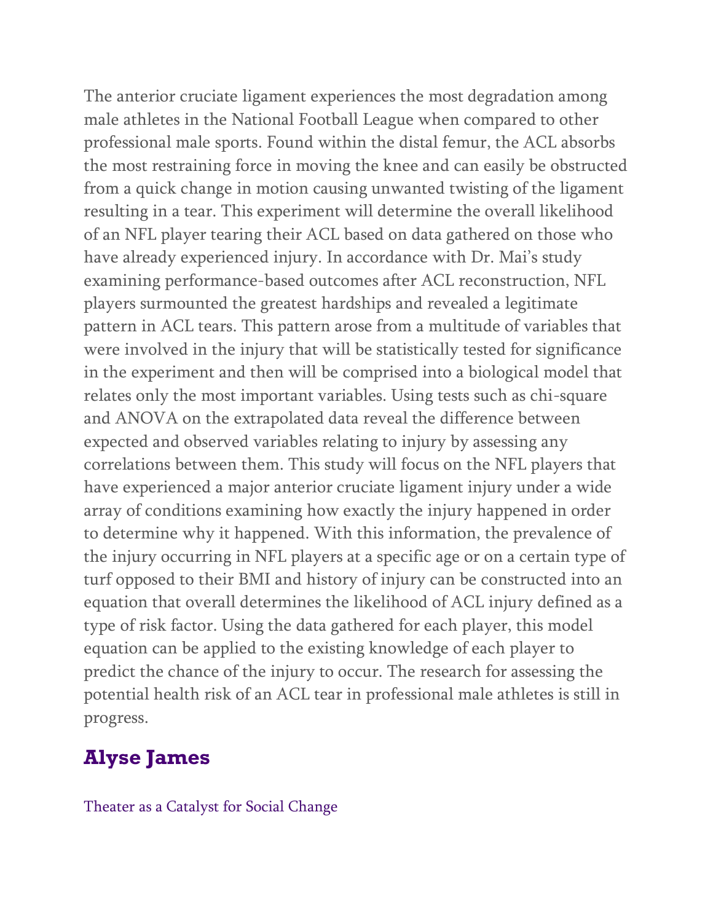The anterior cruciate ligament experiences the most degradation among male athletes in the National Football League when compared to other professional male sports. Found within the distal femur, the ACL absorbs the most restraining force in moving the knee and can easily be obstructed from a quick change in motion causing unwanted twisting of the ligament resulting in a tear. This experiment will determine the overall likelihood of an NFL player tearing their ACL based on data gathered on those who have already experienced injury. In accordance with Dr. Mai's study examining performance-based outcomes after ACL reconstruction, NFL players surmounted the greatest hardships and revealed a legitimate pattern in ACL tears. This pattern arose from a multitude of variables that were involved in the injury that will be statistically tested for significance in the experiment and then will be comprised into a biological model that relates only the most important variables. Using tests such as chi-square and ANOVA on the extrapolated data reveal the difference between expected and observed variables relating to injury by assessing any correlations between them. This study will focus on the NFL players that have experienced a major anterior cruciate ligament injury under a wide array of conditions examining how exactly the injury happened in order to determine why it happened. With this information, the prevalence of the injury occurring in NFL players at a specific age or on a certain type of turf opposed to their BMI and history of injury can be constructed into an equation that overall determines the likelihood of ACL injury defined as a type of risk factor. Using the data gathered for each player, this model equation can be applied to the existing knowledge of each player to predict the chance of the injury to occur. The research for assessing the potential health risk of an ACL tear in professional male athletes is still in progress.

## **Alyse James**

Theater as a Catalyst for Social Change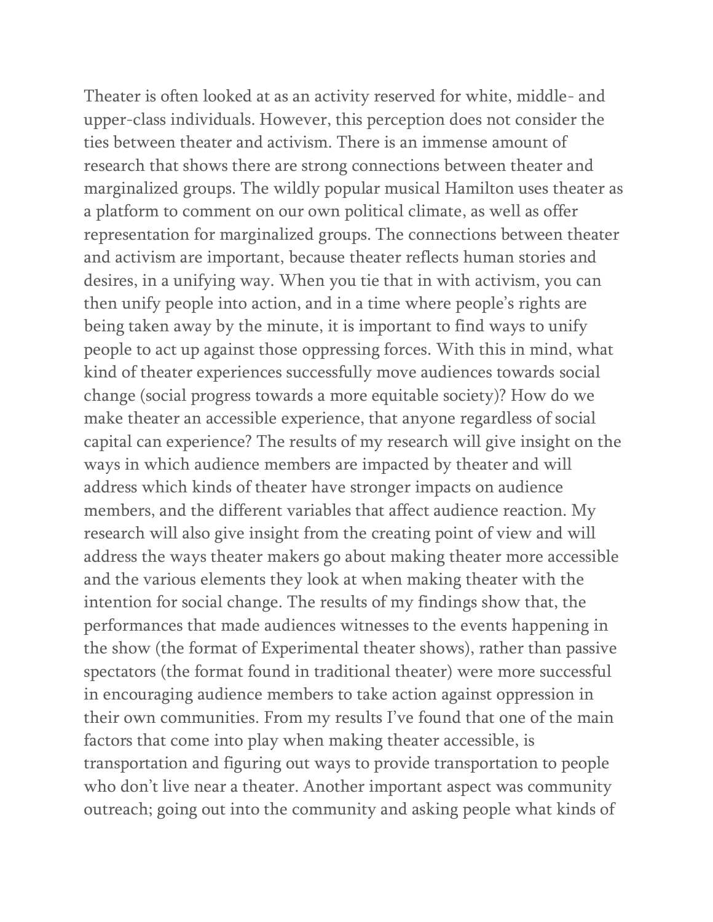Theater is often looked at as an activity reserved for white, middle- and upper-class individuals. However, this perception does not consider the ties between theater and activism. There is an immense amount of research that shows there are strong connections between theater and marginalized groups. The wildly popular musical Hamilton uses theater as a platform to comment on our own political climate, as well as offer representation for marginalized groups. The connections between theater and activism are important, because theater reflects human stories and desires, in a unifying way. When you tie that in with activism, you can then unify people into action, and in a time where people's rights are being taken away by the minute, it is important to find ways to unify people to act up against those oppressing forces. With this in mind, what kind of theater experiences successfully move audiences towards social change (social progress towards a more equitable society)? How do we make theater an accessible experience, that anyone regardless of social capital can experience? The results of my research will give insight on the ways in which audience members are impacted by theater and will address which kinds of theater have stronger impacts on audience members, and the different variables that affect audience reaction. My research will also give insight from the creating point of view and will address the ways theater makers go about making theater more accessible and the various elements they look at when making theater with the intention for social change. The results of my findings show that, the performances that made audiences witnesses to the events happening in the show (the format of Experimental theater shows), rather than passive spectators (the format found in traditional theater) were more successful in encouraging audience members to take action against oppression in their own communities. From my results I've found that one of the main factors that come into play when making theater accessible, is transportation and figuring out ways to provide transportation to people who don't live near a theater. Another important aspect was community outreach; going out into the community and asking people what kinds of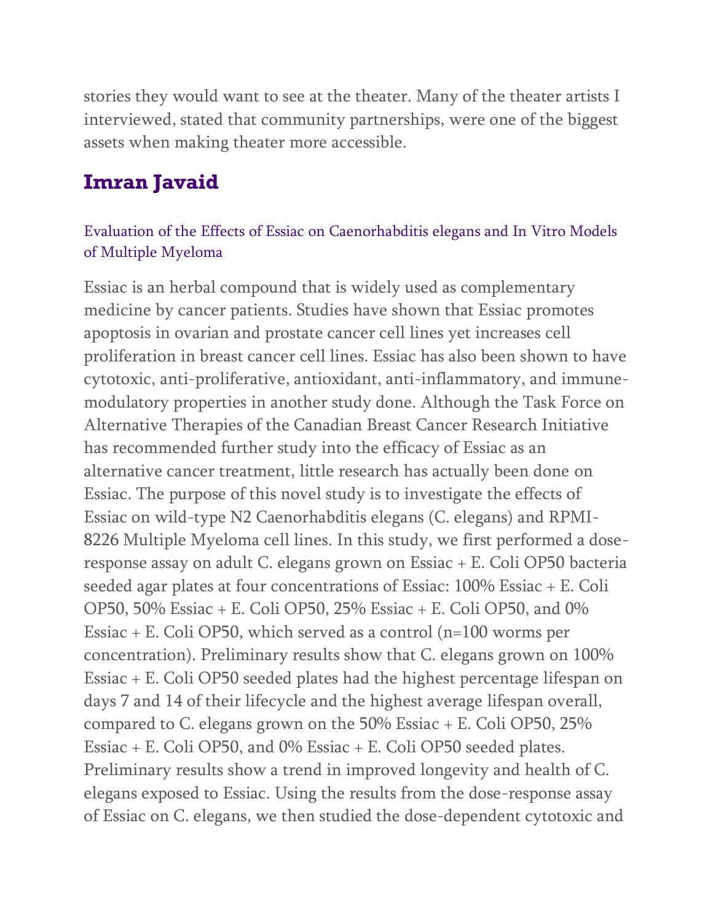stories they would want to see at the theater. Many of the theater artists I interviewed, stated that community partnerships, were one of the biggest assets when making theater more accessible.

### **Imran Javaid**

#### Evaluation of the Effects of Essiac on Caenorhabditis elegans and In Vitro Models of Multiple Myeloma

Essiac is an herbal compound that is widely used as complementary medicine by cancer patients. Studies have shown that Essiac promotes apoptosis in ovarian and prostate cancer cell lines yet increases cell proliferation in breast cancer cell lines. Essiac has also been shown to have cytotoxic, anti-proliferative, antioxidant, anti-inflammatory, and immunemodulatory properties in another study done. Although the Task Force on Alternative Therapies of the Canadian Breast Cancer Research Initiative has recommended further study into the efficacy of Essiac as an alternative cancer treatment, little research has actually been done on Essiac. The purpose of this novel study is to investigate the effects of Essiac on wild-type N2 Caenorhabditis elegans (C. elegans) and RPMI-8226 Multiple Myeloma cell lines. In this study, we first performed a doseresponse assay on adult C. elegans grown on Essiac + E. Coli OP50 bacteria seeded agar plates at four concentrations of Essiac: 100% Essiac + E. Coli OP50, 50% Essiac + E. Coli OP50, 25% Essiac + E. Coli OP50, and 0% Essiac + E. Coli OP50, which served as a control (n=100 worms per concentration). Preliminary results show that C. elegans grown on 100% Essiac + E. Coli OP50 seeded plates had the highest percentage lifespan on days 7 and 14 of their lifecycle and the highest average lifespan overall, compared to C. elegans grown on the 50% Essiac + E. Coli OP50, 25% Essiac + E. Coli OP50, and 0% Essiac + E. Coli OP50 seeded plates. Preliminary results show a trend in improved longevity and health of C. elegans exposed to Essiac. Using the results from the dose-response assay of Essiac on C. elegans, we then studied the dose-dependent cytotoxic and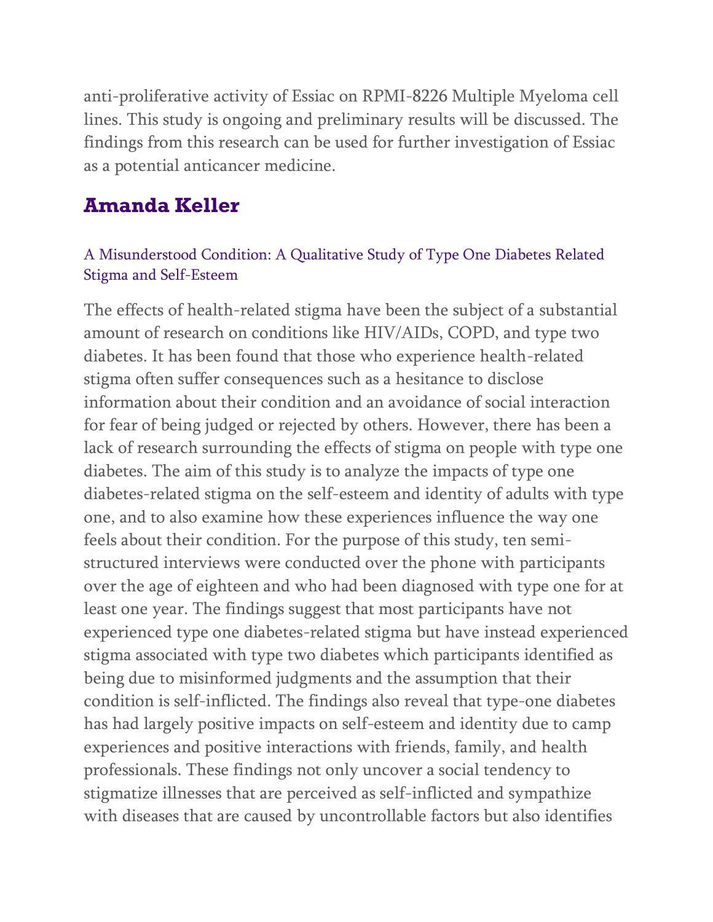anti-proliferative activity of Essiac on RPMI-8226 Multiple Myeloma cell lines. This study is ongoing and preliminary results will be discussed. The findings from this research can be used for further investigation of Essiac as a potential anticancer medicine.

### **Amanda Keller**

#### A Misunderstood Condition: A Qualitative Study of Type One Diabetes Related Stigma and Self-Esteem

The effects of health-related stigma have been the subject of a substantial amount of research on conditions like HIV/AIDs, COPD, and type two diabetes. It has been found that those who experience health-related stigma often suffer consequences such as a hesitance to disclose information about their condition and an avoidance of social interaction for fear of being judged or rejected by others. However, there has been a lack of research surrounding the effects of stigma on people with type one diabetes. The aim of this study is to analyze the impacts of type one diabetes-related stigma on the self-esteem and identity of adults with type one, and to also examine how these experiences influence the way one feels about their condition. For the purpose of this study, ten semistructured interviews were conducted over the phone with participants over the age of eighteen and who had been diagnosed with type one for at least one year. The findings suggest that most participants have not experienced type one diabetes-related stigma but have instead experienced stigma associated with type two diabetes which participants identified as being due to misinformed judgments and the assumption that their condition is self-inflicted. The findings also reveal that type-one diabetes has had largely positive impacts on self-esteem and identity due to camp experiences and positive interactions with friends, family, and health professionals. These findings not only uncover a social tendency to stigmatize illnesses that are perceived as self-inflicted and sympathize with diseases that are caused by uncontrollable factors but also identifies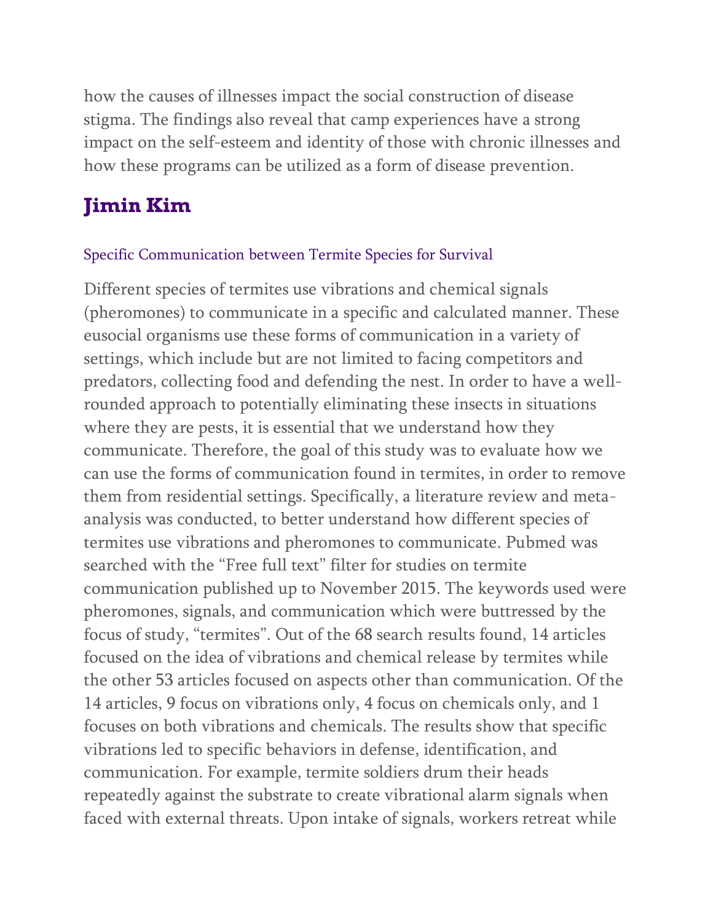how the causes of illnesses impact the social construction of disease stigma. The findings also reveal that camp experiences have a strong impact on the self-esteem and identity of those with chronic illnesses and how these programs can be utilized as a form of disease prevention.

# **Jimin Kim**

#### Specific Communication between Termite Species for Survival

Different species of termites use vibrations and chemical signals (pheromones) to communicate in a specific and calculated manner. These eusocial organisms use these forms of communication in a variety of settings, which include but are not limited to facing competitors and predators, collecting food and defending the nest. In order to have a wellrounded approach to potentially eliminating these insects in situations where they are pests, it is essential that we understand how they communicate. Therefore, the goal of this study was to evaluate how we can use the forms of communication found in termites, in order to remove them from residential settings. Specifically, a literature review and metaanalysis was conducted, to better understand how different species of termites use vibrations and pheromones to communicate. Pubmed was searched with the "Free full text" filter for studies on termite communication published up to November 2015. The keywords used were pheromones, signals, and communication which were buttressed by the focus of study, "termites". Out of the 68 search results found, 14 articles focused on the idea of vibrations and chemical release by termites while the other 53 articles focused on aspects other than communication. Of the 14 articles, 9 focus on vibrations only, 4 focus on chemicals only, and 1 focuses on both vibrations and chemicals. The results show that specific vibrations led to specific behaviors in defense, identification, and communication. For example, termite soldiers drum their heads repeatedly against the substrate to create vibrational alarm signals when faced with external threats. Upon intake of signals, workers retreat while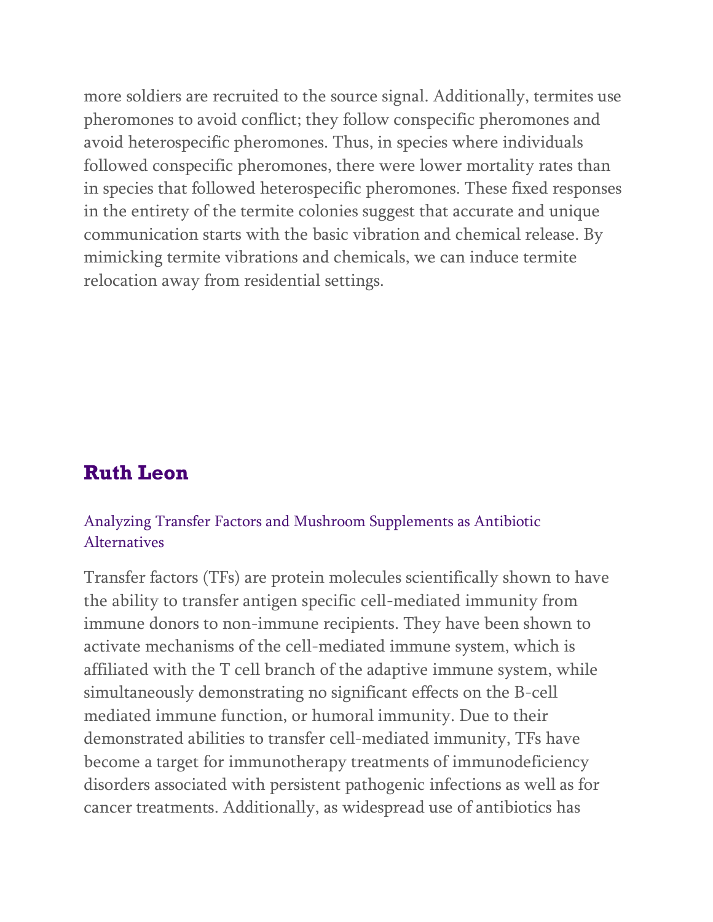more soldiers are recruited to the source signal. Additionally, termites use pheromones to avoid conflict; they follow conspecific pheromones and avoid heterospecific pheromones. Thus, in species where individuals followed conspecific pheromones, there were lower mortality rates than in species that followed heterospecific pheromones. These fixed responses in the entirety of the termite colonies suggest that accurate and unique communication starts with the basic vibration and chemical release. By mimicking termite vibrations and chemicals, we can induce termite relocation away from residential settings.

### **Ruth Leon**

#### Analyzing Transfer Factors and Mushroom Supplements as Antibiotic Alternatives

Transfer factors (TFs) are protein molecules scientifically shown to have the ability to transfer antigen specific cell-mediated immunity from immune donors to non-immune recipients. They have been shown to activate mechanisms of the cell-mediated immune system, which is affiliated with the T cell branch of the adaptive immune system, while simultaneously demonstrating no significant effects on the B-cell mediated immune function, or humoral immunity. Due to their demonstrated abilities to transfer cell-mediated immunity, TFs have become a target for immunotherapy treatments of immunodeficiency disorders associated with persistent pathogenic infections as well as for cancer treatments. Additionally, as widespread use of antibiotics has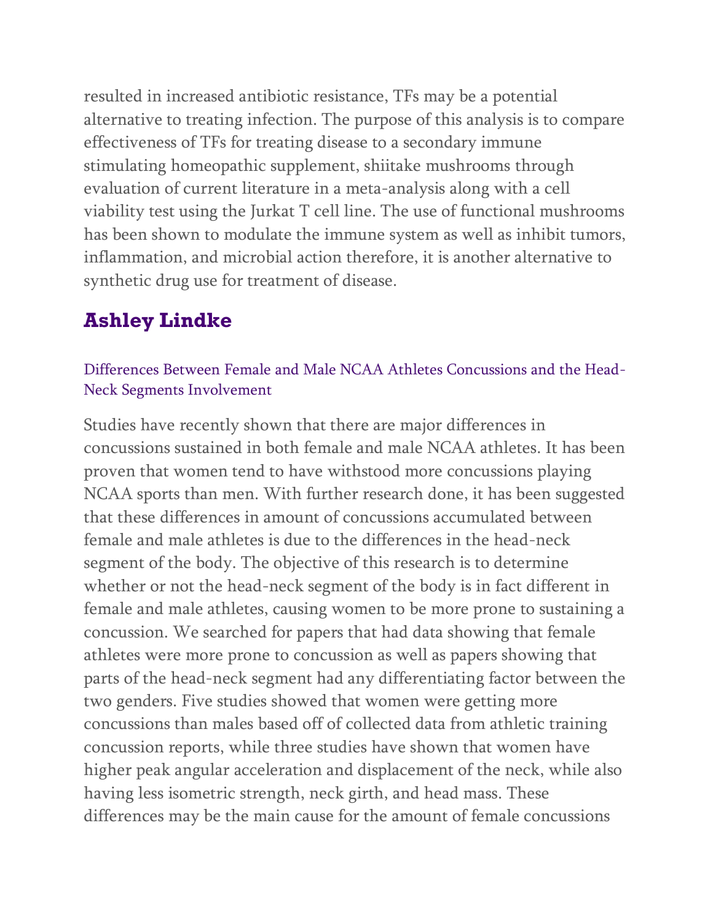resulted in increased antibiotic resistance, TFs may be a potential alternative to treating infection. The purpose of this analysis is to compare effectiveness of TFs for treating disease to a secondary immune stimulating homeopathic supplement, shiitake mushrooms through evaluation of current literature in a meta-analysis along with a cell viability test using the Jurkat T cell line. The use of functional mushrooms has been shown to modulate the immune system as well as inhibit tumors, inflammation, and microbial action therefore, it is another alternative to synthetic drug use for treatment of disease.

## **Ashley Lindke**

#### Differences Between Female and Male NCAA Athletes Concussions and the Head-Neck Segments Involvement

Studies have recently shown that there are major differences in concussions sustained in both female and male NCAA athletes. It has been proven that women tend to have withstood more concussions playing NCAA sports than men. With further research done, it has been suggested that these differences in amount of concussions accumulated between female and male athletes is due to the differences in the head-neck segment of the body. The objective of this research is to determine whether or not the head-neck segment of the body is in fact different in female and male athletes, causing women to be more prone to sustaining a concussion. We searched for papers that had data showing that female athletes were more prone to concussion as well as papers showing that parts of the head-neck segment had any differentiating factor between the two genders. Five studies showed that women were getting more concussions than males based off of collected data from athletic training concussion reports, while three studies have shown that women have higher peak angular acceleration and displacement of the neck, while also having less isometric strength, neck girth, and head mass. These differences may be the main cause for the amount of female concussions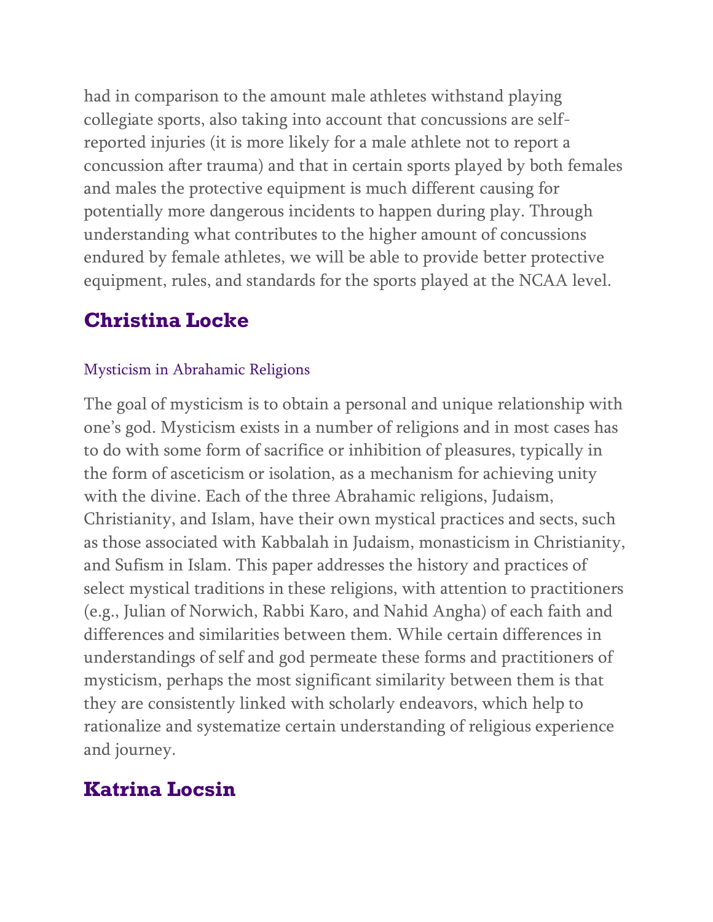had in comparison to the amount male athletes withstand playing collegiate sports, also taking into account that concussions are selfreported injuries (it is more likely for a male athlete not to report a concussion after trauma) and that in certain sports played by both females and males the protective equipment is much different causing for potentially more dangerous incidents to happen during play. Through understanding what contributes to the higher amount of concussions endured by female athletes, we will be able to provide better protective equipment, rules, and standards for the sports played at the NCAA level.

### **Christina Locke**

#### Mysticism in Abrahamic Religions

The goal of mysticism is to obtain a personal and unique relationship with one's god. Mysticism exists in a number of religions and in most cases has to do with some form of sacrifice or inhibition of pleasures, typically in the form of asceticism or isolation, as a mechanism for achieving unity with the divine. Each of the three Abrahamic religions, Judaism, Christianity, and Islam, have their own mystical practices and sects, such as those associated with Kabbalah in Judaism, monasticism in Christianity, and Sufism in Islam. This paper addresses the history and practices of select mystical traditions in these religions, with attention to practitioners (e.g., Julian of Norwich, Rabbi Karo, and Nahid Angha) of each faith and differences and similarities between them. While certain differences in understandings of self and god permeate these forms and practitioners of mysticism, perhaps the most significant similarity between them is that they are consistently linked with scholarly endeavors, which help to rationalize and systematize certain understanding of religious experience and journey.

## **Katrina Locsin**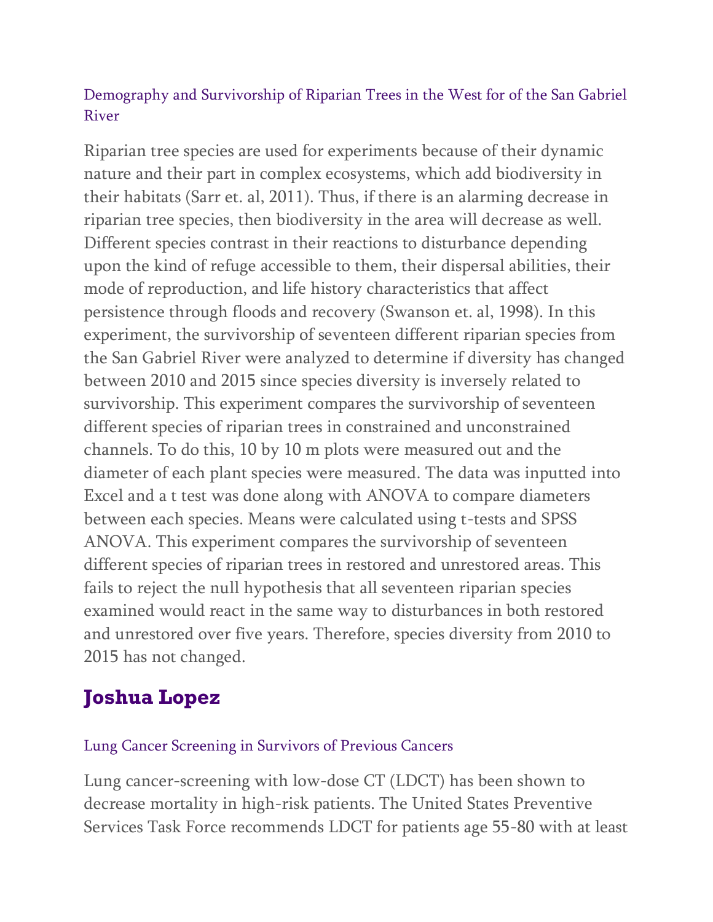#### Demography and Survivorship of Riparian Trees in the West for of the San Gabriel River

Riparian tree species are used for experiments because of their dynamic nature and their part in complex ecosystems, which add biodiversity in their habitats (Sarr et. al, 2011). Thus, if there is an alarming decrease in riparian tree species, then biodiversity in the area will decrease as well. Different species contrast in their reactions to disturbance depending upon the kind of refuge accessible to them, their dispersal abilities, their mode of reproduction, and life history characteristics that affect persistence through floods and recovery (Swanson et. al, 1998). In this experiment, the survivorship of seventeen different riparian species from the San Gabriel River were analyzed to determine if diversity has changed between 2010 and 2015 since species diversity is inversely related to survivorship. This experiment compares the survivorship of seventeen different species of riparian trees in constrained and unconstrained channels. To do this, 10 by 10 m plots were measured out and the diameter of each plant species were measured. The data was inputted into Excel and a t test was done along with ANOVA to compare diameters between each species. Means were calculated using t-tests and SPSS ANOVA. This experiment compares the survivorship of seventeen different species of riparian trees in restored and unrestored areas. This fails to reject the null hypothesis that all seventeen riparian species examined would react in the same way to disturbances in both restored and unrestored over five years. Therefore, species diversity from 2010 to 2015 has not changed.

## **Joshua Lopez**

#### Lung Cancer Screening in Survivors of Previous Cancers

Lung cancer-screening with low-dose CT (LDCT) has been shown to decrease mortality in high-risk patients. The United States Preventive Services Task Force recommends LDCT for patients age 55-80 with at least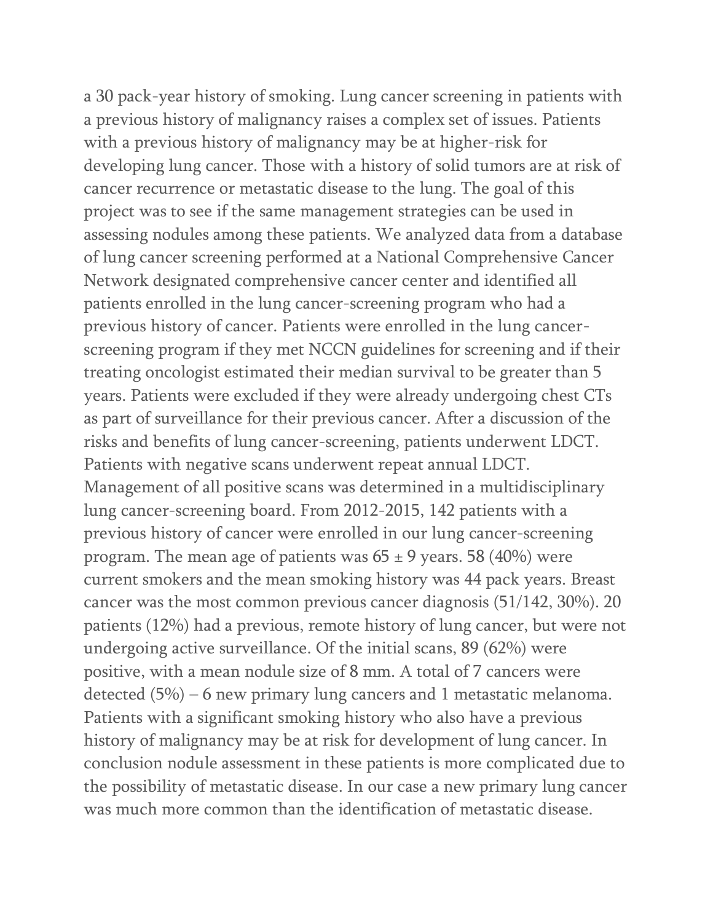a 30 pack-year history of smoking. Lung cancer screening in patients with a previous history of malignancy raises a complex set of issues. Patients with a previous history of malignancy may be at higher-risk for developing lung cancer. Those with a history of solid tumors are at risk of cancer recurrence or metastatic disease to the lung. The goal of this project was to see if the same management strategies can be used in assessing nodules among these patients. We analyzed data from a database of lung cancer screening performed at a National Comprehensive Cancer Network designated comprehensive cancer center and identified all patients enrolled in the lung cancer-screening program who had a previous history of cancer. Patients were enrolled in the lung cancerscreening program if they met NCCN guidelines for screening and if their treating oncologist estimated their median survival to be greater than 5 years. Patients were excluded if they were already undergoing chest CTs as part of surveillance for their previous cancer. After a discussion of the risks and benefits of lung cancer-screening, patients underwent LDCT. Patients with negative scans underwent repeat annual LDCT. Management of all positive scans was determined in a multidisciplinary lung cancer-screening board. From 2012-2015, 142 patients with a previous history of cancer were enrolled in our lung cancer-screening program. The mean age of patients was  $65 \pm 9$  years. 58 (40%) were current smokers and the mean smoking history was 44 pack years. Breast cancer was the most common previous cancer diagnosis (51/142, 30%). 20 patients (12%) had a previous, remote history of lung cancer, but were not undergoing active surveillance. Of the initial scans, 89 (62%) were positive, with a mean nodule size of 8 mm. A total of 7 cancers were detected (5%) – 6 new primary lung cancers and 1 metastatic melanoma. Patients with a significant smoking history who also have a previous history of malignancy may be at risk for development of lung cancer. In conclusion nodule assessment in these patients is more complicated due to the possibility of metastatic disease. In our case a new primary lung cancer was much more common than the identification of metastatic disease.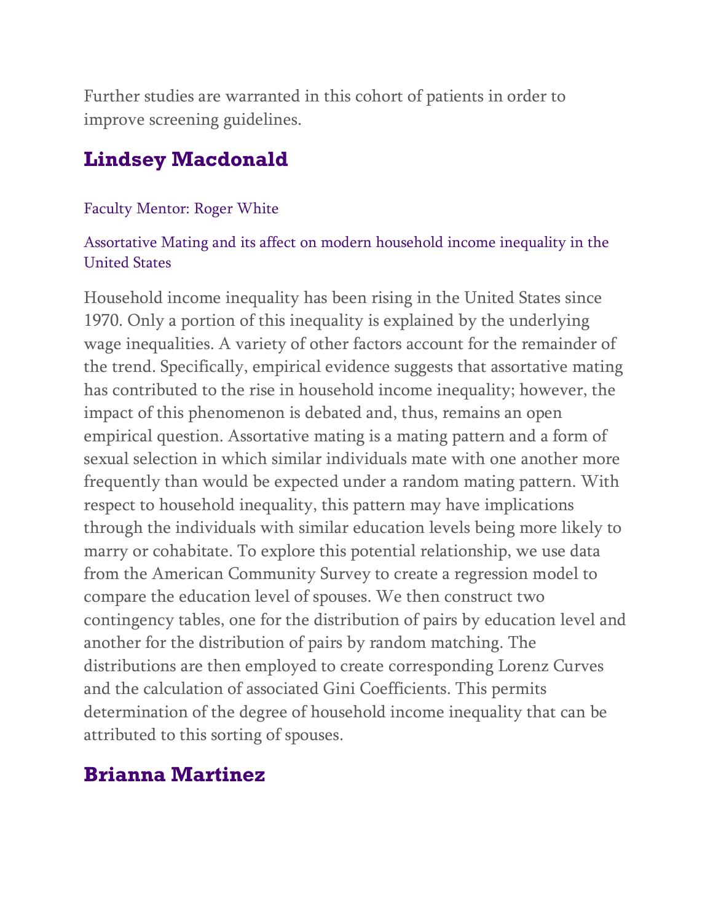Further studies are warranted in this cohort of patients in order to improve screening guidelines.

### **Lindsey Macdonald**

#### Faculty Mentor: Roger White

#### Assortative Mating and its affect on modern household income inequality in the United States

Household income inequality has been rising in the United States since 1970. Only a portion of this inequality is explained by the underlying wage inequalities. A variety of other factors account for the remainder of the trend. Specifically, empirical evidence suggests that assortative mating has contributed to the rise in household income inequality; however, the impact of this phenomenon is debated and, thus, remains an open empirical question. Assortative mating is a mating pattern and a form of sexual selection in which similar individuals mate with one another more frequently than would be expected under a random mating pattern. With respect to household inequality, this pattern may have implications through the individuals with similar education levels being more likely to marry or cohabitate. To explore this potential relationship, we use data from the American Community Survey to create a regression model to compare the education level of spouses. We then construct two contingency tables, one for the distribution of pairs by education level and another for the distribution of pairs by random matching. The distributions are then employed to create corresponding Lorenz Curves and the calculation of associated Gini Coefficients. This permits determination of the degree of household income inequality that can be attributed to this sorting of spouses.

### **Brianna Martinez**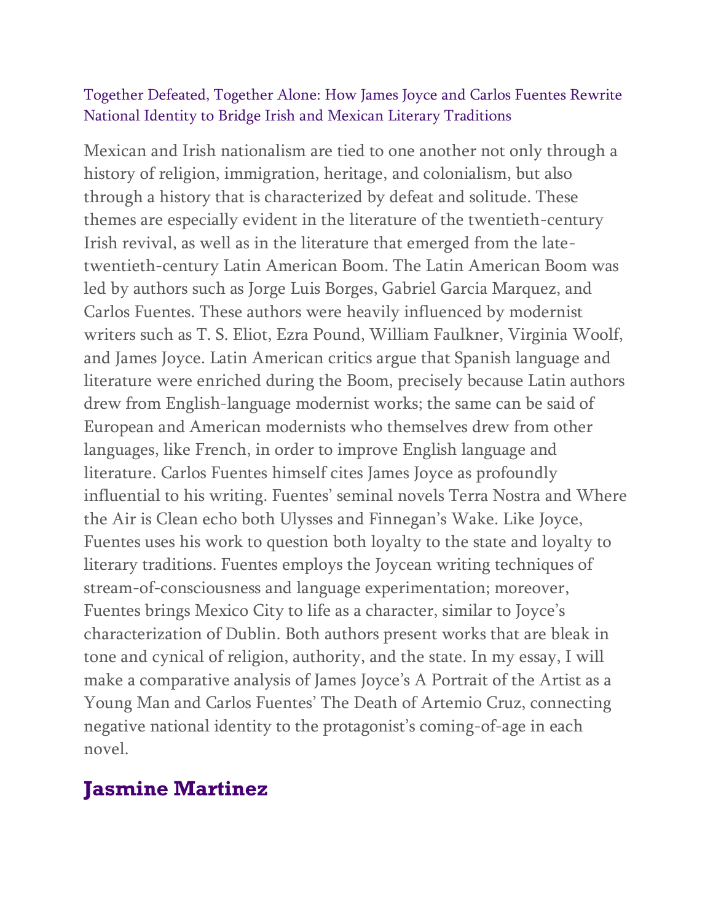#### Together Defeated, Together Alone: How James Joyce and Carlos Fuentes Rewrite National Identity to Bridge Irish and Mexican Literary Traditions

Mexican and Irish nationalism are tied to one another not only through a history of religion, immigration, heritage, and colonialism, but also through a history that is characterized by defeat and solitude. These themes are especially evident in the literature of the twentieth-century Irish revival, as well as in the literature that emerged from the latetwentieth-century Latin American Boom. The Latin American Boom was led by authors such as Jorge Luis Borges, Gabriel Garcia Marquez, and Carlos Fuentes. These authors were heavily influenced by modernist writers such as T. S. Eliot, Ezra Pound, William Faulkner, Virginia Woolf, and James Joyce. Latin American critics argue that Spanish language and literature were enriched during the Boom, precisely because Latin authors drew from English-language modernist works; the same can be said of European and American modernists who themselves drew from other languages, like French, in order to improve English language and literature. Carlos Fuentes himself cites James Joyce as profoundly influential to his writing. Fuentes' seminal novels Terra Nostra and Where the Air is Clean echo both Ulysses and Finnegan's Wake. Like Joyce, Fuentes uses his work to question both loyalty to the state and loyalty to literary traditions. Fuentes employs the Joycean writing techniques of stream-of-consciousness and language experimentation; moreover, Fuentes brings Mexico City to life as a character, similar to Joyce's characterization of Dublin. Both authors present works that are bleak in tone and cynical of religion, authority, and the state. In my essay, I will make a comparative analysis of James Joyce's A Portrait of the Artist as a Young Man and Carlos Fuentes' The Death of Artemio Cruz, connecting negative national identity to the protagonist's coming-of-age in each novel.

### **Jasmine Martinez**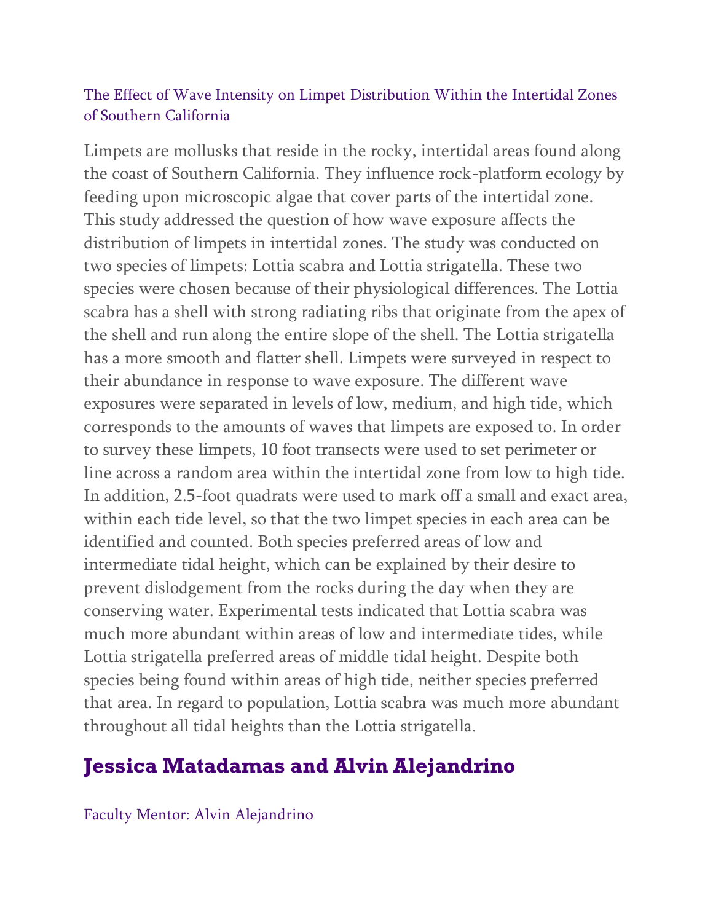#### The Effect of Wave Intensity on Limpet Distribution Within the Intertidal Zones of Southern California

Limpets are mollusks that reside in the rocky, intertidal areas found along the coast of Southern California. They influence rock-platform ecology by feeding upon microscopic algae that cover parts of the intertidal zone. This study addressed the question of how wave exposure affects the distribution of limpets in intertidal zones. The study was conducted on two species of limpets: Lottia scabra and Lottia strigatella. These two species were chosen because of their physiological differences. The Lottia scabra has a shell with strong radiating ribs that originate from the apex of the shell and run along the entire slope of the shell. The Lottia strigatella has a more smooth and flatter shell. Limpets were surveyed in respect to their abundance in response to wave exposure. The different wave exposures were separated in levels of low, medium, and high tide, which corresponds to the amounts of waves that limpets are exposed to. In order to survey these limpets, 10 foot transects were used to set perimeter or line across a random area within the intertidal zone from low to high tide. In addition, 2.5-foot quadrats were used to mark off a small and exact area, within each tide level, so that the two limpet species in each area can be identified and counted. Both species preferred areas of low and intermediate tidal height, which can be explained by their desire to prevent dislodgement from the rocks during the day when they are conserving water. Experimental tests indicated that Lottia scabra was much more abundant within areas of low and intermediate tides, while Lottia strigatella preferred areas of middle tidal height. Despite both species being found within areas of high tide, neither species preferred that area. In regard to population, Lottia scabra was much more abundant throughout all tidal heights than the Lottia strigatella.

## **Jessica Matadamas and Alvin Alejandrino**

Faculty Mentor: Alvin Alejandrino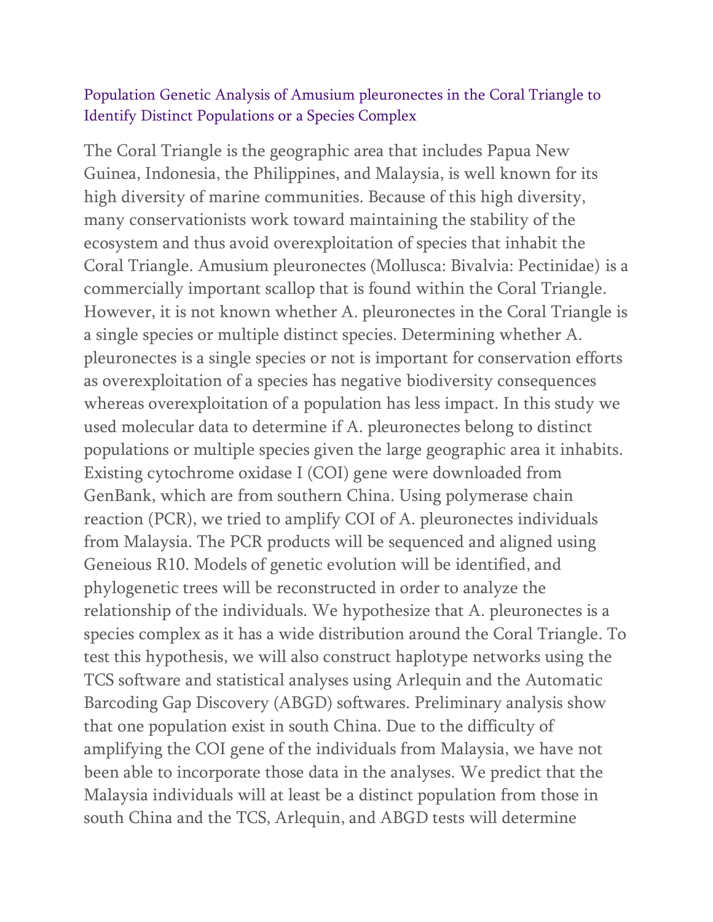#### Population Genetic Analysis of Amusium pleuronectes in the Coral Triangle to Identify Distinct Populations or a Species Complex

The Coral Triangle is the geographic area that includes Papua New Guinea, Indonesia, the Philippines, and Malaysia, is well known for its high diversity of marine communities. Because of this high diversity, many conservationists work toward maintaining the stability of the ecosystem and thus avoid overexploitation of species that inhabit the Coral Triangle. Amusium pleuronectes (Mollusca: Bivalvia: Pectinidae) is a commercially important scallop that is found within the Coral Triangle. However, it is not known whether A. pleuronectes in the Coral Triangle is a single species or multiple distinct species. Determining whether A. pleuronectes is a single species or not is important for conservation efforts as overexploitation of a species has negative biodiversity consequences whereas overexploitation of a population has less impact. In this study we used molecular data to determine if A. pleuronectes belong to distinct populations or multiple species given the large geographic area it inhabits. Existing cytochrome oxidase I (COI) gene were downloaded from GenBank, which are from southern China. Using polymerase chain reaction (PCR), we tried to amplify COI of A. pleuronectes individuals from Malaysia. The PCR products will be sequenced and aligned using Geneious R10. Models of genetic evolution will be identified, and phylogenetic trees will be reconstructed in order to analyze the relationship of the individuals. We hypothesize that A. pleuronectes is a species complex as it has a wide distribution around the Coral Triangle. To test this hypothesis, we will also construct haplotype networks using the TCS software and statistical analyses using Arlequin and the Automatic Barcoding Gap Discovery (ABGD) softwares. Preliminary analysis show that one population exist in south China. Due to the difficulty of amplifying the COI gene of the individuals from Malaysia, we have not been able to incorporate those data in the analyses. We predict that the Malaysia individuals will at least be a distinct population from those in south China and the TCS, Arlequin, and ABGD tests will determine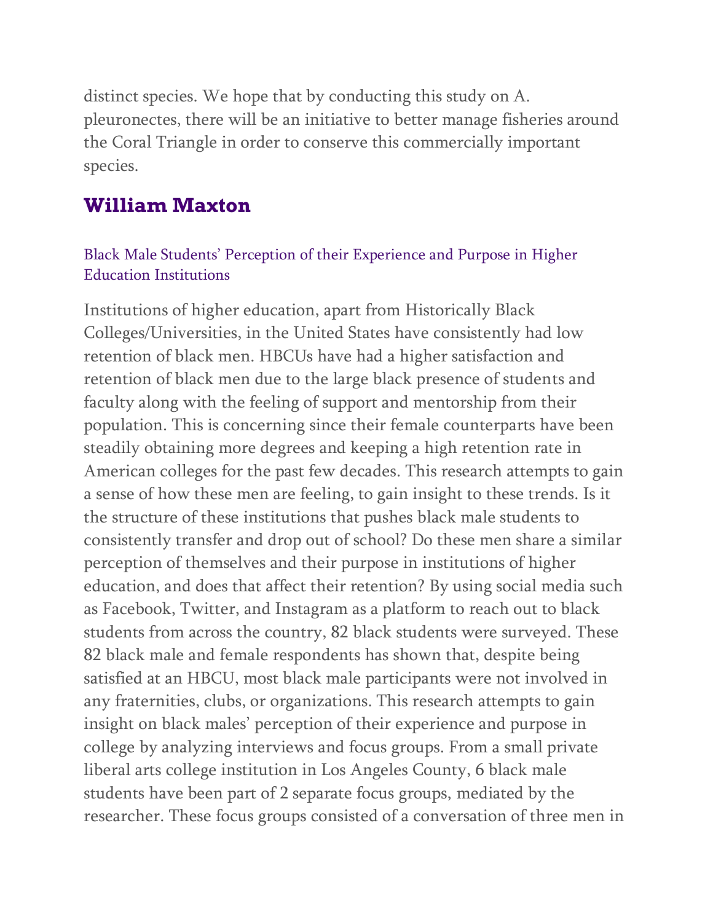distinct species. We hope that by conducting this study on A. pleuronectes, there will be an initiative to better manage fisheries around the Coral Triangle in order to conserve this commercially important species.

### **William Maxton**

#### Black Male Students' Perception of their Experience and Purpose in Higher Education Institutions

Institutions of higher education, apart from Historically Black Colleges/Universities, in the United States have consistently had low retention of black men. HBCUs have had a higher satisfaction and retention of black men due to the large black presence of students and faculty along with the feeling of support and mentorship from their population. This is concerning since their female counterparts have been steadily obtaining more degrees and keeping a high retention rate in American colleges for the past few decades. This research attempts to gain a sense of how these men are feeling, to gain insight to these trends. Is it the structure of these institutions that pushes black male students to consistently transfer and drop out of school? Do these men share a similar perception of themselves and their purpose in institutions of higher education, and does that affect their retention? By using social media such as Facebook, Twitter, and Instagram as a platform to reach out to black students from across the country, 82 black students were surveyed. These 82 black male and female respondents has shown that, despite being satisfied at an HBCU, most black male participants were not involved in any fraternities, clubs, or organizations. This research attempts to gain insight on black males' perception of their experience and purpose in college by analyzing interviews and focus groups. From a small private liberal arts college institution in Los Angeles County, 6 black male students have been part of 2 separate focus groups, mediated by the researcher. These focus groups consisted of a conversation of three men in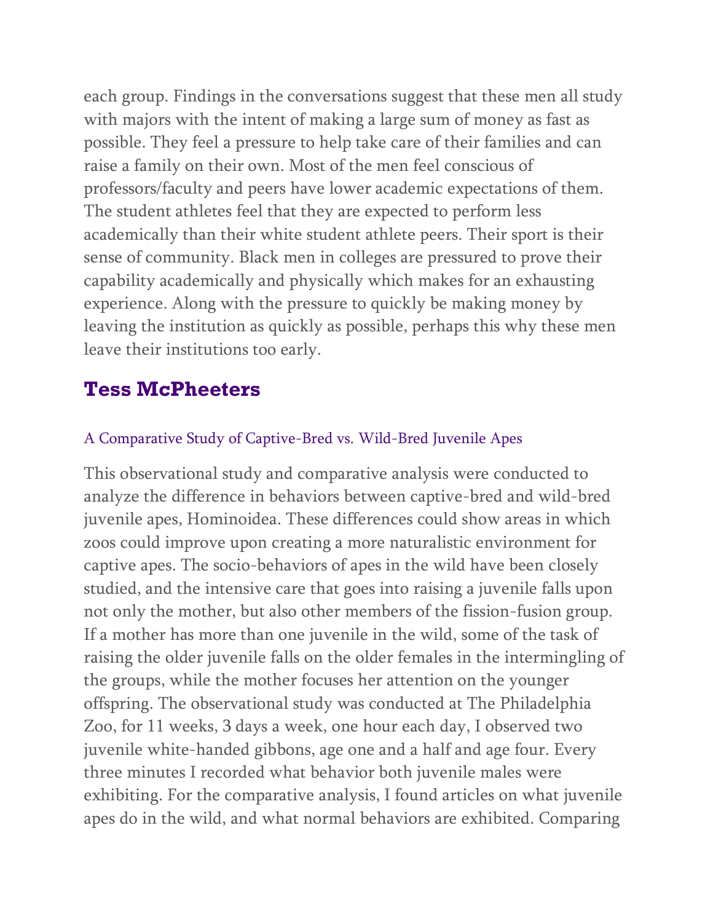each group. Findings in the conversations suggest that these men all study with majors with the intent of making a large sum of money as fast as possible. They feel a pressure to help take care of their families and can raise a family on their own. Most of the men feel conscious of professors/faculty and peers have lower academic expectations of them. The student athletes feel that they are expected to perform less academically than their white student athlete peers. Their sport is their sense of community. Black men in colleges are pressured to prove their capability academically and physically which makes for an exhausting experience. Along with the pressure to quickly be making money by leaving the institution as quickly as possible, perhaps this why these men leave their institutions too early.

### **Tess McPheeters**

#### A Comparative Study of Captive-Bred vs. Wild-Bred Juvenile Apes

This observational study and comparative analysis were conducted to analyze the difference in behaviors between captive-bred and wild-bred juvenile apes, Hominoidea. These differences could show areas in which zoos could improve upon creating a more naturalistic environment for captive apes. The socio-behaviors of apes in the wild have been closely studied, and the intensive care that goes into raising a juvenile falls upon not only the mother, but also other members of the fission-fusion group. If a mother has more than one juvenile in the wild, some of the task of raising the older juvenile falls on the older females in the intermingling of the groups, while the mother focuses her attention on the younger offspring. The observational study was conducted at The Philadelphia Zoo, for 11 weeks, 3 days a week, one hour each day, I observed two juvenile white-handed gibbons, age one and a half and age four. Every three minutes I recorded what behavior both juvenile males were exhibiting. For the comparative analysis, I found articles on what juvenile apes do in the wild, and what normal behaviors are exhibited. Comparing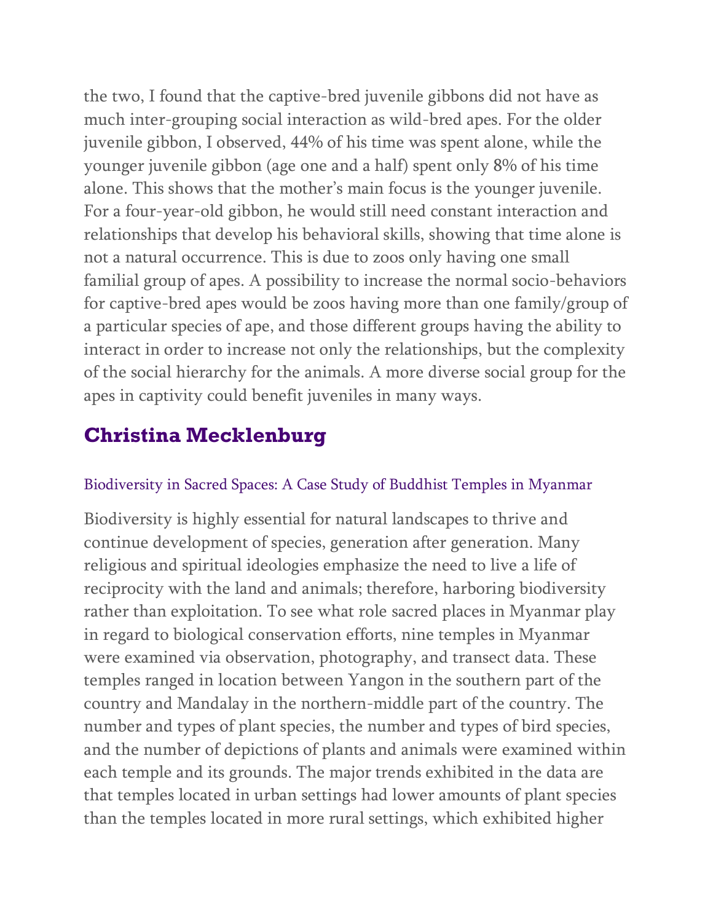the two, I found that the captive-bred juvenile gibbons did not have as much inter-grouping social interaction as wild-bred apes. For the older juvenile gibbon, I observed, 44% of his time was spent alone, while the younger juvenile gibbon (age one and a half) spent only 8% of his time alone. This shows that the mother's main focus is the younger juvenile. For a four-year-old gibbon, he would still need constant interaction and relationships that develop his behavioral skills, showing that time alone is not a natural occurrence. This is due to zoos only having one small familial group of apes. A possibility to increase the normal socio-behaviors for captive-bred apes would be zoos having more than one family/group of a particular species of ape, and those different groups having the ability to interact in order to increase not only the relationships, but the complexity of the social hierarchy for the animals. A more diverse social group for the apes in captivity could benefit juveniles in many ways.

# **Christina Mecklenburg**

#### Biodiversity in Sacred Spaces: A Case Study of Buddhist Temples in Myanmar

Biodiversity is highly essential for natural landscapes to thrive and continue development of species, generation after generation. Many religious and spiritual ideologies emphasize the need to live a life of reciprocity with the land and animals; therefore, harboring biodiversity rather than exploitation. To see what role sacred places in Myanmar play in regard to biological conservation efforts, nine temples in Myanmar were examined via observation, photography, and transect data. These temples ranged in location between Yangon in the southern part of the country and Mandalay in the northern-middle part of the country. The number and types of plant species, the number and types of bird species, and the number of depictions of plants and animals were examined within each temple and its grounds. The major trends exhibited in the data are that temples located in urban settings had lower amounts of plant species than the temples located in more rural settings, which exhibited higher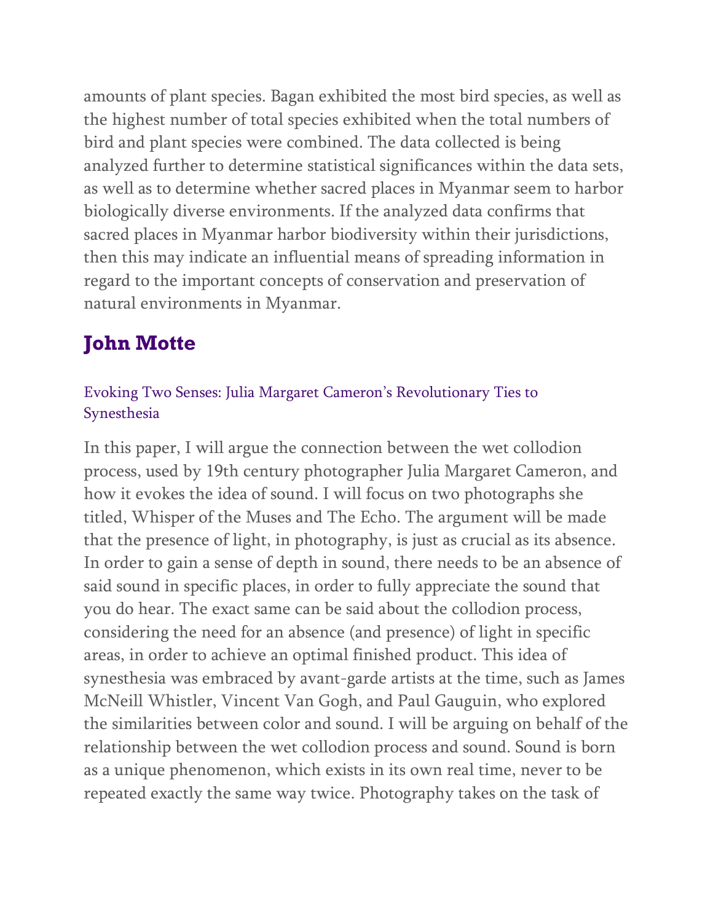amounts of plant species. Bagan exhibited the most bird species, as well as the highest number of total species exhibited when the total numbers of bird and plant species were combined. The data collected is being analyzed further to determine statistical significances within the data sets, as well as to determine whether sacred places in Myanmar seem to harbor biologically diverse environments. If the analyzed data confirms that sacred places in Myanmar harbor biodiversity within their jurisdictions, then this may indicate an influential means of spreading information in regard to the important concepts of conservation and preservation of natural environments in Myanmar.

# **John Motte**

#### Evoking Two Senses: Julia Margaret Cameron's Revolutionary Ties to Synesthesia

In this paper, I will argue the connection between the wet collodion process, used by 19th century photographer Julia Margaret Cameron, and how it evokes the idea of sound. I will focus on two photographs she titled, Whisper of the Muses and The Echo. The argument will be made that the presence of light, in photography, is just as crucial as its absence. In order to gain a sense of depth in sound, there needs to be an absence of said sound in specific places, in order to fully appreciate the sound that you do hear. The exact same can be said about the collodion process, considering the need for an absence (and presence) of light in specific areas, in order to achieve an optimal finished product. This idea of synesthesia was embraced by avant-garde artists at the time, such as James McNeill Whistler, Vincent Van Gogh, and Paul Gauguin, who explored the similarities between color and sound. I will be arguing on behalf of the relationship between the wet collodion process and sound. Sound is born as a unique phenomenon, which exists in its own real time, never to be repeated exactly the same way twice. Photography takes on the task of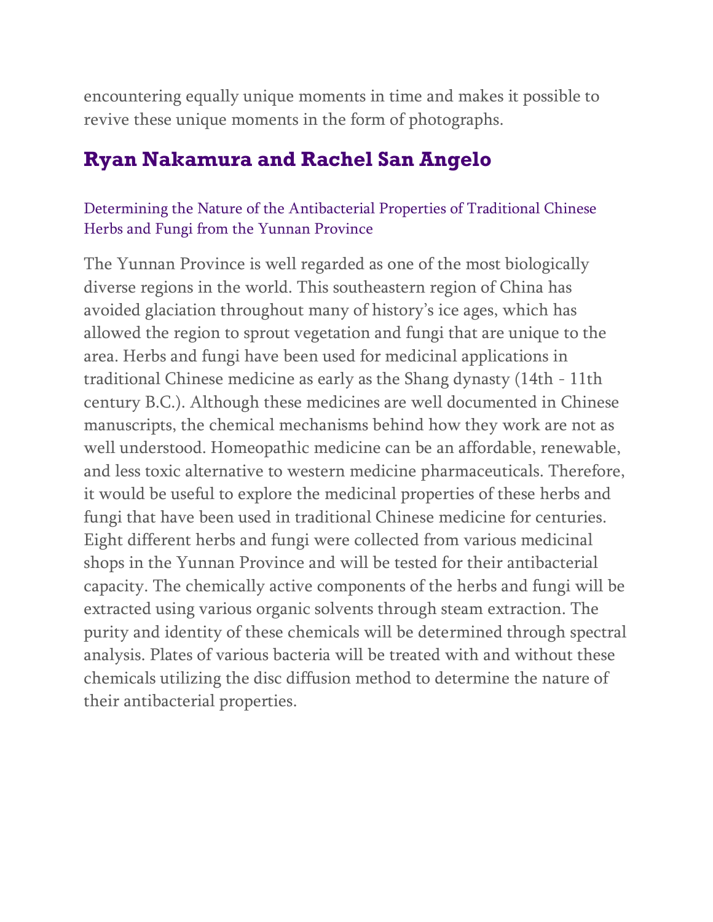encountering equally unique moments in time and makes it possible to revive these unique moments in the form of photographs.

### **Ryan Nakamura and Rachel San Angelo**

#### Determining the Nature of the Antibacterial Properties of Traditional Chinese Herbs and Fungi from the Yunnan Province

The Yunnan Province is well regarded as one of the most biologically diverse regions in the world. This southeastern region of China has avoided glaciation throughout many of history's ice ages, which has allowed the region to sprout vegetation and fungi that are unique to the area. Herbs and fungi have been used for medicinal applications in traditional Chinese medicine as early as the Shang dynasty (14th - 11th century B.C.). Although these medicines are well documented in Chinese manuscripts, the chemical mechanisms behind how they work are not as well understood. Homeopathic medicine can be an affordable, renewable, and less toxic alternative to western medicine pharmaceuticals. Therefore, it would be useful to explore the medicinal properties of these herbs and fungi that have been used in traditional Chinese medicine for centuries. Eight different herbs and fungi were collected from various medicinal shops in the Yunnan Province and will be tested for their antibacterial capacity. The chemically active components of the herbs and fungi will be extracted using various organic solvents through steam extraction. The purity and identity of these chemicals will be determined through spectral analysis. Plates of various bacteria will be treated with and without these chemicals utilizing the disc diffusion method to determine the nature of their antibacterial properties.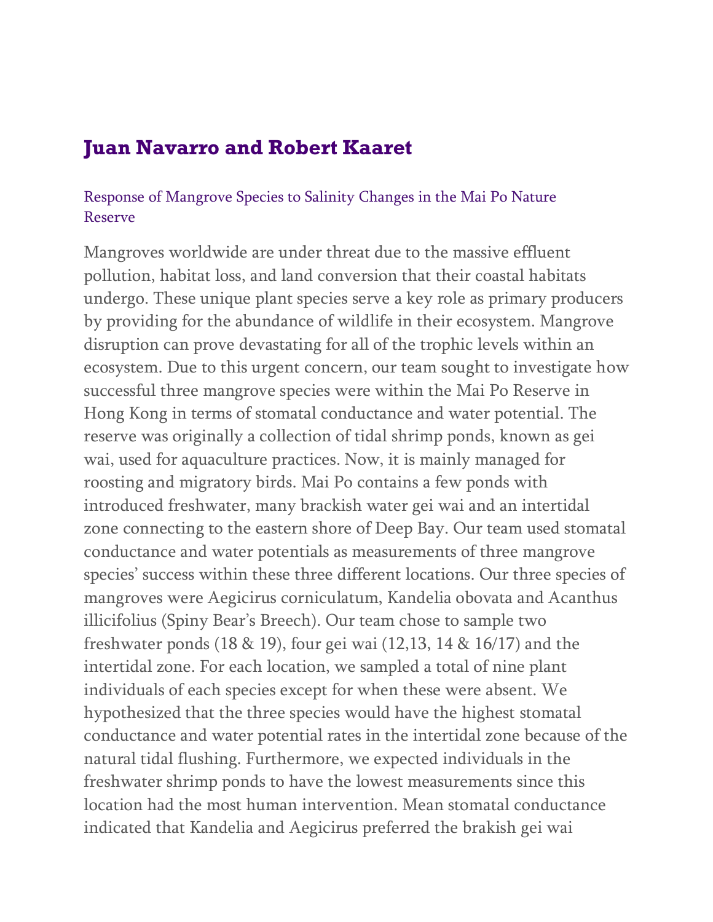### **Juan Navarro and Robert Kaaret**

#### Response of Mangrove Species to Salinity Changes in the Mai Po Nature Reserve

Mangroves worldwide are under threat due to the massive effluent pollution, habitat loss, and land conversion that their coastal habitats undergo. These unique plant species serve a key role as primary producers by providing for the abundance of wildlife in their ecosystem. Mangrove disruption can prove devastating for all of the trophic levels within an ecosystem. Due to this urgent concern, our team sought to investigate how successful three mangrove species were within the Mai Po Reserve in Hong Kong in terms of stomatal conductance and water potential. The reserve was originally a collection of tidal shrimp ponds, known as gei wai, used for aquaculture practices. Now, it is mainly managed for roosting and migratory birds. Mai Po contains a few ponds with introduced freshwater, many brackish water gei wai and an intertidal zone connecting to the eastern shore of Deep Bay. Our team used stomatal conductance and water potentials as measurements of three mangrove species' success within these three different locations. Our three species of mangroves were Aegicirus corniculatum, Kandelia obovata and Acanthus illicifolius (Spiny Bear's Breech). Our team chose to sample two freshwater ponds (18 & 19), four gei wai (12,13, 14 & 16/17) and the intertidal zone. For each location, we sampled a total of nine plant individuals of each species except for when these were absent. We hypothesized that the three species would have the highest stomatal conductance and water potential rates in the intertidal zone because of the natural tidal flushing. Furthermore, we expected individuals in the freshwater shrimp ponds to have the lowest measurements since this location had the most human intervention. Mean stomatal conductance indicated that Kandelia and Aegicirus preferred the brakish gei wai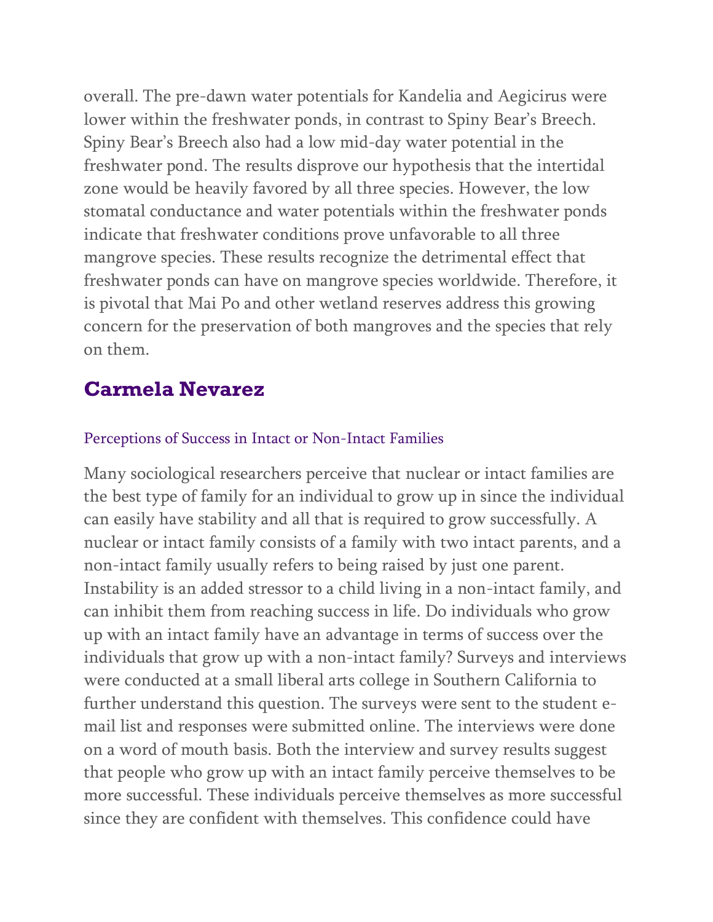overall. The pre-dawn water potentials for Kandelia and Aegicirus were lower within the freshwater ponds, in contrast to Spiny Bear's Breech. Spiny Bear's Breech also had a low mid-day water potential in the freshwater pond. The results disprove our hypothesis that the intertidal zone would be heavily favored by all three species. However, the low stomatal conductance and water potentials within the freshwater ponds indicate that freshwater conditions prove unfavorable to all three mangrove species. These results recognize the detrimental effect that freshwater ponds can have on mangrove species worldwide. Therefore, it is pivotal that Mai Po and other wetland reserves address this growing concern for the preservation of both mangroves and the species that rely on them.

### **Carmela Nevarez**

#### Perceptions of Success in Intact or Non-Intact Families

Many sociological researchers perceive that nuclear or intact families are the best type of family for an individual to grow up in since the individual can easily have stability and all that is required to grow successfully. A nuclear or intact family consists of a family with two intact parents, and a non-intact family usually refers to being raised by just one parent. Instability is an added stressor to a child living in a non-intact family, and can inhibit them from reaching success in life. Do individuals who grow up with an intact family have an advantage in terms of success over the individuals that grow up with a non-intact family? Surveys and interviews were conducted at a small liberal arts college in Southern California to further understand this question. The surveys were sent to the student email list and responses were submitted online. The interviews were done on a word of mouth basis. Both the interview and survey results suggest that people who grow up with an intact family perceive themselves to be more successful. These individuals perceive themselves as more successful since they are confident with themselves. This confidence could have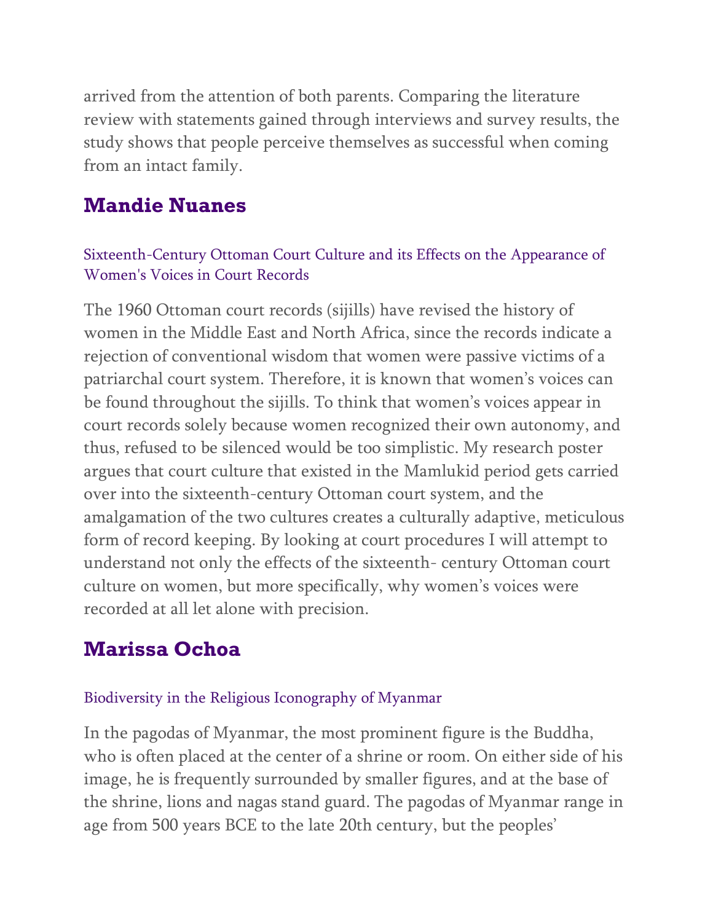arrived from the attention of both parents. Comparing the literature review with statements gained through interviews and survey results, the study shows that people perceive themselves as successful when coming from an intact family.

### **Mandie Nuanes**

#### Sixteenth-Century Ottoman Court Culture and its Effects on the Appearance of Women's Voices in Court Records

The 1960 Ottoman court records (sijills) have revised the history of women in the Middle East and North Africa, since the records indicate a rejection of conventional wisdom that women were passive victims of a patriarchal court system. Therefore, it is known that women's voices can be found throughout the sijills. To think that women's voices appear in court records solely because women recognized their own autonomy, and thus, refused to be silenced would be too simplistic. My research poster argues that court culture that existed in the Mamlukid period gets carried over into the sixteenth-century Ottoman court system, and the amalgamation of the two cultures creates a culturally adaptive, meticulous form of record keeping. By looking at court procedures I will attempt to understand not only the effects of the sixteenth- century Ottoman court culture on women, but more specifically, why women's voices were recorded at all let alone with precision.

## **Marissa Ochoa**

#### Biodiversity in the Religious Iconography of Myanmar

In the pagodas of Myanmar, the most prominent figure is the Buddha, who is often placed at the center of a shrine or room. On either side of his image, he is frequently surrounded by smaller figures, and at the base of the shrine, lions and nagas stand guard. The pagodas of Myanmar range in age from 500 years BCE to the late 20th century, but the peoples'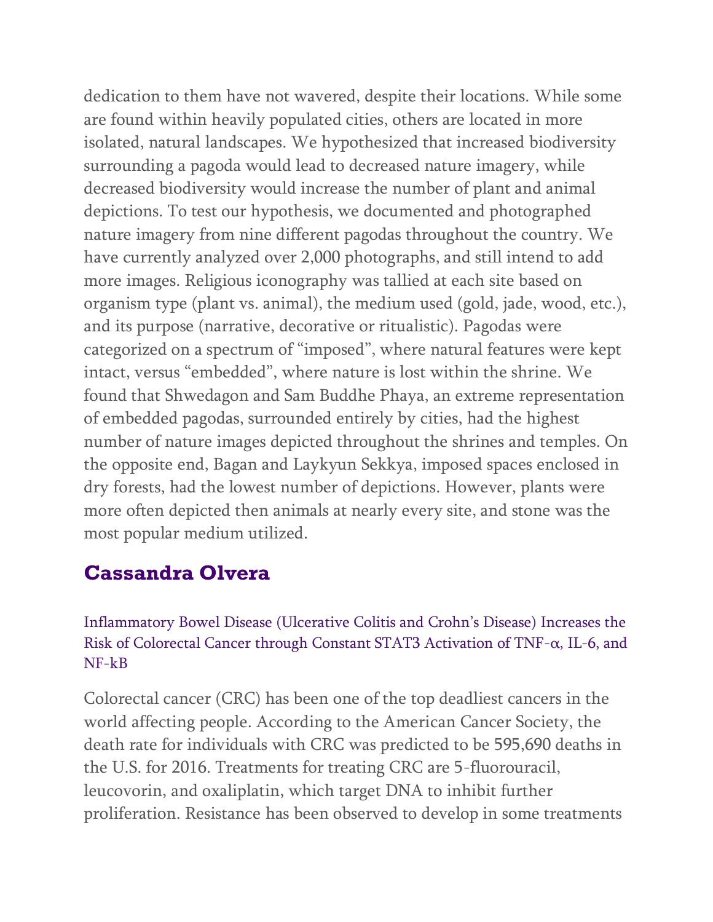dedication to them have not wavered, despite their locations. While some are found within heavily populated cities, others are located in more isolated, natural landscapes. We hypothesized that increased biodiversity surrounding a pagoda would lead to decreased nature imagery, while decreased biodiversity would increase the number of plant and animal depictions. To test our hypothesis, we documented and photographed nature imagery from nine different pagodas throughout the country. We have currently analyzed over 2,000 photographs, and still intend to add more images. Religious iconography was tallied at each site based on organism type (plant vs. animal), the medium used (gold, jade, wood, etc.), and its purpose (narrative, decorative or ritualistic). Pagodas were categorized on a spectrum of "imposed", where natural features were kept intact, versus "embedded", where nature is lost within the shrine. We found that Shwedagon and Sam Buddhe Phaya, an extreme representation of embedded pagodas, surrounded entirely by cities, had the highest number of nature images depicted throughout the shrines and temples. On the opposite end, Bagan and Laykyun Sekkya, imposed spaces enclosed in dry forests, had the lowest number of depictions. However, plants were more often depicted then animals at nearly every site, and stone was the most popular medium utilized.

## **Cassandra Olvera**

Inflammatory Bowel Disease (Ulcerative Colitis and Crohn's Disease) Increases the Risk of Colorectal Cancer through Constant STAT3 Activation of TNF-α, IL-6, and NF-kB

Colorectal cancer (CRC) has been one of the top deadliest cancers in the world affecting people. According to the American Cancer Society, the death rate for individuals with CRC was predicted to be 595,690 deaths in the U.S. for 2016. Treatments for treating CRC are 5-fluorouracil, leucovorin, and oxaliplatin, which target DNA to inhibit further proliferation. Resistance has been observed to develop in some treatments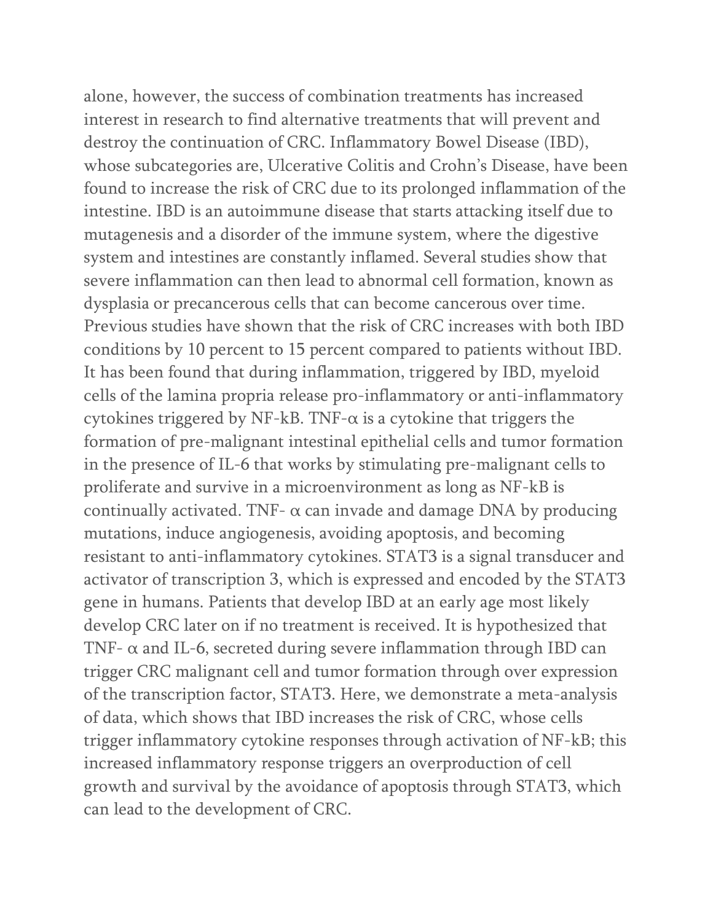alone, however, the success of combination treatments has increased interest in research to find alternative treatments that will prevent and destroy the continuation of CRC. Inflammatory Bowel Disease (IBD), whose subcategories are, Ulcerative Colitis and Crohn's Disease, have been found to increase the risk of CRC due to its prolonged inflammation of the intestine. IBD is an autoimmune disease that starts attacking itself due to mutagenesis and a disorder of the immune system, where the digestive system and intestines are constantly inflamed. Several studies show that severe inflammation can then lead to abnormal cell formation, known as dysplasia or precancerous cells that can become cancerous over time. Previous studies have shown that the risk of CRC increases with both IBD conditions by 10 percent to 15 percent compared to patients without IBD. It has been found that during inflammation, triggered by IBD, myeloid cells of the lamina propria release pro-inflammatory or anti-inflammatory cytokines triggered by NF-kB. TNF- $\alpha$  is a cytokine that triggers the formation of pre-malignant intestinal epithelial cells and tumor formation in the presence of IL-6 that works by stimulating pre-malignant cells to proliferate and survive in a microenvironment as long as NF-kB is continually activated. TNF- $\alpha$  can invade and damage DNA by producing mutations, induce angiogenesis, avoiding apoptosis, and becoming resistant to anti-inflammatory cytokines. STAT3 is a signal transducer and activator of transcription 3, which is expressed and encoded by the STAT3 gene in humans. Patients that develop IBD at an early age most likely develop CRC later on if no treatment is received. It is hypothesized that TNF- $\alpha$  and IL-6, secreted during severe inflammation through IBD can trigger CRC malignant cell and tumor formation through over expression of the transcription factor, STAT3. Here, we demonstrate a meta-analysis of data, which shows that IBD increases the risk of CRC, whose cells trigger inflammatory cytokine responses through activation of NF-kB; this increased inflammatory response triggers an overproduction of cell growth and survival by the avoidance of apoptosis through STAT3, which can lead to the development of CRC.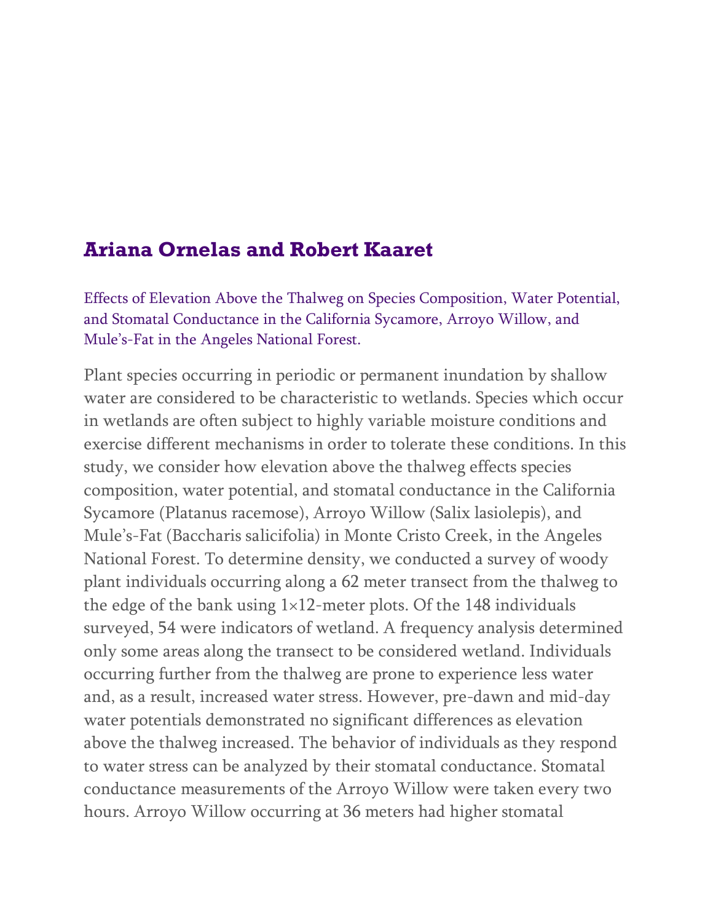## **Ariana Ornelas and Robert Kaaret**

Effects of Elevation Above the Thalweg on Species Composition, Water Potential, and Stomatal Conductance in the California Sycamore, Arroyo Willow, and Mule's-Fat in the Angeles National Forest.

Plant species occurring in periodic or permanent inundation by shallow water are considered to be characteristic to wetlands. Species which occur in wetlands are often subject to highly variable moisture conditions and exercise different mechanisms in order to tolerate these conditions. In this study, we consider how elevation above the thalweg effects species composition, water potential, and stomatal conductance in the California Sycamore (Platanus racemose), Arroyo Willow (Salix lasiolepis), and Mule's-Fat (Baccharis salicifolia) in Monte Cristo Creek, in the Angeles National Forest. To determine density, we conducted a survey of woody plant individuals occurring along a 62 meter transect from the thalweg to the edge of the bank using  $1\times12$ -meter plots. Of the 148 individuals surveyed, 54 were indicators of wetland. A frequency analysis determined only some areas along the transect to be considered wetland. Individuals occurring further from the thalweg are prone to experience less water and, as a result, increased water stress. However, pre-dawn and mid-day water potentials demonstrated no significant differences as elevation above the thalweg increased. The behavior of individuals as they respond to water stress can be analyzed by their stomatal conductance. Stomatal conductance measurements of the Arroyo Willow were taken every two hours. Arroyo Willow occurring at 36 meters had higher stomatal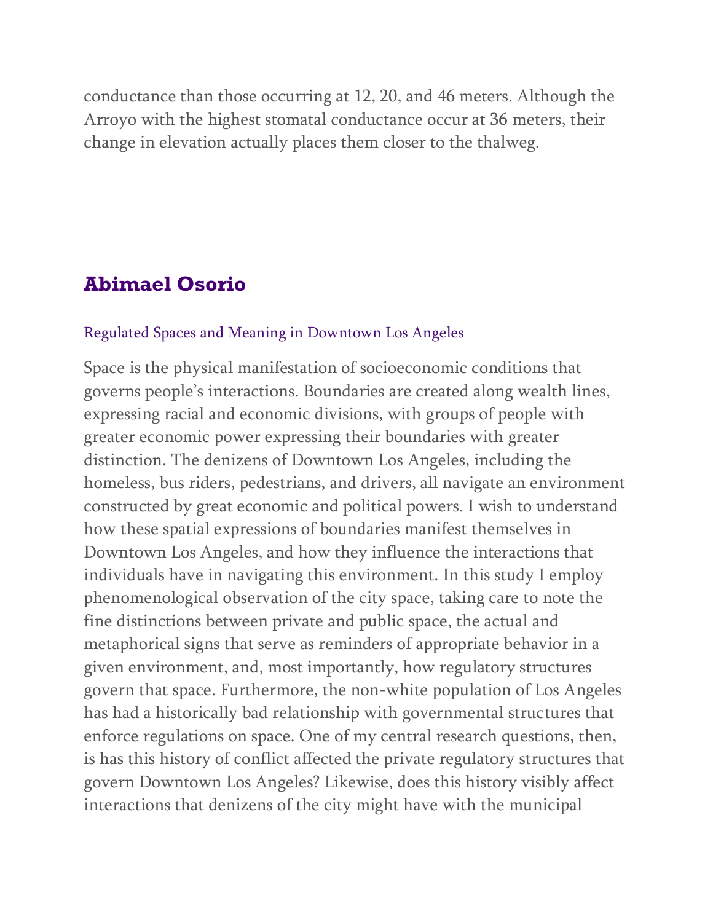conductance than those occurring at 12, 20, and 46 meters. Although the Arroyo with the highest stomatal conductance occur at 36 meters, their change in elevation actually places them closer to the thalweg.

## **Abimael Osorio**

#### Regulated Spaces and Meaning in Downtown Los Angeles

Space is the physical manifestation of socioeconomic conditions that governs people's interactions. Boundaries are created along wealth lines, expressing racial and economic divisions, with groups of people with greater economic power expressing their boundaries with greater distinction. The denizens of Downtown Los Angeles, including the homeless, bus riders, pedestrians, and drivers, all navigate an environment constructed by great economic and political powers. I wish to understand how these spatial expressions of boundaries manifest themselves in Downtown Los Angeles, and how they influence the interactions that individuals have in navigating this environment. In this study I employ phenomenological observation of the city space, taking care to note the fine distinctions between private and public space, the actual and metaphorical signs that serve as reminders of appropriate behavior in a given environment, and, most importantly, how regulatory structures govern that space. Furthermore, the non-white population of Los Angeles has had a historically bad relationship with governmental structures that enforce regulations on space. One of my central research questions, then, is has this history of conflict affected the private regulatory structures that govern Downtown Los Angeles? Likewise, does this history visibly affect interactions that denizens of the city might have with the municipal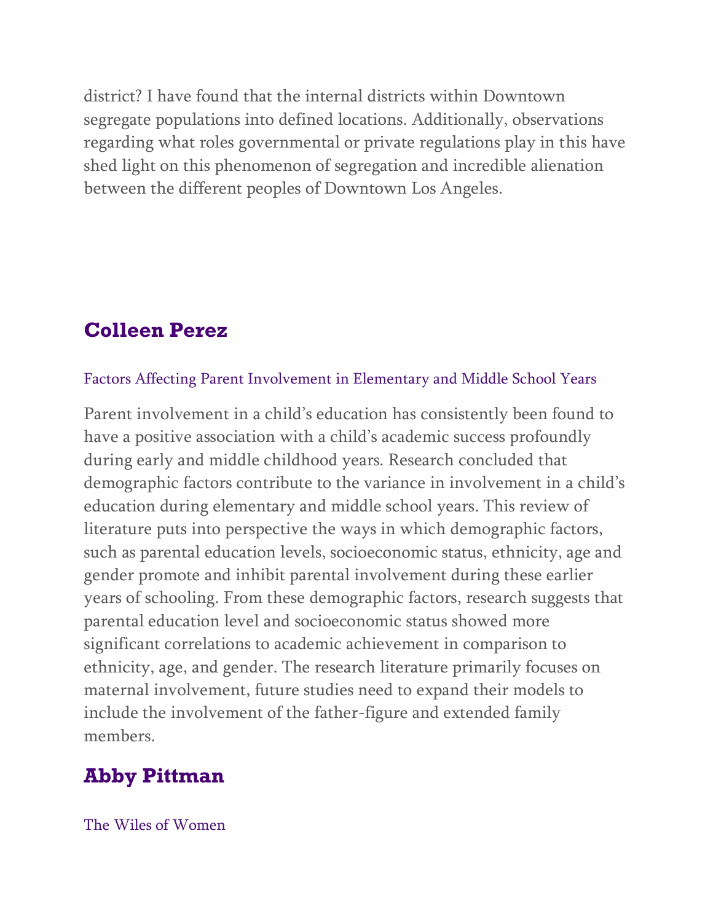district? I have found that the internal districts within Downtown segregate populations into defined locations. Additionally, observations regarding what roles governmental or private regulations play in this have shed light on this phenomenon of segregation and incredible alienation between the different peoples of Downtown Los Angeles.

## **Colleen Perez**

#### Factors Affecting Parent Involvement in Elementary and Middle School Years

Parent involvement in a child's education has consistently been found to have a positive association with a child's academic success profoundly during early and middle childhood years. Research concluded that demographic factors contribute to the variance in involvement in a child's education during elementary and middle school years. This review of literature puts into perspective the ways in which demographic factors, such as parental education levels, socioeconomic status, ethnicity, age and gender promote and inhibit parental involvement during these earlier years of schooling. From these demographic factors, research suggests that parental education level and socioeconomic status showed more significant correlations to academic achievement in comparison to ethnicity, age, and gender. The research literature primarily focuses on maternal involvement, future studies need to expand their models to include the involvement of the father-figure and extended family members.

## **Abby Pittman**

The Wiles of Women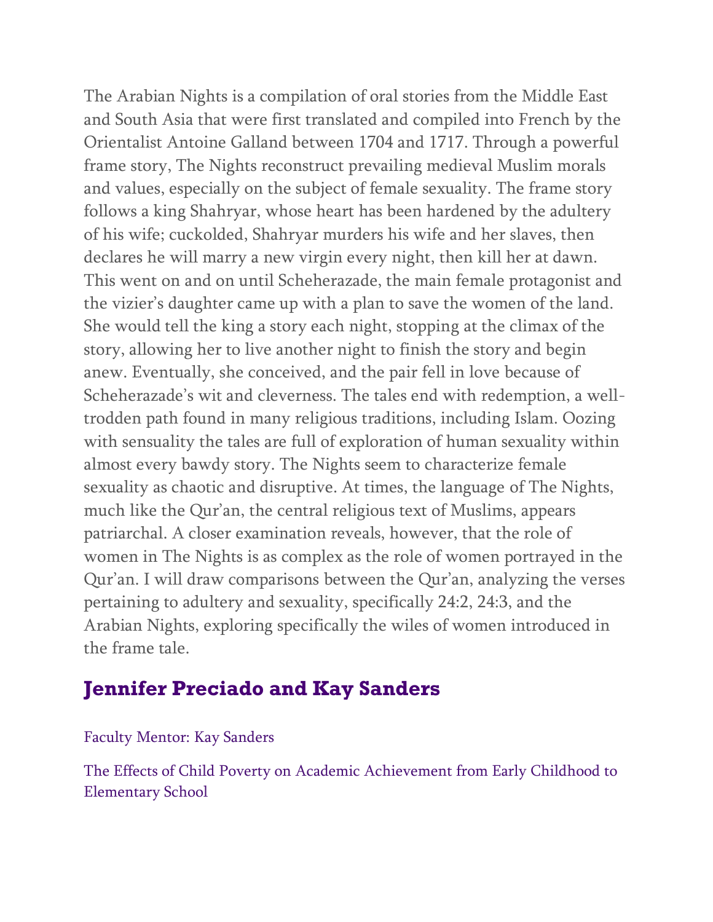The Arabian Nights is a compilation of oral stories from the Middle East and South Asia that were first translated and compiled into French by the Orientalist Antoine Galland between 1704 and 1717. Through a powerful frame story, The Nights reconstruct prevailing medieval Muslim morals and values, especially on the subject of female sexuality. The frame story follows a king Shahryar, whose heart has been hardened by the adultery of his wife; cuckolded, Shahryar murders his wife and her slaves, then declares he will marry a new virgin every night, then kill her at dawn. This went on and on until Scheherazade, the main female protagonist and the vizier's daughter came up with a plan to save the women of the land. She would tell the king a story each night, stopping at the climax of the story, allowing her to live another night to finish the story and begin anew. Eventually, she conceived, and the pair fell in love because of Scheherazade's wit and cleverness. The tales end with redemption, a welltrodden path found in many religious traditions, including Islam. Oozing with sensuality the tales are full of exploration of human sexuality within almost every bawdy story. The Nights seem to characterize female sexuality as chaotic and disruptive. At times, the language of The Nights, much like the Qur'an, the central religious text of Muslims, appears patriarchal. A closer examination reveals, however, that the role of women in The Nights is as complex as the role of women portrayed in the Qur'an. I will draw comparisons between the Qur'an, analyzing the verses pertaining to adultery and sexuality, specifically 24:2, 24:3, and the Arabian Nights, exploring specifically the wiles of women introduced in the frame tale.

## **Jennifer Preciado and Kay Sanders**

#### Faculty Mentor: Kay Sanders

The Effects of Child Poverty on Academic Achievement from Early Childhood to Elementary School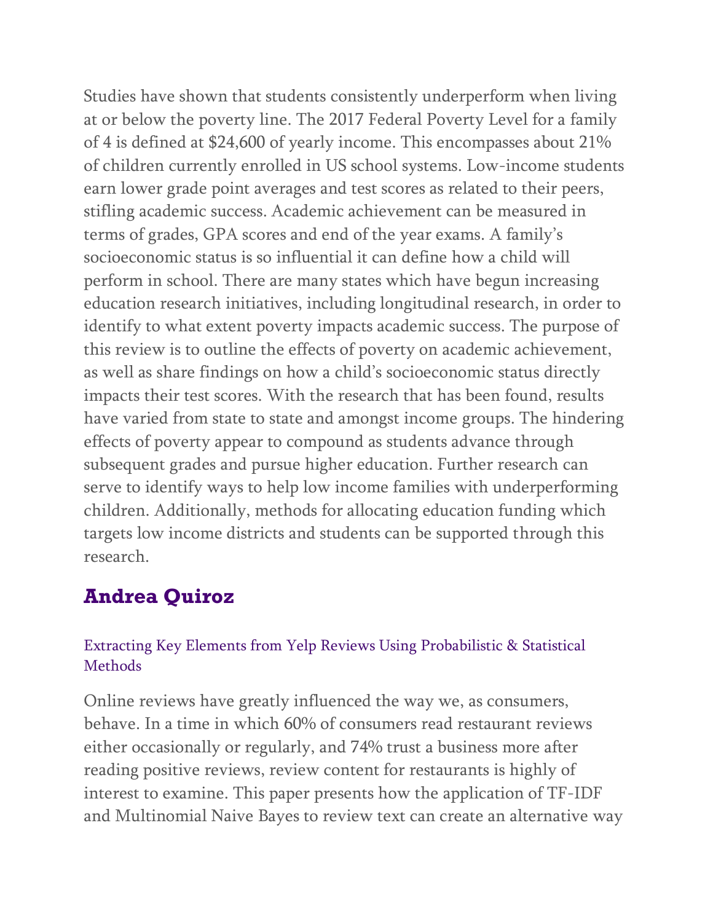Studies have shown that students consistently underperform when living at or below the poverty line. The 2017 Federal Poverty Level for a family of 4 is defined at \$24,600 of yearly income. This encompasses about 21% of children currently enrolled in US school systems. Low-income students earn lower grade point averages and test scores as related to their peers, stifling academic success. Academic achievement can be measured in terms of grades, GPA scores and end of the year exams. A family's socioeconomic status is so influential it can define how a child will perform in school. There are many states which have begun increasing education research initiatives, including longitudinal research, in order to identify to what extent poverty impacts academic success. The purpose of this review is to outline the effects of poverty on academic achievement, as well as share findings on how a child's socioeconomic status directly impacts their test scores. With the research that has been found, results have varied from state to state and amongst income groups. The hindering effects of poverty appear to compound as students advance through subsequent grades and pursue higher education. Further research can serve to identify ways to help low income families with underperforming children. Additionally, methods for allocating education funding which targets low income districts and students can be supported through this research.

## **Andrea Quiroz**

### Extracting Key Elements from Yelp Reviews Using Probabilistic & Statistical Methods

Online reviews have greatly influenced the way we, as consumers, behave. In a time in which 60% of consumers read restaurant reviews either occasionally or regularly, and 74% trust a business more after reading positive reviews, review content for restaurants is highly of interest to examine. This paper presents how the application of TF-IDF and Multinomial Naive Bayes to review text can create an alternative way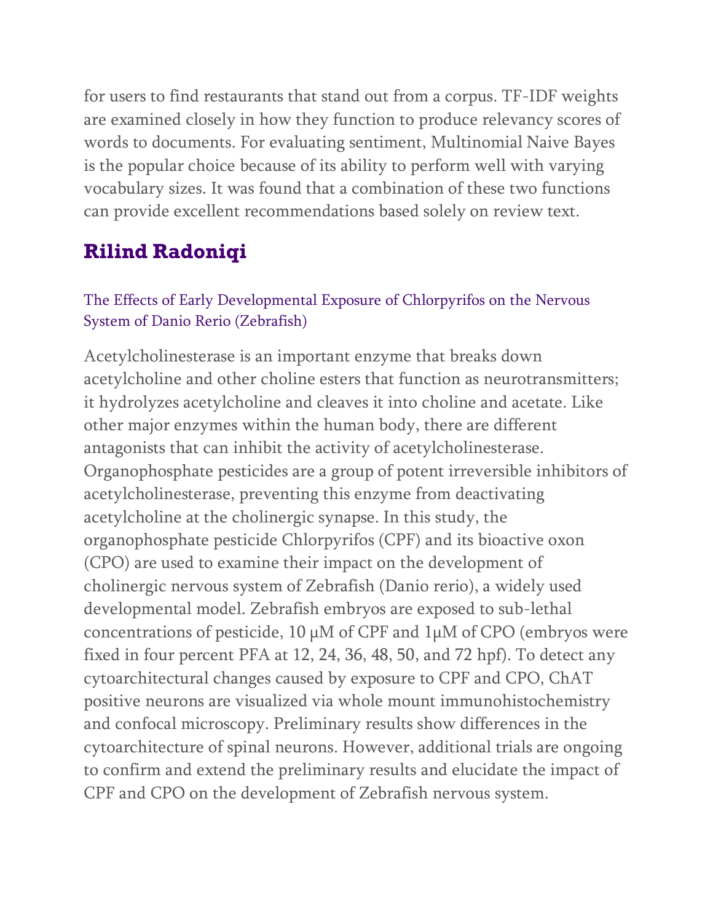for users to find restaurants that stand out from a corpus. TF-IDF weights are examined closely in how they function to produce relevancy scores of words to documents. For evaluating sentiment, Multinomial Naive Bayes is the popular choice because of its ability to perform well with varying vocabulary sizes. It was found that a combination of these two functions can provide excellent recommendations based solely on review text.

# **Rilind Radoniqi**

### The Effects of Early Developmental Exposure of Chlorpyrifos on the Nervous System of Danio Rerio (Zebrafish)

Acetylcholinesterase is an important enzyme that breaks down acetylcholine and other choline esters that function as neurotransmitters; it hydrolyzes acetylcholine and cleaves it into choline and acetate. Like other major enzymes within the human body, there are different antagonists that can inhibit the activity of acetylcholinesterase. Organophosphate pesticides are a group of potent irreversible inhibitors of acetylcholinesterase, preventing this enzyme from deactivating acetylcholine at the cholinergic synapse. In this study, the organophosphate pesticide Chlorpyrifos (CPF) and its bioactive oxon (CPO) are used to examine their impact on the development of cholinergic nervous system of Zebrafish (Danio rerio), a widely used developmental model. Zebrafish embryos are exposed to sub-lethal concentrations of pesticide,  $10 \mu M$  of CPF and  $1 \mu M$  of CPO (embryos were fixed in four percent PFA at 12, 24, 36, 48, 50, and 72 hpf). To detect any cytoarchitectural changes caused by exposure to CPF and CPO, ChAT positive neurons are visualized via whole mount immunohistochemistry and confocal microscopy. Preliminary results show differences in the cytoarchitecture of spinal neurons. However, additional trials are ongoing to confirm and extend the preliminary results and elucidate the impact of CPF and CPO on the development of Zebrafish nervous system.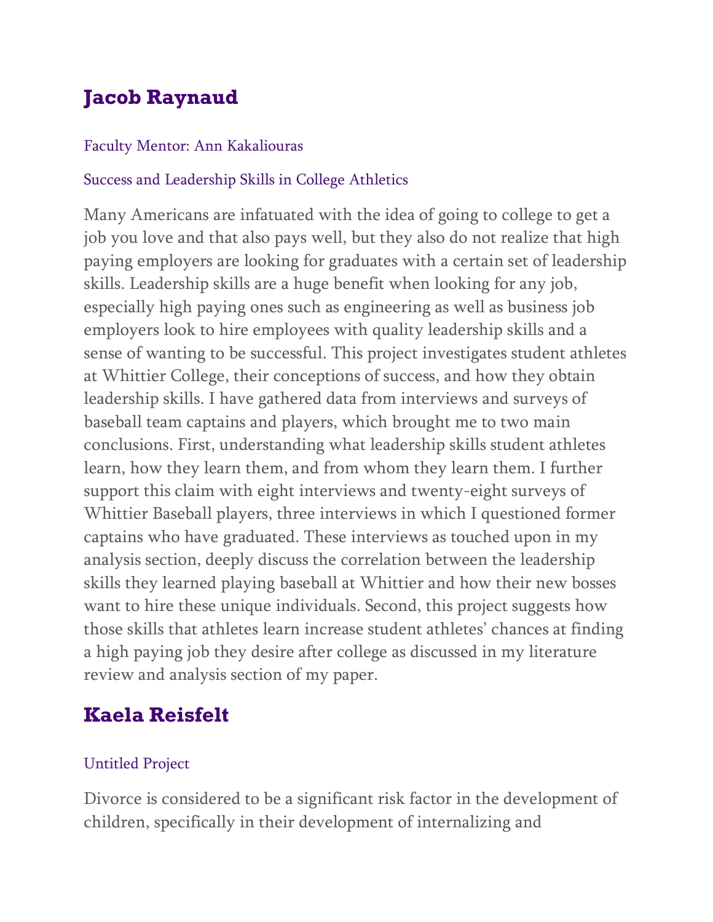# **Jacob Raynaud**

### Faculty Mentor: Ann Kakaliouras

### Success and Leadership Skills in College Athletics

Many Americans are infatuated with the idea of going to college to get a job you love and that also pays well, but they also do not realize that high paying employers are looking for graduates with a certain set of leadership skills. Leadership skills are a huge benefit when looking for any job, especially high paying ones such as engineering as well as business job employers look to hire employees with quality leadership skills and a sense of wanting to be successful. This project investigates student athletes at Whittier College, their conceptions of success, and how they obtain leadership skills. I have gathered data from interviews and surveys of baseball team captains and players, which brought me to two main conclusions. First, understanding what leadership skills student athletes learn, how they learn them, and from whom they learn them. I further support this claim with eight interviews and twenty-eight surveys of Whittier Baseball players, three interviews in which I questioned former captains who have graduated. These interviews as touched upon in my analysis section, deeply discuss the correlation between the leadership skills they learned playing baseball at Whittier and how their new bosses want to hire these unique individuals. Second, this project suggests how those skills that athletes learn increase student athletes' chances at finding a high paying job they desire after college as discussed in my literature review and analysis section of my paper.

# **Kaela Reisfelt**

### Untitled Project

Divorce is considered to be a significant risk factor in the development of children, specifically in their development of internalizing and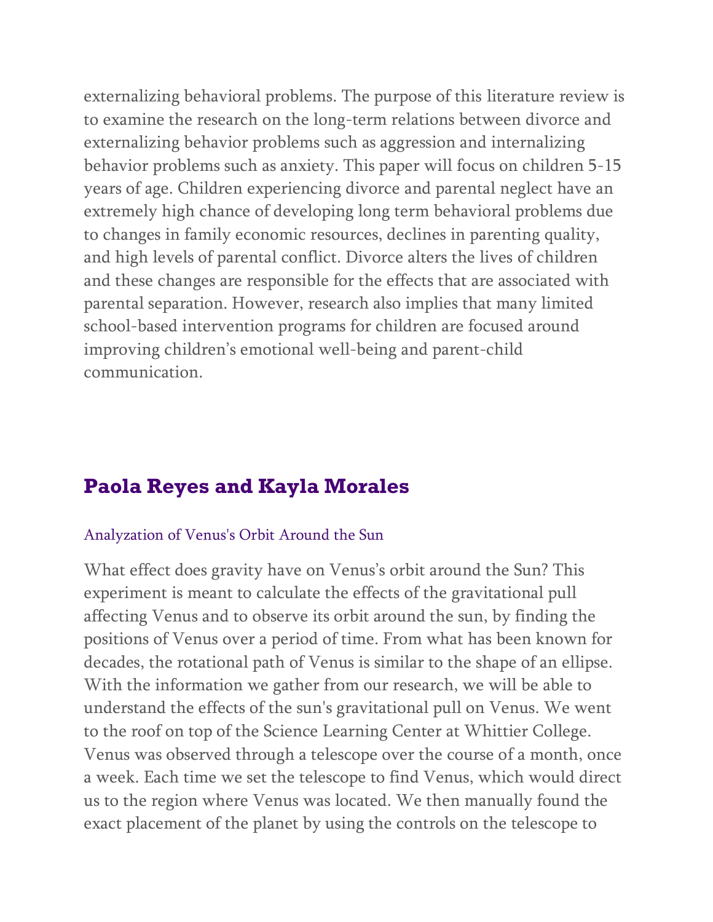externalizing behavioral problems. The purpose of this literature review is to examine the research on the long-term relations between divorce and externalizing behavior problems such as aggression and internalizing behavior problems such as anxiety. This paper will focus on children 5-15 years of age. Children experiencing divorce and parental neglect have an extremely high chance of developing long term behavioral problems due to changes in family economic resources, declines in parenting quality, and high levels of parental conflict. Divorce alters the lives of children and these changes are responsible for the effects that are associated with parental separation. However, research also implies that many limited school-based intervention programs for children are focused around improving children's emotional well-being and parent-child communication.

## **Paola Reyes and Kayla Morales**

#### Analyzation of Venus's Orbit Around the Sun

What effect does gravity have on Venus's orbit around the Sun? This experiment is meant to calculate the effects of the gravitational pull affecting Venus and to observe its orbit around the sun, by finding the positions of Venus over a period of time. From what has been known for decades, the rotational path of Venus is similar to the shape of an ellipse. With the information we gather from our research, we will be able to understand the effects of the sun's gravitational pull on Venus. We went to the roof on top of the Science Learning Center at Whittier College. Venus was observed through a telescope over the course of a month, once a week. Each time we set the telescope to find Venus, which would direct us to the region where Venus was located. We then manually found the exact placement of the planet by using the controls on the telescope to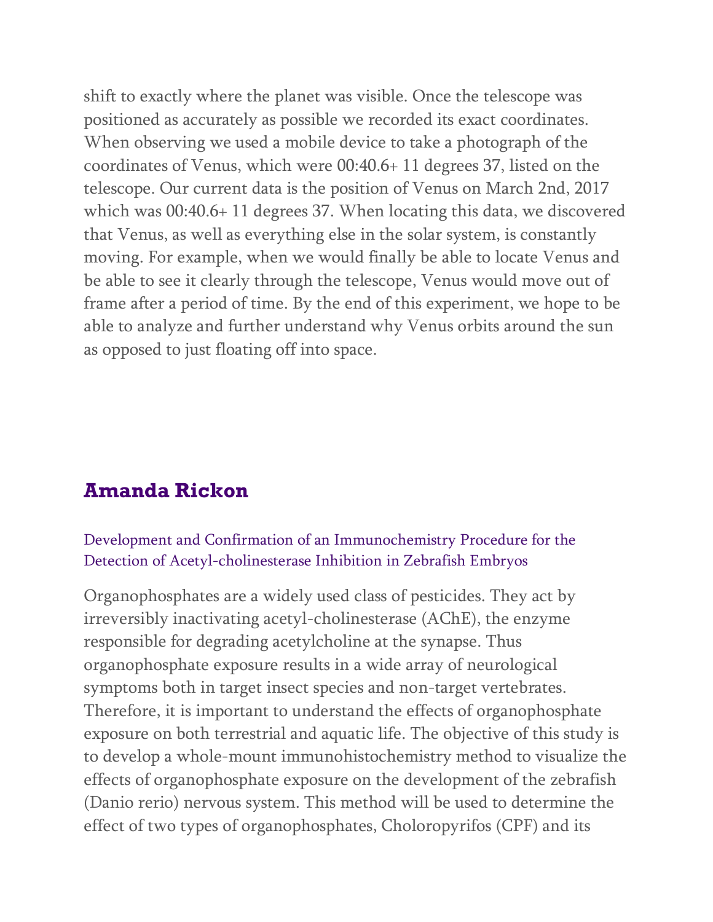shift to exactly where the planet was visible. Once the telescope was positioned as accurately as possible we recorded its exact coordinates. When observing we used a mobile device to take a photograph of the coordinates of Venus, which were 00:40.6+ 11 degrees 37, listed on the telescope. Our current data is the position of Venus on March 2nd, 2017 which was 00:40.6+ 11 degrees 37. When locating this data, we discovered that Venus, as well as everything else in the solar system, is constantly moving. For example, when we would finally be able to locate Venus and be able to see it clearly through the telescope, Venus would move out of frame after a period of time. By the end of this experiment, we hope to be able to analyze and further understand why Venus orbits around the sun as opposed to just floating off into space.

## **Amanda Rickon**

#### Development and Confirmation of an Immunochemistry Procedure for the Detection of Acetyl-cholinesterase Inhibition in Zebrafish Embryos

Organophosphates are a widely used class of pesticides. They act by irreversibly inactivating acetyl-cholinesterase (AChE), the enzyme responsible for degrading acetylcholine at the synapse. Thus organophosphate exposure results in a wide array of neurological symptoms both in target insect species and non-target vertebrates. Therefore, it is important to understand the effects of organophosphate exposure on both terrestrial and aquatic life. The objective of this study is to develop a whole-mount immunohistochemistry method to visualize the effects of organophosphate exposure on the development of the zebrafish (Danio rerio) nervous system. This method will be used to determine the effect of two types of organophosphates, Choloropyrifos (CPF) and its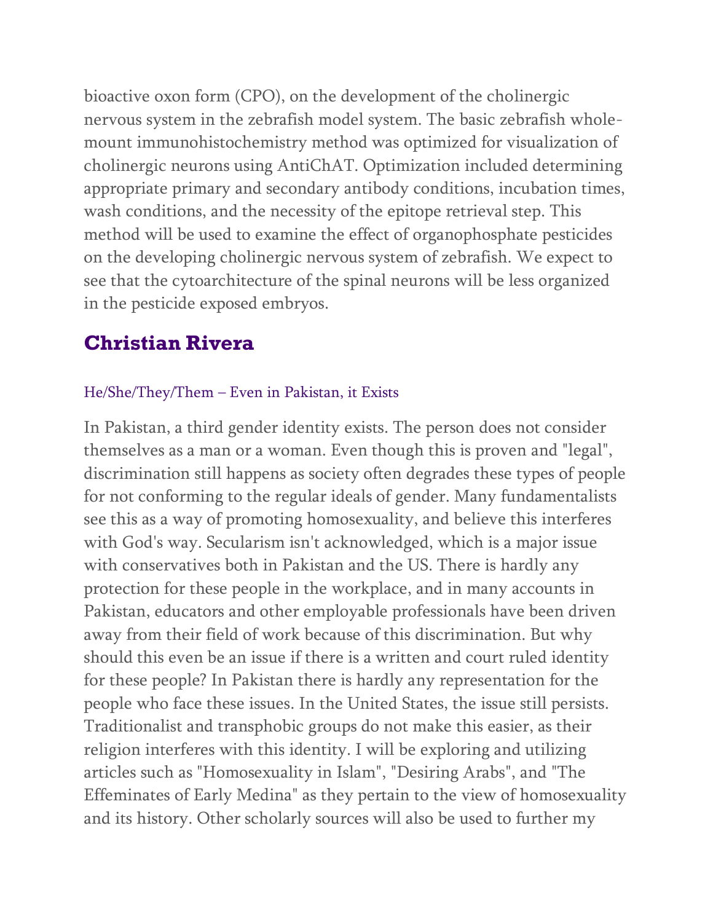bioactive oxon form (CPO), on the development of the cholinergic nervous system in the zebrafish model system. The basic zebrafish wholemount immunohistochemistry method was optimized for visualization of cholinergic neurons using AntiChAT. Optimization included determining appropriate primary and secondary antibody conditions, incubation times, wash conditions, and the necessity of the epitope retrieval step. This method will be used to examine the effect of organophosphate pesticides on the developing cholinergic nervous system of zebrafish. We expect to see that the cytoarchitecture of the spinal neurons will be less organized in the pesticide exposed embryos.

# **Christian Rivera**

#### He/She/They/Them – Even in Pakistan, it Exists

In Pakistan, a third gender identity exists. The person does not consider themselves as a man or a woman. Even though this is proven and "legal", discrimination still happens as society often degrades these types of people for not conforming to the regular ideals of gender. Many fundamentalists see this as a way of promoting homosexuality, and believe this interferes with God's way. Secularism isn't acknowledged, which is a major issue with conservatives both in Pakistan and the US. There is hardly any protection for these people in the workplace, and in many accounts in Pakistan, educators and other employable professionals have been driven away from their field of work because of this discrimination. But why should this even be an issue if there is a written and court ruled identity for these people? In Pakistan there is hardly any representation for the people who face these issues. In the United States, the issue still persists. Traditionalist and transphobic groups do not make this easier, as their religion interferes with this identity. I will be exploring and utilizing articles such as "Homosexuality in Islam", "Desiring Arabs", and "The Effeminates of Early Medina" as they pertain to the view of homosexuality and its history. Other scholarly sources will also be used to further my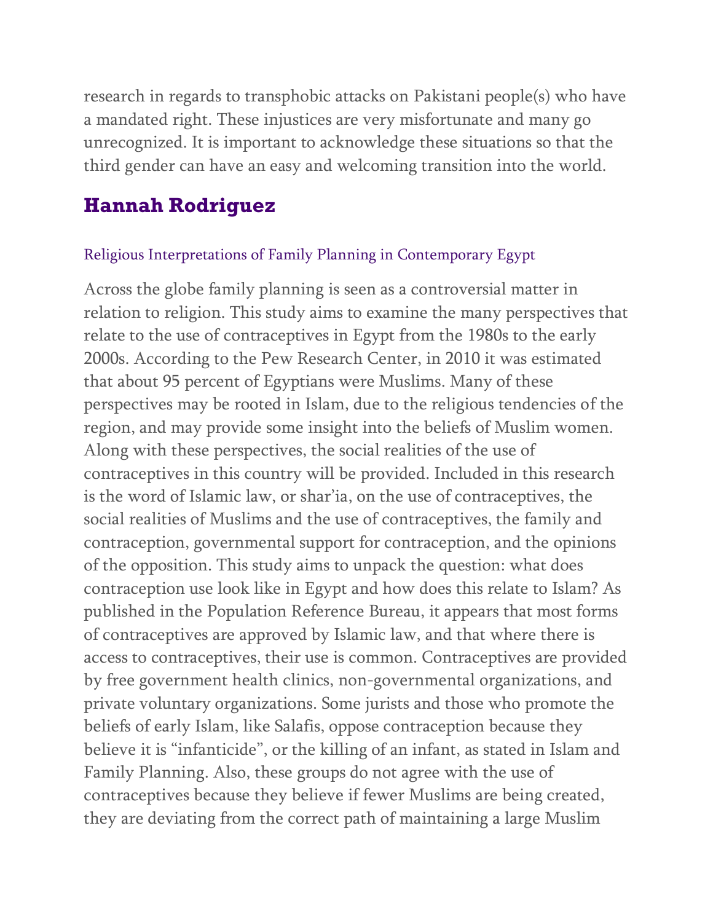research in regards to transphobic attacks on Pakistani people(s) who have a mandated right. These injustices are very misfortunate and many go unrecognized. It is important to acknowledge these situations so that the third gender can have an easy and welcoming transition into the world.

## **Hannah Rodriguez**

#### Religious Interpretations of Family Planning in Contemporary Egypt

Across the globe family planning is seen as a controversial matter in relation to religion. This study aims to examine the many perspectives that relate to the use of contraceptives in Egypt from the 1980s to the early 2000s. According to the Pew Research Center, in 2010 it was estimated that about 95 percent of Egyptians were Muslims. Many of these perspectives may be rooted in Islam, due to the religious tendencies of the region, and may provide some insight into the beliefs of Muslim women. Along with these perspectives, the social realities of the use of contraceptives in this country will be provided. Included in this research is the word of Islamic law, or shar'ia, on the use of contraceptives, the social realities of Muslims and the use of contraceptives, the family and contraception, governmental support for contraception, and the opinions of the opposition. This study aims to unpack the question: what does contraception use look like in Egypt and how does this relate to Islam? As published in the Population Reference Bureau, it appears that most forms of contraceptives are approved by Islamic law, and that where there is access to contraceptives, their use is common. Contraceptives are provided by free government health clinics, non-governmental organizations, and private voluntary organizations. Some jurists and those who promote the beliefs of early Islam, like Salafis, oppose contraception because they believe it is "infanticide", or the killing of an infant, as stated in Islam and Family Planning. Also, these groups do not agree with the use of contraceptives because they believe if fewer Muslims are being created, they are deviating from the correct path of maintaining a large Muslim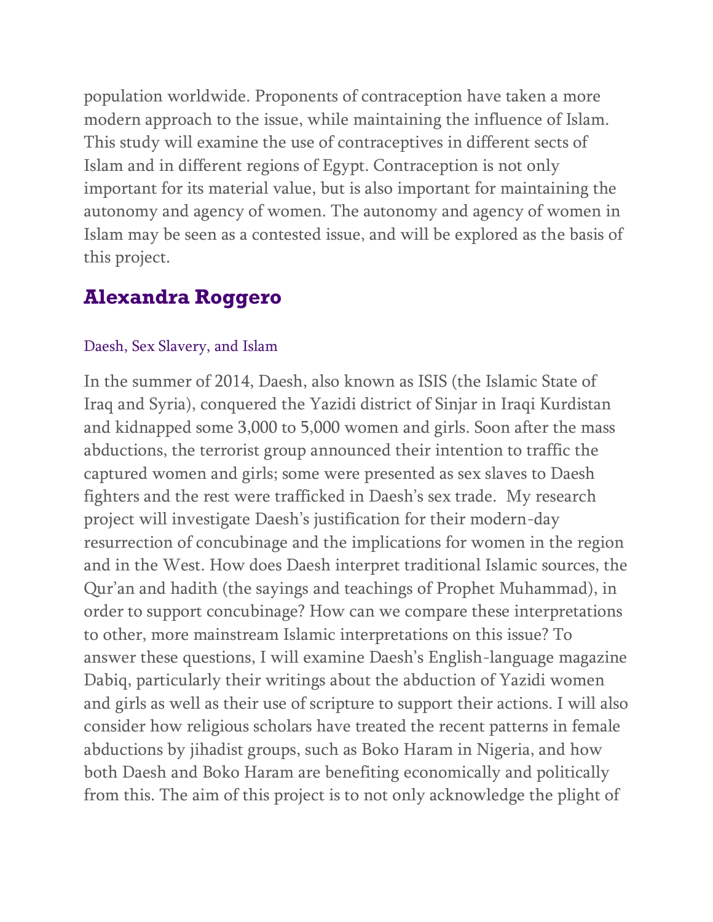population worldwide. Proponents of contraception have taken a more modern approach to the issue, while maintaining the influence of Islam. This study will examine the use of contraceptives in different sects of Islam and in different regions of Egypt. Contraception is not only important for its material value, but is also important for maintaining the autonomy and agency of women. The autonomy and agency of women in Islam may be seen as a contested issue, and will be explored as the basis of this project.

## **Alexandra Roggero**

#### Daesh, Sex Slavery, and Islam

In the summer of 2014, Daesh, also known as ISIS (the Islamic State of Iraq and Syria), conquered the Yazidi district of Sinjar in Iraqi Kurdistan and kidnapped some 3,000 to 5,000 women and girls. Soon after the mass abductions, the terrorist group announced their intention to traffic the captured women and girls; some were presented as sex slaves to Daesh fighters and the rest were trafficked in Daesh's sex trade. My research project will investigate Daesh's justification for their modern-day resurrection of concubinage and the implications for women in the region and in the West. How does Daesh interpret traditional Islamic sources, the Qur'an and hadith (the sayings and teachings of Prophet Muhammad), in order to support concubinage? How can we compare these interpretations to other, more mainstream Islamic interpretations on this issue? To answer these questions, I will examine Daesh's English-language magazine Dabiq, particularly their writings about the abduction of Yazidi women and girls as well as their use of scripture to support their actions. I will also consider how religious scholars have treated the recent patterns in female abductions by jihadist groups, such as Boko Haram in Nigeria, and how both Daesh and Boko Haram are benefiting economically and politically from this. The aim of this project is to not only acknowledge the plight of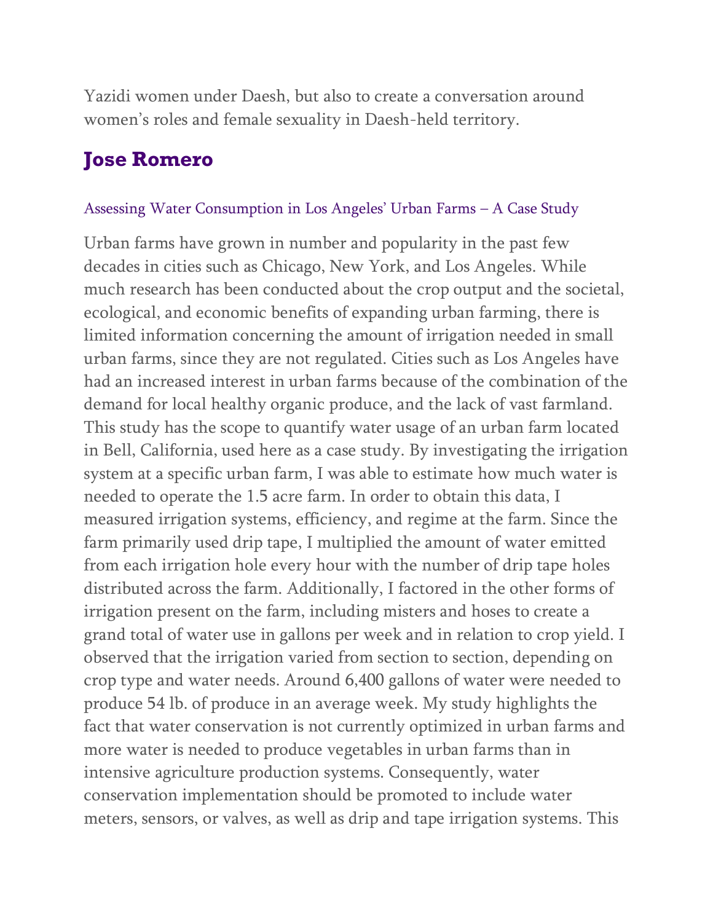Yazidi women under Daesh, but also to create a conversation around women's roles and female sexuality in Daesh-held territory.

## **Jose Romero**

#### Assessing Water Consumption in Los Angeles' Urban Farms – A Case Study

Urban farms have grown in number and popularity in the past few decades in cities such as Chicago, New York, and Los Angeles. While much research has been conducted about the crop output and the societal, ecological, and economic benefits of expanding urban farming, there is limited information concerning the amount of irrigation needed in small urban farms, since they are not regulated. Cities such as Los Angeles have had an increased interest in urban farms because of the combination of the demand for local healthy organic produce, and the lack of vast farmland. This study has the scope to quantify water usage of an urban farm located in Bell, California, used here as a case study. By investigating the irrigation system at a specific urban farm, I was able to estimate how much water is needed to operate the 1.5 acre farm. In order to obtain this data, I measured irrigation systems, efficiency, and regime at the farm. Since the farm primarily used drip tape, I multiplied the amount of water emitted from each irrigation hole every hour with the number of drip tape holes distributed across the farm. Additionally, I factored in the other forms of irrigation present on the farm, including misters and hoses to create a grand total of water use in gallons per week and in relation to crop yield. I observed that the irrigation varied from section to section, depending on crop type and water needs. Around 6,400 gallons of water were needed to produce 54 lb. of produce in an average week. My study highlights the fact that water conservation is not currently optimized in urban farms and more water is needed to produce vegetables in urban farms than in intensive agriculture production systems. Consequently, water conservation implementation should be promoted to include water meters, sensors, or valves, as well as drip and tape irrigation systems. This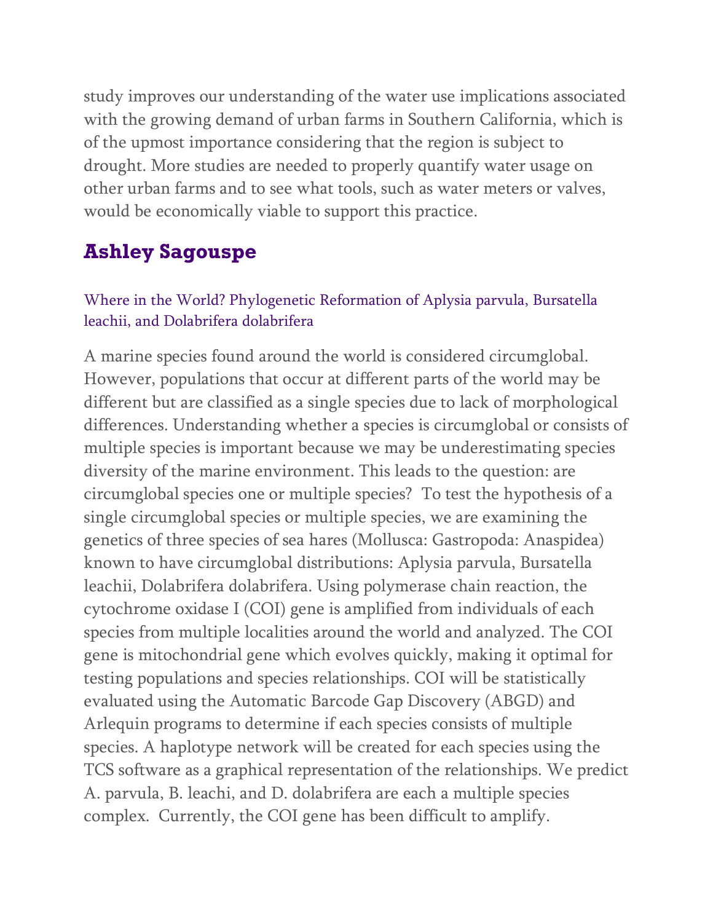study improves our understanding of the water use implications associated with the growing demand of urban farms in Southern California, which is of the upmost importance considering that the region is subject to drought. More studies are needed to properly quantify water usage on other urban farms and to see what tools, such as water meters or valves, would be economically viable to support this practice.

## **Ashley Sagouspe**

### Where in the World? Phylogenetic Reformation of Aplysia parvula, Bursatella leachii, and Dolabrifera dolabrifera

A marine species found around the world is considered circumglobal. However, populations that occur at different parts of the world may be different but are classified as a single species due to lack of morphological differences. Understanding whether a species is circumglobal or consists of multiple species is important because we may be underestimating species diversity of the marine environment. This leads to the question: are circumglobal species one or multiple species? To test the hypothesis of a single circumglobal species or multiple species, we are examining the genetics of three species of sea hares (Mollusca: Gastropoda: Anaspidea) known to have circumglobal distributions: Aplysia parvula, Bursatella leachii, Dolabrifera dolabrifera. Using polymerase chain reaction, the cytochrome oxidase I (COI) gene is amplified from individuals of each species from multiple localities around the world and analyzed. The COI gene is mitochondrial gene which evolves quickly, making it optimal for testing populations and species relationships. COI will be statistically evaluated using the Automatic Barcode Gap Discovery (ABGD) and Arlequin programs to determine if each species consists of multiple species. A haplotype network will be created for each species using the TCS software as a graphical representation of the relationships. We predict A. parvula, B. leachi, and D. dolabrifera are each a multiple species complex. Currently, the COI gene has been difficult to amplify.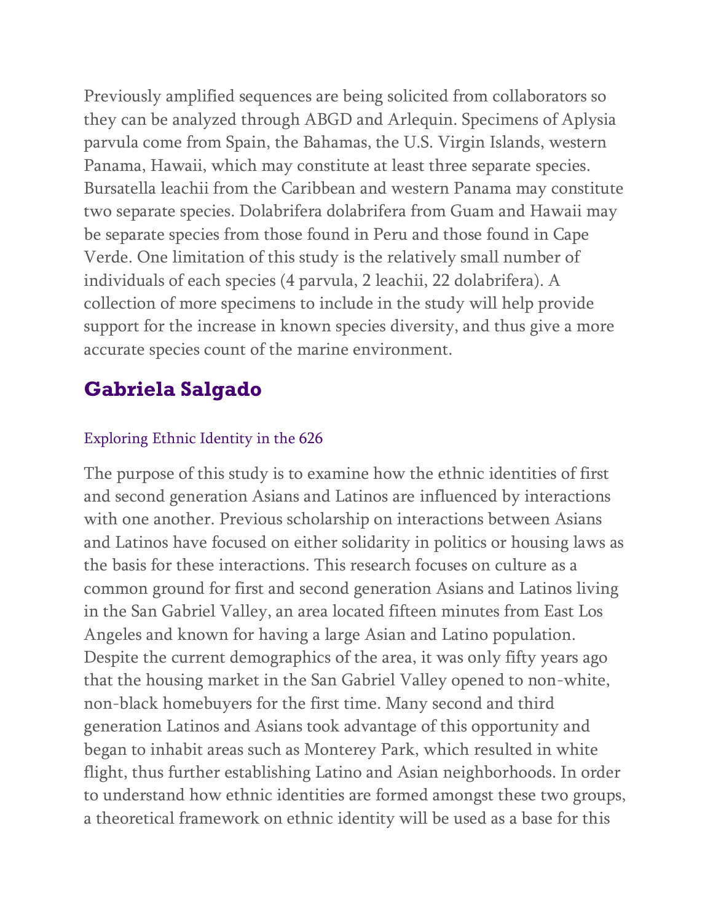Previously amplified sequences are being solicited from collaborators so they can be analyzed through ABGD and Arlequin. Specimens of Aplysia parvula come from Spain, the Bahamas, the U.S. Virgin Islands, western Panama, Hawaii, which may constitute at least three separate species. Bursatella leachii from the Caribbean and western Panama may constitute two separate species. Dolabrifera dolabrifera from Guam and Hawaii may be separate species from those found in Peru and those found in Cape Verde. One limitation of this study is the relatively small number of individuals of each species (4 parvula, 2 leachii, 22 dolabrifera). A collection of more specimens to include in the study will help provide support for the increase in known species diversity, and thus give a more accurate species count of the marine environment.

# **Gabriela Salgado**

### Exploring Ethnic Identity in the 626

The purpose of this study is to examine how the ethnic identities of first and second generation Asians and Latinos are influenced by interactions with one another. Previous scholarship on interactions between Asians and Latinos have focused on either solidarity in politics or housing laws as the basis for these interactions. This research focuses on culture as a common ground for first and second generation Asians and Latinos living in the San Gabriel Valley, an area located fifteen minutes from East Los Angeles and known for having a large Asian and Latino population. Despite the current demographics of the area, it was only fifty years ago that the housing market in the San Gabriel Valley opened to non-white, non-black homebuyers for the first time. Many second and third generation Latinos and Asians took advantage of this opportunity and began to inhabit areas such as Monterey Park, which resulted in white flight, thus further establishing Latino and Asian neighborhoods. In order to understand how ethnic identities are formed amongst these two groups, a theoretical framework on ethnic identity will be used as a base for this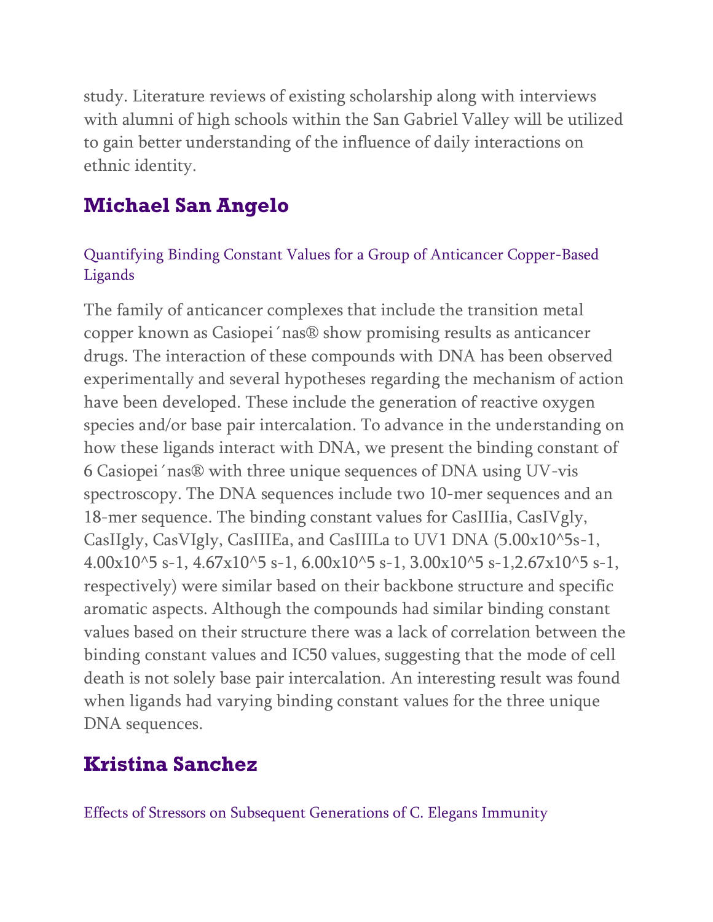study. Literature reviews of existing scholarship along with interviews with alumni of high schools within the San Gabriel Valley will be utilized to gain better understanding of the influence of daily interactions on ethnic identity.

# **Michael San Angelo**

### Quantifying Binding Constant Values for a Group of Anticancer Copper-Based Ligands

The family of anticancer complexes that include the transition metal copper known as Casiopei´nas® show promising results as anticancer drugs. The interaction of these compounds with DNA has been observed experimentally and several hypotheses regarding the mechanism of action have been developed. These include the generation of reactive oxygen species and/or base pair intercalation. To advance in the understanding on how these ligands interact with DNA, we present the binding constant of 6 Casiopei´nas® with three unique sequences of DNA using UV-vis spectroscopy. The DNA sequences include two 10-mer sequences and an 18-mer sequence. The binding constant values for CasIIIia, CasIVgly, CasIIgly, CasVIgly, CasIIIEa, and CasIIILa to UV1 DNA (5.00x10^5s-1,  $4.00x10^{\text{ }}5 s-1, 4.67x10^{\text{ }}5 s-1, 6.00x10^{\text{ }}5 s-1, 3.00x10^{\text{ }}5 s-1, 2.67x10^{\text{ }}5 s-1,$ respectively) were similar based on their backbone structure and specific aromatic aspects. Although the compounds had similar binding constant values based on their structure there was a lack of correlation between the binding constant values and IC50 values, suggesting that the mode of cell death is not solely base pair intercalation. An interesting result was found when ligands had varying binding constant values for the three unique DNA sequences.

# **Kristina Sanchez**

Effects of Stressors on Subsequent Generations of C. Elegans Immunity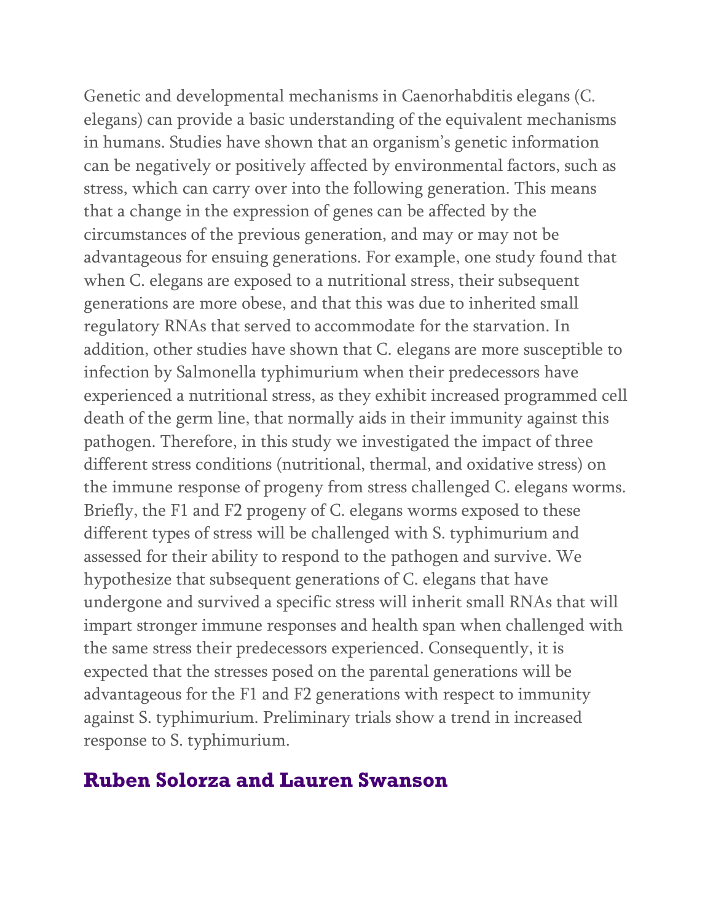Genetic and developmental mechanisms in Caenorhabditis elegans (C. elegans) can provide a basic understanding of the equivalent mechanisms in humans. Studies have shown that an organism's genetic information can be negatively or positively affected by environmental factors, such as stress, which can carry over into the following generation. This means that a change in the expression of genes can be affected by the circumstances of the previous generation, and may or may not be advantageous for ensuing generations. For example, one study found that when C. elegans are exposed to a nutritional stress, their subsequent generations are more obese, and that this was due to inherited small regulatory RNAs that served to accommodate for the starvation. In addition, other studies have shown that C. elegans are more susceptible to infection by Salmonella typhimurium when their predecessors have experienced a nutritional stress, as they exhibit increased programmed cell death of the germ line, that normally aids in their immunity against this pathogen. Therefore, in this study we investigated the impact of three different stress conditions (nutritional, thermal, and oxidative stress) on the immune response of progeny from stress challenged C. elegans worms. Briefly, the F1 and F2 progeny of C. elegans worms exposed to these different types of stress will be challenged with S. typhimurium and assessed for their ability to respond to the pathogen and survive. We hypothesize that subsequent generations of C. elegans that have undergone and survived a specific stress will inherit small RNAs that will impart stronger immune responses and health span when challenged with the same stress their predecessors experienced. Consequently, it is expected that the stresses posed on the parental generations will be advantageous for the F1 and F2 generations with respect to immunity against S. typhimurium. Preliminary trials show a trend in increased response to S. typhimurium.

## **Ruben Solorza and Lauren Swanson**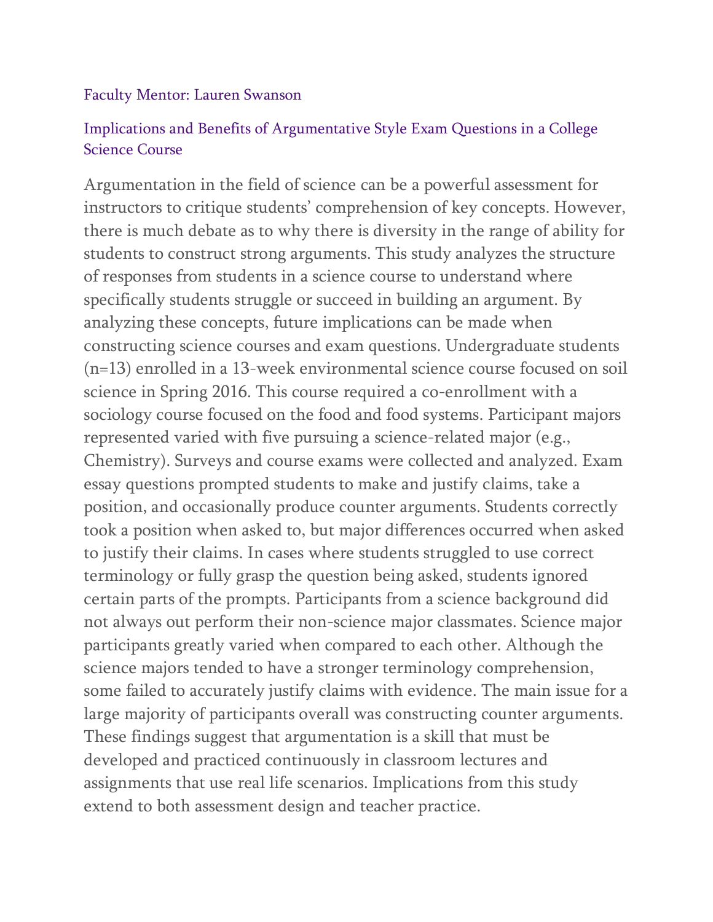#### Faculty Mentor: Lauren Swanson

### Implications and Benefits of Argumentative Style Exam Questions in a College Science Course

Argumentation in the field of science can be a powerful assessment for instructors to critique students' comprehension of key concepts. However, there is much debate as to why there is diversity in the range of ability for students to construct strong arguments. This study analyzes the structure of responses from students in a science course to understand where specifically students struggle or succeed in building an argument. By analyzing these concepts, future implications can be made when constructing science courses and exam questions. Undergraduate students (n=13) enrolled in a 13-week environmental science course focused on soil science in Spring 2016. This course required a co-enrollment with a sociology course focused on the food and food systems. Participant majors represented varied with five pursuing a science-related major (e.g., Chemistry). Surveys and course exams were collected and analyzed. Exam essay questions prompted students to make and justify claims, take a position, and occasionally produce counter arguments. Students correctly took a position when asked to, but major differences occurred when asked to justify their claims. In cases where students struggled to use correct terminology or fully grasp the question being asked, students ignored certain parts of the prompts. Participants from a science background did not always out perform their non-science major classmates. Science major participants greatly varied when compared to each other. Although the science majors tended to have a stronger terminology comprehension, some failed to accurately justify claims with evidence. The main issue for a large majority of participants overall was constructing counter arguments. These findings suggest that argumentation is a skill that must be developed and practiced continuously in classroom lectures and assignments that use real life scenarios. Implications from this study extend to both assessment design and teacher practice.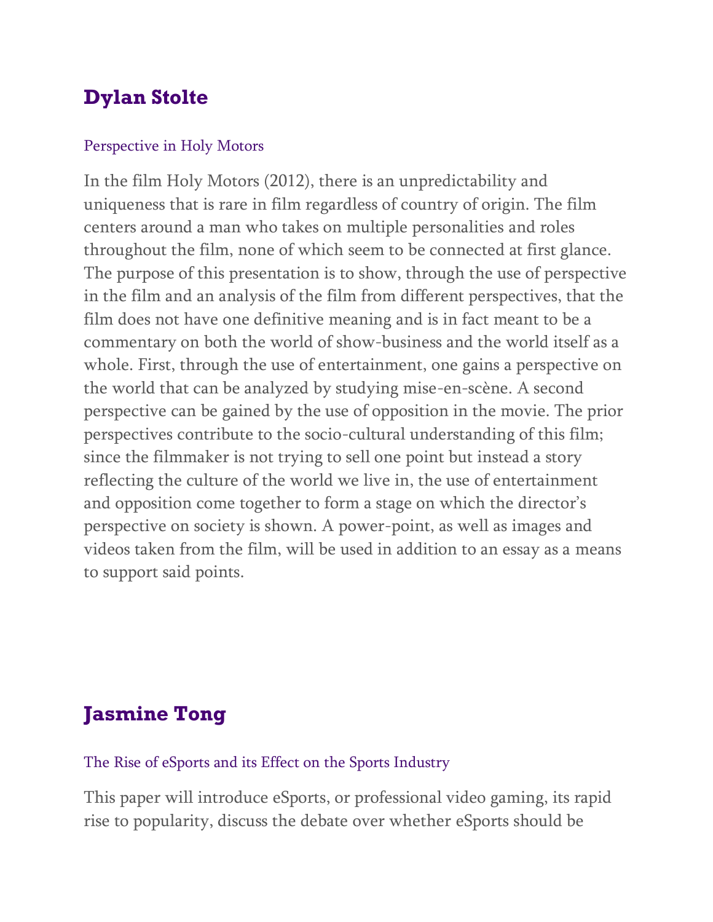# **Dylan Stolte**

#### Perspective in Holy Motors

In the film Holy Motors (2012), there is an unpredictability and uniqueness that is rare in film regardless of country of origin. The film centers around a man who takes on multiple personalities and roles throughout the film, none of which seem to be connected at first glance. The purpose of this presentation is to show, through the use of perspective in the film and an analysis of the film from different perspectives, that the film does not have one definitive meaning and is in fact meant to be a commentary on both the world of show-business and the world itself as a whole. First, through the use of entertainment, one gains a perspective on the world that can be analyzed by studying mise-en-scène. A second perspective can be gained by the use of opposition in the movie. The prior perspectives contribute to the socio-cultural understanding of this film; since the filmmaker is not trying to sell one point but instead a story reflecting the culture of the world we live in, the use of entertainment and opposition come together to form a stage on which the director's perspective on society is shown. A power-point, as well as images and videos taken from the film, will be used in addition to an essay as a means to support said points.

# **Jasmine Tong**

#### The Rise of eSports and its Effect on the Sports Industry

This paper will introduce eSports, or professional video gaming, its rapid rise to popularity, discuss the debate over whether eSports should be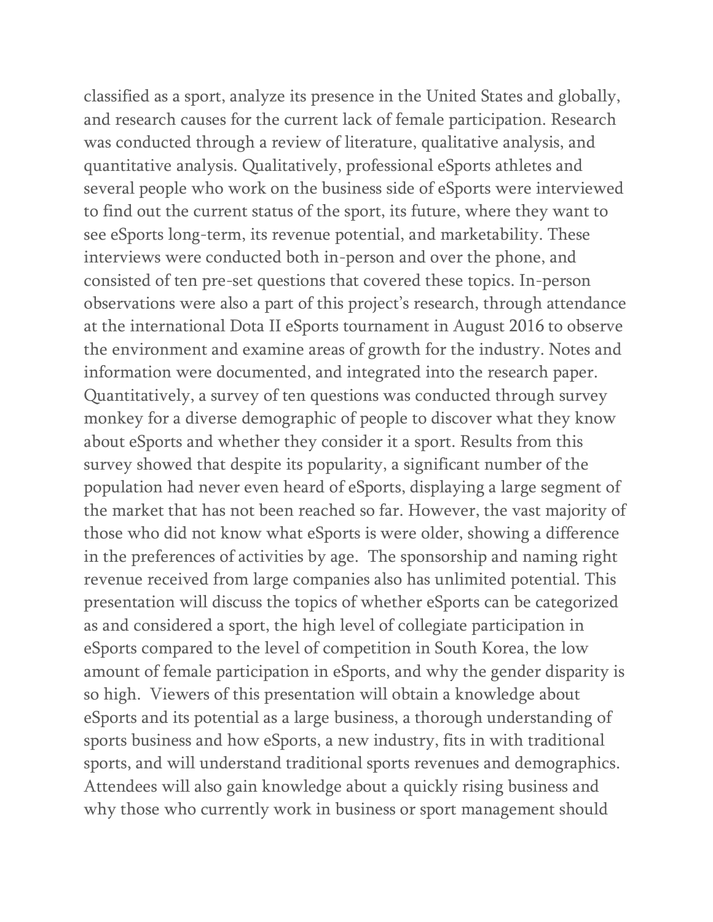classified as a sport, analyze its presence in the United States and globally, and research causes for the current lack of female participation. Research was conducted through a review of literature, qualitative analysis, and quantitative analysis. Qualitatively, professional eSports athletes and several people who work on the business side of eSports were interviewed to find out the current status of the sport, its future, where they want to see eSports long-term, its revenue potential, and marketability. These interviews were conducted both in-person and over the phone, and consisted of ten pre-set questions that covered these topics. In-person observations were also a part of this project's research, through attendance at the international Dota II eSports tournament in August 2016 to observe the environment and examine areas of growth for the industry. Notes and information were documented, and integrated into the research paper. Quantitatively, a survey of ten questions was conducted through survey monkey for a diverse demographic of people to discover what they know about eSports and whether they consider it a sport. Results from this survey showed that despite its popularity, a significant number of the population had never even heard of eSports, displaying a large segment of the market that has not been reached so far. However, the vast majority of those who did not know what eSports is were older, showing a difference in the preferences of activities by age. The sponsorship and naming right revenue received from large companies also has unlimited potential. This presentation will discuss the topics of whether eSports can be categorized as and considered a sport, the high level of collegiate participation in eSports compared to the level of competition in South Korea, the low amount of female participation in eSports, and why the gender disparity is so high. Viewers of this presentation will obtain a knowledge about eSports and its potential as a large business, a thorough understanding of sports business and how eSports, a new industry, fits in with traditional sports, and will understand traditional sports revenues and demographics. Attendees will also gain knowledge about a quickly rising business and why those who currently work in business or sport management should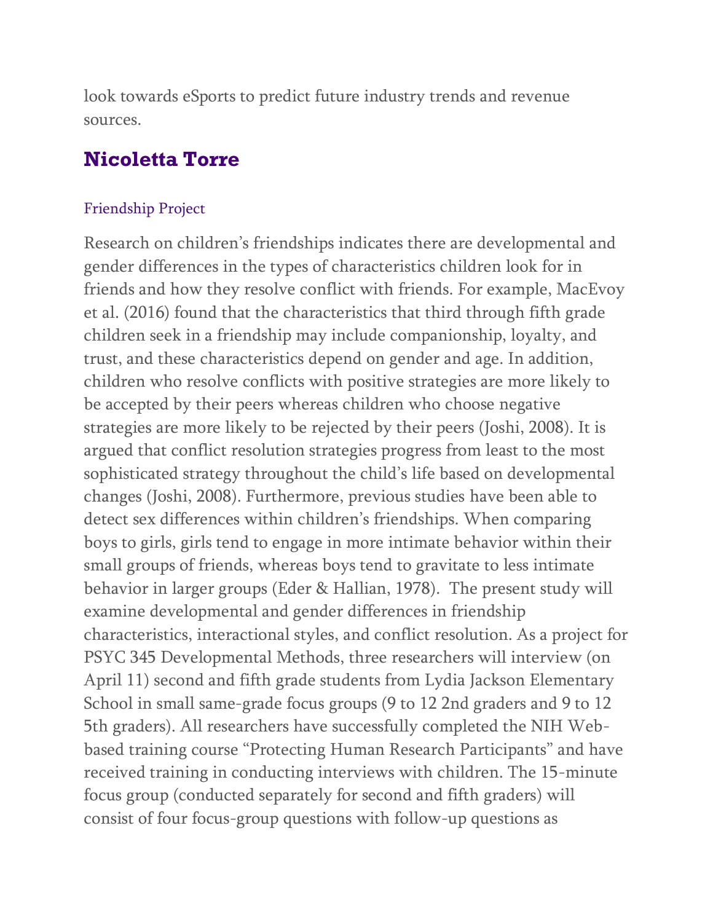look towards eSports to predict future industry trends and revenue sources.

## **Nicoletta Torre**

#### Friendship Project

Research on children's friendships indicates there are developmental and gender differences in the types of characteristics children look for in friends and how they resolve conflict with friends. For example, MacEvoy et al. (2016) found that the characteristics that third through fifth grade children seek in a friendship may include companionship, loyalty, and trust, and these characteristics depend on gender and age. In addition, children who resolve conflicts with positive strategies are more likely to be accepted by their peers whereas children who choose negative strategies are more likely to be rejected by their peers (Joshi, 2008). It is argued that conflict resolution strategies progress from least to the most sophisticated strategy throughout the child's life based on developmental changes (Joshi, 2008). Furthermore, previous studies have been able to detect sex differences within children's friendships. When comparing boys to girls, girls tend to engage in more intimate behavior within their small groups of friends, whereas boys tend to gravitate to less intimate behavior in larger groups (Eder & Hallian, 1978). The present study will examine developmental and gender differences in friendship characteristics, interactional styles, and conflict resolution. As a project for PSYC 345 Developmental Methods, three researchers will interview (on April 11) second and fifth grade students from Lydia Jackson Elementary School in small same-grade focus groups (9 to 12 2nd graders and 9 to 12 5th graders). All researchers have successfully completed the NIH Webbased training course "Protecting Human Research Participants" and have received training in conducting interviews with children. The 15-minute focus group (conducted separately for second and fifth graders) will consist of four focus-group questions with follow-up questions as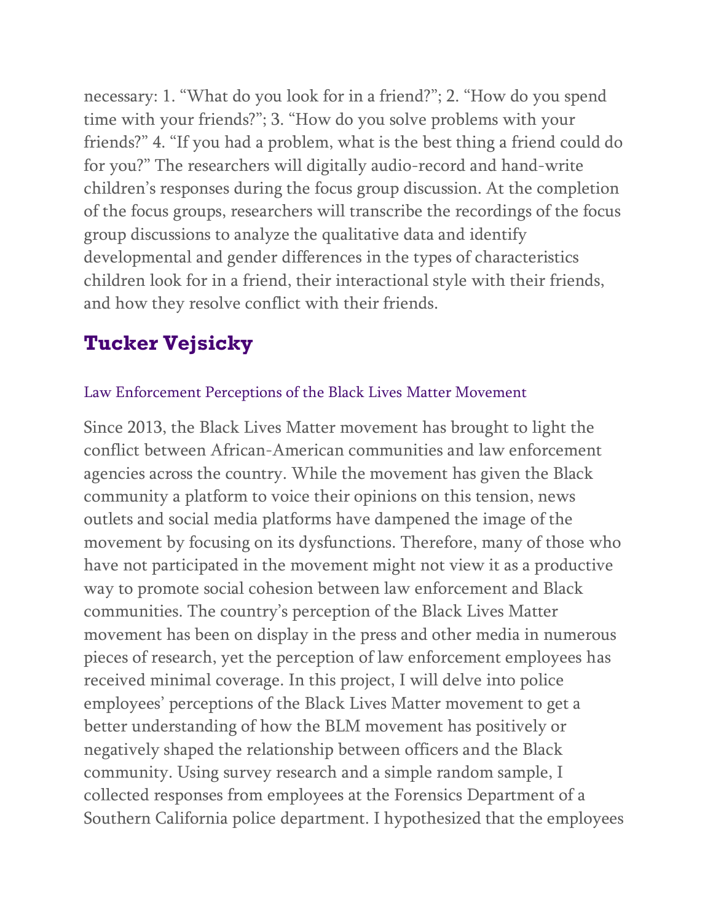necessary: 1. "What do you look for in a friend?"; 2. "How do you spend time with your friends?"; 3. "How do you solve problems with your friends?" 4. "If you had a problem, what is the best thing a friend could do for you?" The researchers will digitally audio-record and hand-write children's responses during the focus group discussion. At the completion of the focus groups, researchers will transcribe the recordings of the focus group discussions to analyze the qualitative data and identify developmental and gender differences in the types of characteristics children look for in a friend, their interactional style with their friends, and how they resolve conflict with their friends.

# **Tucker Vejsicky**

### Law Enforcement Perceptions of the Black Lives Matter Movement

Since 2013, the Black Lives Matter movement has brought to light the conflict between African-American communities and law enforcement agencies across the country. While the movement has given the Black community a platform to voice their opinions on this tension, news outlets and social media platforms have dampened the image of the movement by focusing on its dysfunctions. Therefore, many of those who have not participated in the movement might not view it as a productive way to promote social cohesion between law enforcement and Black communities. The country's perception of the Black Lives Matter movement has been on display in the press and other media in numerous pieces of research, yet the perception of law enforcement employees has received minimal coverage. In this project, I will delve into police employees' perceptions of the Black Lives Matter movement to get a better understanding of how the BLM movement has positively or negatively shaped the relationship between officers and the Black community. Using survey research and a simple random sample, I collected responses from employees at the Forensics Department of a Southern California police department. I hypothesized that the employees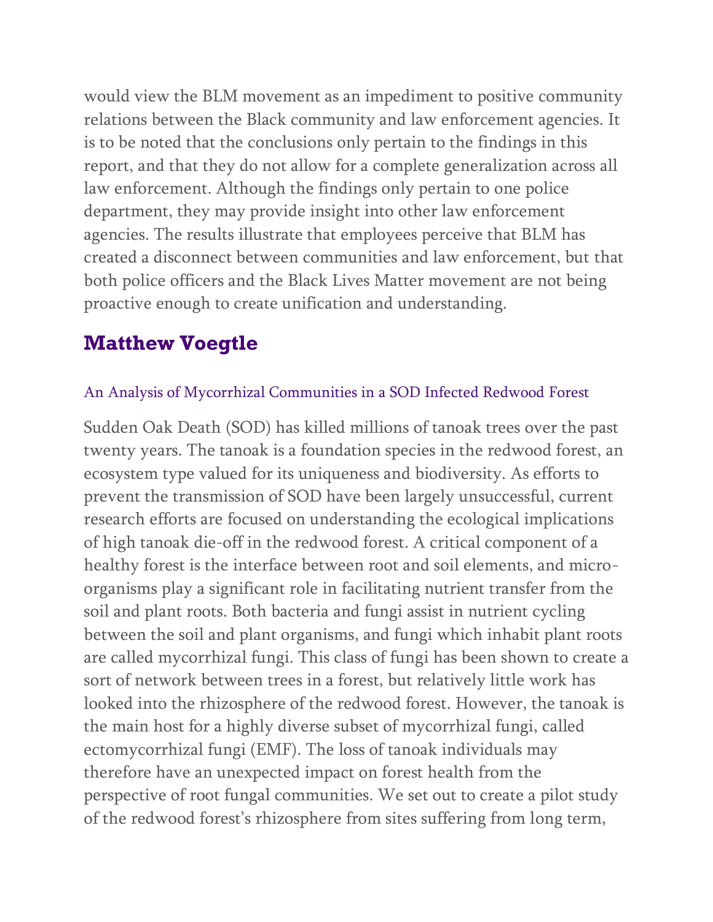would view the BLM movement as an impediment to positive community relations between the Black community and law enforcement agencies. It is to be noted that the conclusions only pertain to the findings in this report, and that they do not allow for a complete generalization across all law enforcement. Although the findings only pertain to one police department, they may provide insight into other law enforcement agencies. The results illustrate that employees perceive that BLM has created a disconnect between communities and law enforcement, but that both police officers and the Black Lives Matter movement are not being proactive enough to create unification and understanding.

# **Matthew Voegtle**

### An Analysis of Mycorrhizal Communities in a SOD Infected Redwood Forest

Sudden Oak Death (SOD) has killed millions of tanoak trees over the past twenty years. The tanoak is a foundation species in the redwood forest, an ecosystem type valued for its uniqueness and biodiversity. As efforts to prevent the transmission of SOD have been largely unsuccessful, current research efforts are focused on understanding the ecological implications of high tanoak die-off in the redwood forest. A critical component of a healthy forest is the interface between root and soil elements, and microorganisms play a significant role in facilitating nutrient transfer from the soil and plant roots. Both bacteria and fungi assist in nutrient cycling between the soil and plant organisms, and fungi which inhabit plant roots are called mycorrhizal fungi. This class of fungi has been shown to create a sort of network between trees in a forest, but relatively little work has looked into the rhizosphere of the redwood forest. However, the tanoak is the main host for a highly diverse subset of mycorrhizal fungi, called ectomycorrhizal fungi (EMF). The loss of tanoak individuals may therefore have an unexpected impact on forest health from the perspective of root fungal communities. We set out to create a pilot study of the redwood forest's rhizosphere from sites suffering from long term,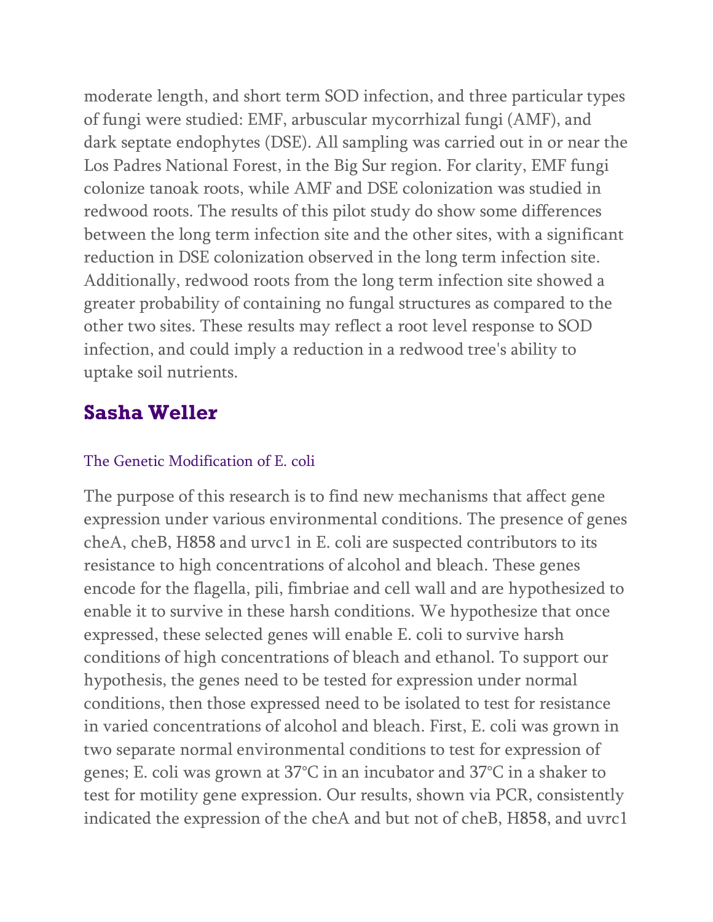moderate length, and short term SOD infection, and three particular types of fungi were studied: EMF, arbuscular mycorrhizal fungi (AMF), and dark septate endophytes (DSE). All sampling was carried out in or near the Los Padres National Forest, in the Big Sur region. For clarity, EMF fungi colonize tanoak roots, while AMF and DSE colonization was studied in redwood roots. The results of this pilot study do show some differences between the long term infection site and the other sites, with a significant reduction in DSE colonization observed in the long term infection site. Additionally, redwood roots from the long term infection site showed a greater probability of containing no fungal structures as compared to the other two sites. These results may reflect a root level response to SOD infection, and could imply a reduction in a redwood tree's ability to uptake soil nutrients.

## **Sasha Weller**

### The Genetic Modification of E. coli

The purpose of this research is to find new mechanisms that affect gene expression under various environmental conditions. The presence of genes cheA, cheB, H858 and urvc1 in E. coli are suspected contributors to its resistance to high concentrations of alcohol and bleach. These genes encode for the flagella, pili, fimbriae and cell wall and are hypothesized to enable it to survive in these harsh conditions. We hypothesize that once expressed, these selected genes will enable E. coli to survive harsh conditions of high concentrations of bleach and ethanol. To support our hypothesis, the genes need to be tested for expression under normal conditions, then those expressed need to be isolated to test for resistance in varied concentrations of alcohol and bleach. First, E. coli was grown in two separate normal environmental conditions to test for expression of genes; E. coli was grown at 37°C in an incubator and 37°C in a shaker to test for motility gene expression. Our results, shown via PCR, consistently indicated the expression of the cheA and but not of cheB, H858, and uvrc1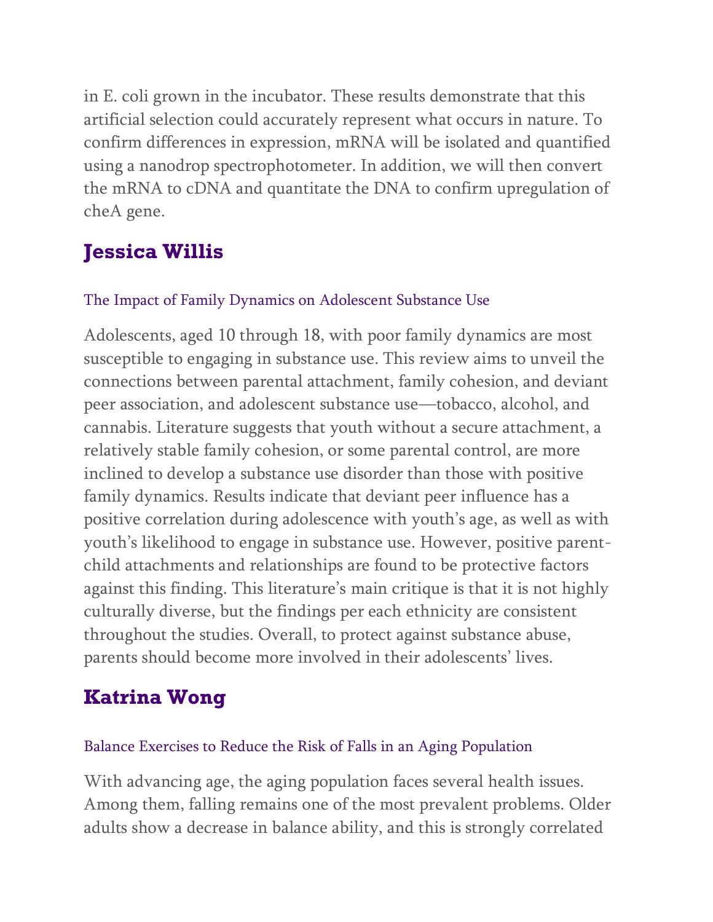in E. coli grown in the incubator. These results demonstrate that this artificial selection could accurately represent what occurs in nature. To confirm differences in expression, mRNA will be isolated and quantified using a nanodrop spectrophotometer. In addition, we will then convert the mRNA to cDNA and quantitate the DNA to confirm upregulation of cheA gene.

# **Jessica Willis**

### The Impact of Family Dynamics on Adolescent Substance Use

Adolescents, aged 10 through 18, with poor family dynamics are most susceptible to engaging in substance use. This review aims to unveil the connections between parental attachment, family cohesion, and deviant peer association, and adolescent substance use—tobacco, alcohol, and cannabis. Literature suggests that youth without a secure attachment, a relatively stable family cohesion, or some parental control, are more inclined to develop a substance use disorder than those with positive family dynamics. Results indicate that deviant peer influence has a positive correlation during adolescence with youth's age, as well as with youth's likelihood to engage in substance use. However, positive parentchild attachments and relationships are found to be protective factors against this finding. This literature's main critique is that it is not highly culturally diverse, but the findings per each ethnicity are consistent throughout the studies. Overall, to protect against substance abuse, parents should become more involved in their adolescents' lives.

# **Katrina Wong**

### Balance Exercises to Reduce the Risk of Falls in an Aging Population

With advancing age, the aging population faces several health issues. Among them, falling remains one of the most prevalent problems. Older adults show a decrease in balance ability, and this is strongly correlated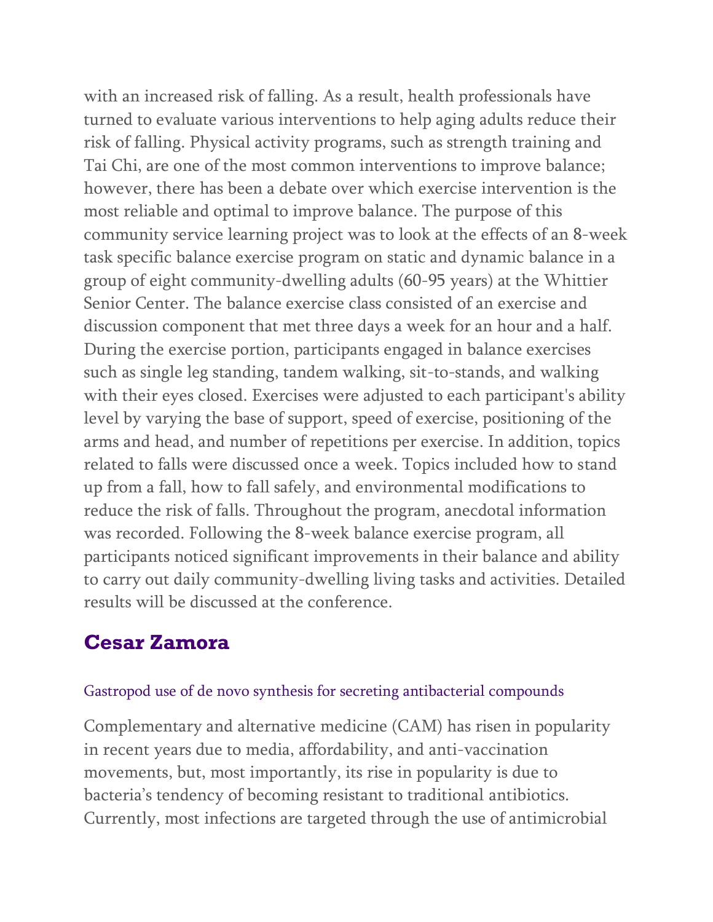with an increased risk of falling. As a result, health professionals have turned to evaluate various interventions to help aging adults reduce their risk of falling. Physical activity programs, such as strength training and Tai Chi, are one of the most common interventions to improve balance; however, there has been a debate over which exercise intervention is the most reliable and optimal to improve balance. The purpose of this community service learning project was to look at the effects of an 8-week task specific balance exercise program on static and dynamic balance in a group of eight community-dwelling adults (60-95 years) at the Whittier Senior Center. The balance exercise class consisted of an exercise and discussion component that met three days a week for an hour and a half. During the exercise portion, participants engaged in balance exercises such as single leg standing, tandem walking, sit-to-stands, and walking with their eyes closed. Exercises were adjusted to each participant's ability level by varying the base of support, speed of exercise, positioning of the arms and head, and number of repetitions per exercise. In addition, topics related to falls were discussed once a week. Topics included how to stand up from a fall, how to fall safely, and environmental modifications to reduce the risk of falls. Throughout the program, anecdotal information was recorded. Following the 8-week balance exercise program, all participants noticed significant improvements in their balance and ability to carry out daily community-dwelling living tasks and activities. Detailed results will be discussed at the conference.

# **Cesar Zamora**

#### Gastropod use of de novo synthesis for secreting antibacterial compounds

Complementary and alternative medicine (CAM) has risen in popularity in recent years due to media, affordability, and anti-vaccination movements, but, most importantly, its rise in popularity is due to bacteria's tendency of becoming resistant to traditional antibiotics. Currently, most infections are targeted through the use of antimicrobial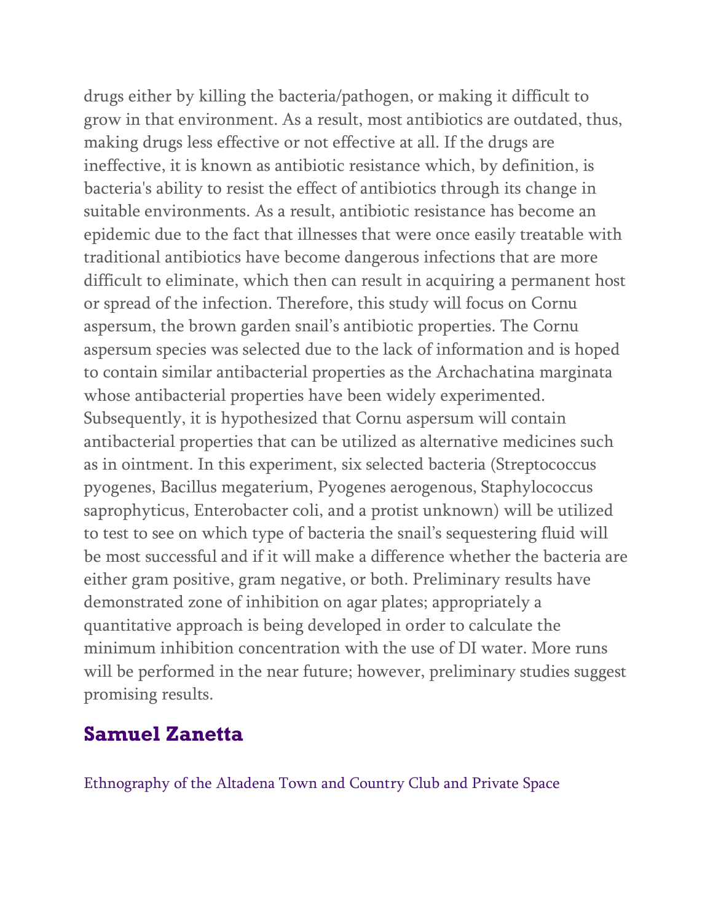drugs either by killing the bacteria/pathogen, or making it difficult to grow in that environment. As a result, most antibiotics are outdated, thus, making drugs less effective or not effective at all. If the drugs are ineffective, it is known as antibiotic resistance which, by definition, is bacteria's ability to resist the effect of antibiotics through its change in suitable environments. As a result, antibiotic resistance has become an epidemic due to the fact that illnesses that were once easily treatable with traditional antibiotics have become dangerous infections that are more difficult to eliminate, which then can result in acquiring a permanent host or spread of the infection. Therefore, this study will focus on Cornu aspersum, the brown garden snail's antibiotic properties. The Cornu aspersum species was selected due to the lack of information and is hoped to contain similar antibacterial properties as the Archachatina marginata whose antibacterial properties have been widely experimented. Subsequently, it is hypothesized that Cornu aspersum will contain antibacterial properties that can be utilized as alternative medicines such as in ointment. In this experiment, six selected bacteria (Streptococcus pyogenes, Bacillus megaterium, Pyogenes aerogenous, Staphylococcus saprophyticus, Enterobacter coli, and a protist unknown) will be utilized to test to see on which type of bacteria the snail's sequestering fluid will be most successful and if it will make a difference whether the bacteria are either gram positive, gram negative, or both. Preliminary results have demonstrated zone of inhibition on agar plates; appropriately a quantitative approach is being developed in order to calculate the minimum inhibition concentration with the use of DI water. More runs will be performed in the near future; however, preliminary studies suggest promising results.

# **Samuel Zanetta**

Ethnography of the Altadena Town and Country Club and Private Space